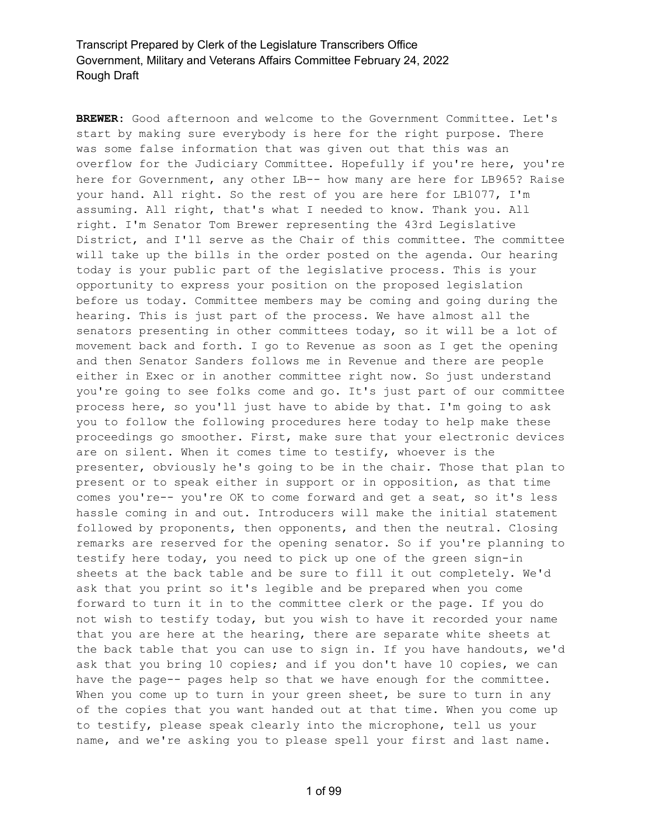**BREWER:** Good afternoon and welcome to the Government Committee. Let's start by making sure everybody is here for the right purpose. There was some false information that was given out that this was an overflow for the Judiciary Committee. Hopefully if you're here, you're here for Government, any other LB-- how many are here for LB965? Raise your hand. All right. So the rest of you are here for LB1077, I'm assuming. All right, that's what I needed to know. Thank you. All right. I'm Senator Tom Brewer representing the 43rd Legislative District, and I'll serve as the Chair of this committee. The committee will take up the bills in the order posted on the agenda. Our hearing today is your public part of the legislative process. This is your opportunity to express your position on the proposed legislation before us today. Committee members may be coming and going during the hearing. This is just part of the process. We have almost all the senators presenting in other committees today, so it will be a lot of movement back and forth. I go to Revenue as soon as I get the opening and then Senator Sanders follows me in Revenue and there are people either in Exec or in another committee right now. So just understand you're going to see folks come and go. It's just part of our committee process here, so you'll just have to abide by that. I'm going to ask you to follow the following procedures here today to help make these proceedings go smoother. First, make sure that your electronic devices are on silent. When it comes time to testify, whoever is the presenter, obviously he's going to be in the chair. Those that plan to present or to speak either in support or in opposition, as that time comes you're-- you're OK to come forward and get a seat, so it's less hassle coming in and out. Introducers will make the initial statement followed by proponents, then opponents, and then the neutral. Closing remarks are reserved for the opening senator. So if you're planning to testify here today, you need to pick up one of the green sign-in sheets at the back table and be sure to fill it out completely. We'd ask that you print so it's legible and be prepared when you come forward to turn it in to the committee clerk or the page. If you do not wish to testify today, but you wish to have it recorded your name that you are here at the hearing, there are separate white sheets at the back table that you can use to sign in. If you have handouts, we'd ask that you bring 10 copies; and if you don't have 10 copies, we can have the page-- pages help so that we have enough for the committee. When you come up to turn in your green sheet, be sure to turn in any of the copies that you want handed out at that time. When you come up to testify, please speak clearly into the microphone, tell us your name, and we're asking you to please spell your first and last name.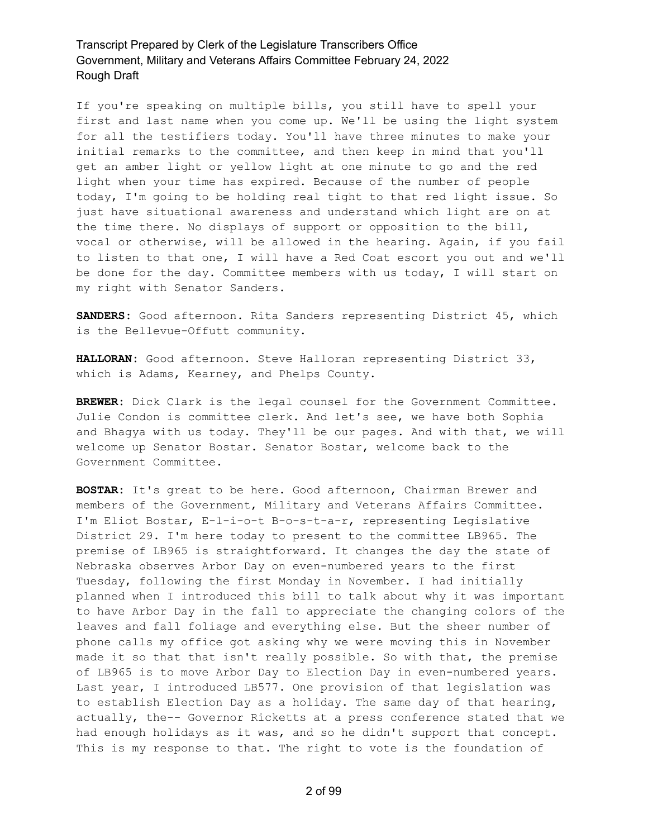If you're speaking on multiple bills, you still have to spell your first and last name when you come up. We'll be using the light system for all the testifiers today. You'll have three minutes to make your initial remarks to the committee, and then keep in mind that you'll get an amber light or yellow light at one minute to go and the red light when your time has expired. Because of the number of people today, I'm going to be holding real tight to that red light issue. So just have situational awareness and understand which light are on at the time there. No displays of support or opposition to the bill, vocal or otherwise, will be allowed in the hearing. Again, if you fail to listen to that one, I will have a Red Coat escort you out and we'll be done for the day. Committee members with us today, I will start on my right with Senator Sanders.

**SANDERS:** Good afternoon. Rita Sanders representing District 45, which is the Bellevue-Offutt community.

**HALLORAN:** Good afternoon. Steve Halloran representing District 33, which is Adams, Kearney, and Phelps County.

**BREWER:** Dick Clark is the legal counsel for the Government Committee. Julie Condon is committee clerk. And let's see, we have both Sophia and Bhagya with us today. They'll be our pages. And with that, we will welcome up Senator Bostar. Senator Bostar, welcome back to the Government Committee.

**BOSTAR:** It's great to be here. Good afternoon, Chairman Brewer and members of the Government, Military and Veterans Affairs Committee. I'm Eliot Bostar, E-l-i-o-t B-o-s-t-a-r, representing Legislative District 29. I'm here today to present to the committee LB965. The premise of LB965 is straightforward. It changes the day the state of Nebraska observes Arbor Day on even-numbered years to the first Tuesday, following the first Monday in November. I had initially planned when I introduced this bill to talk about why it was important to have Arbor Day in the fall to appreciate the changing colors of the leaves and fall foliage and everything else. But the sheer number of phone calls my office got asking why we were moving this in November made it so that that isn't really possible. So with that, the premise of LB965 is to move Arbor Day to Election Day in even-numbered years. Last year, I introduced LB577. One provision of that legislation was to establish Election Day as a holiday. The same day of that hearing, actually, the-- Governor Ricketts at a press conference stated that we had enough holidays as it was, and so he didn't support that concept. This is my response to that. The right to vote is the foundation of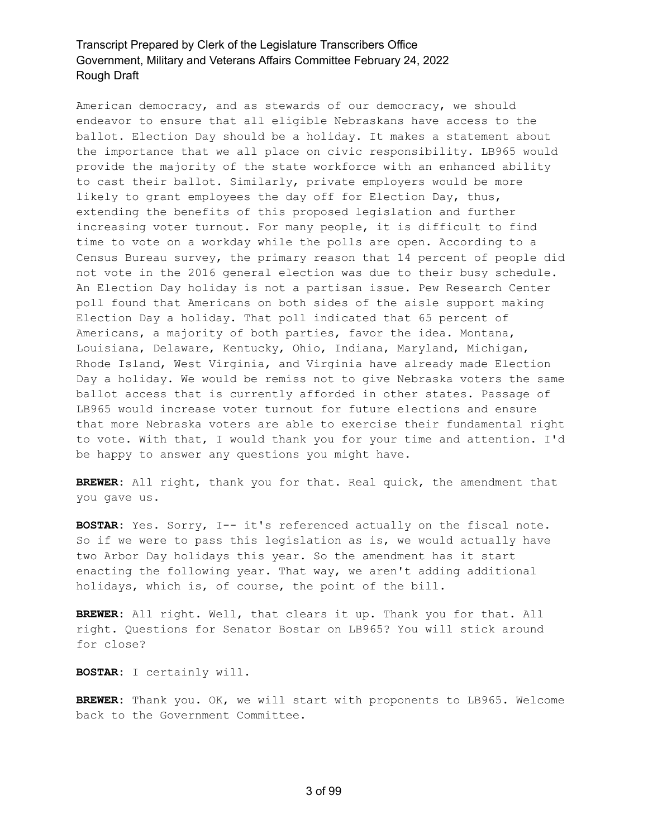American democracy, and as stewards of our democracy, we should endeavor to ensure that all eligible Nebraskans have access to the ballot. Election Day should be a holiday. It makes a statement about the importance that we all place on civic responsibility. LB965 would provide the majority of the state workforce with an enhanced ability to cast their ballot. Similarly, private employers would be more likely to grant employees the day off for Election Day, thus, extending the benefits of this proposed legislation and further increasing voter turnout. For many people, it is difficult to find time to vote on a workday while the polls are open. According to a Census Bureau survey, the primary reason that 14 percent of people did not vote in the 2016 general election was due to their busy schedule. An Election Day holiday is not a partisan issue. Pew Research Center poll found that Americans on both sides of the aisle support making Election Day a holiday. That poll indicated that 65 percent of Americans, a majority of both parties, favor the idea. Montana, Louisiana, Delaware, Kentucky, Ohio, Indiana, Maryland, Michigan, Rhode Island, West Virginia, and Virginia have already made Election Day a holiday. We would be remiss not to give Nebraska voters the same ballot access that is currently afforded in other states. Passage of LB965 would increase voter turnout for future elections and ensure that more Nebraska voters are able to exercise their fundamental right to vote. With that, I would thank you for your time and attention. I'd be happy to answer any questions you might have.

**BREWER:** All right, thank you for that. Real quick, the amendment that you gave us.

**BOSTAR:** Yes. Sorry, I-- it's referenced actually on the fiscal note. So if we were to pass this legislation as is, we would actually have two Arbor Day holidays this year. So the amendment has it start enacting the following year. That way, we aren't adding additional holidays, which is, of course, the point of the bill.

**BREWER:** All right. Well, that clears it up. Thank you for that. All right. Questions for Senator Bostar on LB965? You will stick around for close?

**BOSTAR:** I certainly will.

**BREWER:** Thank you. OK, we will start with proponents to LB965. Welcome back to the Government Committee.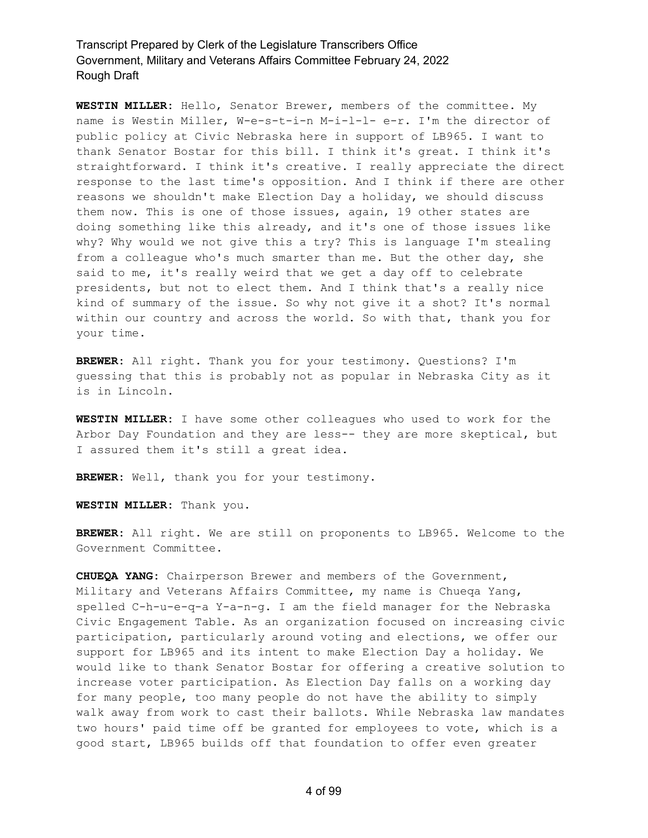**WESTIN MILLER:** Hello, Senator Brewer, members of the committee. My name is Westin Miller, W-e-s-t-i-n M-i-l-l- e-r. I'm the director of public policy at Civic Nebraska here in support of LB965. I want to thank Senator Bostar for this bill. I think it's great. I think it's straightforward. I think it's creative. I really appreciate the direct response to the last time's opposition. And I think if there are other reasons we shouldn't make Election Day a holiday, we should discuss them now. This is one of those issues, again, 19 other states are doing something like this already, and it's one of those issues like why? Why would we not give this a try? This is language I'm stealing from a colleague who's much smarter than me. But the other day, she said to me, it's really weird that we get a day off to celebrate presidents, but not to elect them. And I think that's a really nice kind of summary of the issue. So why not give it a shot? It's normal within our country and across the world. So with that, thank you for your time.

**BREWER:** All right. Thank you for your testimony. Questions? I'm guessing that this is probably not as popular in Nebraska City as it is in Lincoln.

**WESTIN MILLER:** I have some other colleagues who used to work for the Arbor Day Foundation and they are less-- they are more skeptical, but I assured them it's still a great idea.

**BREWER:** Well, thank you for your testimony.

**WESTIN MILLER:** Thank you.

**BREWER:** All right. We are still on proponents to LB965. Welcome to the Government Committee.

**CHUEQA YANG:** Chairperson Brewer and members of the Government, Military and Veterans Affairs Committee, my name is Chueqa Yang, spelled C-h-u-e-q-a Y-a-n-g. I am the field manager for the Nebraska Civic Engagement Table. As an organization focused on increasing civic participation, particularly around voting and elections, we offer our support for LB965 and its intent to make Election Day a holiday. We would like to thank Senator Bostar for offering a creative solution to increase voter participation. As Election Day falls on a working day for many people, too many people do not have the ability to simply walk away from work to cast their ballots. While Nebraska law mandates two hours' paid time off be granted for employees to vote, which is a good start, LB965 builds off that foundation to offer even greater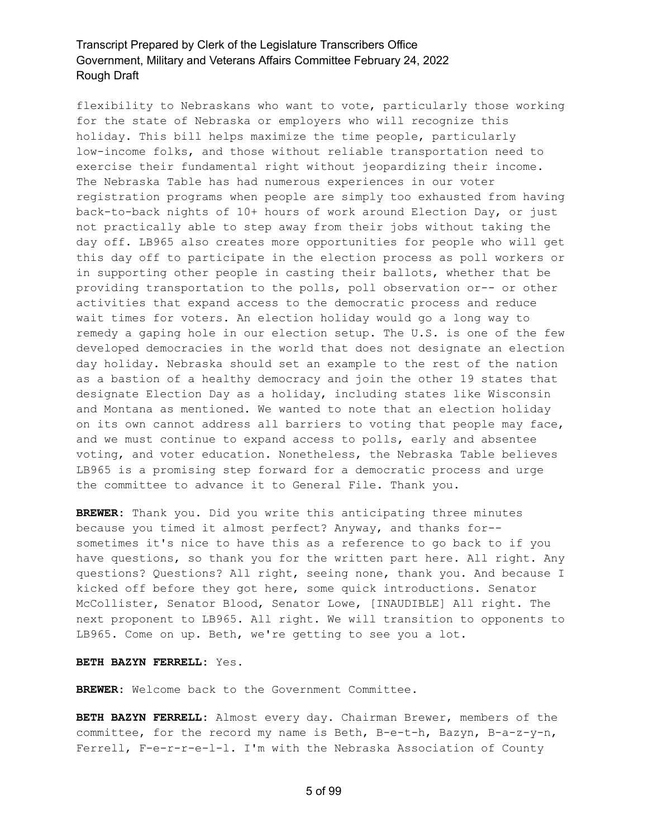flexibility to Nebraskans who want to vote, particularly those working for the state of Nebraska or employers who will recognize this holiday. This bill helps maximize the time people, particularly low-income folks, and those without reliable transportation need to exercise their fundamental right without jeopardizing their income. The Nebraska Table has had numerous experiences in our voter registration programs when people are simply too exhausted from having back-to-back nights of 10+ hours of work around Election Day, or just not practically able to step away from their jobs without taking the day off. LB965 also creates more opportunities for people who will get this day off to participate in the election process as poll workers or in supporting other people in casting their ballots, whether that be providing transportation to the polls, poll observation or-- or other activities that expand access to the democratic process and reduce wait times for voters. An election holiday would go a long way to remedy a gaping hole in our election setup. The U.S. is one of the few developed democracies in the world that does not designate an election day holiday. Nebraska should set an example to the rest of the nation as a bastion of a healthy democracy and join the other 19 states that designate Election Day as a holiday, including states like Wisconsin and Montana as mentioned. We wanted to note that an election holiday on its own cannot address all barriers to voting that people may face, and we must continue to expand access to polls, early and absentee voting, and voter education. Nonetheless, the Nebraska Table believes LB965 is a promising step forward for a democratic process and urge the committee to advance it to General File. Thank you.

**BREWER:** Thank you. Did you write this anticipating three minutes because you timed it almost perfect? Anyway, and thanks for- sometimes it's nice to have this as a reference to go back to if you have questions, so thank you for the written part here. All right. Any questions? Questions? All right, seeing none, thank you. And because I kicked off before they got here, some quick introductions. Senator McCollister, Senator Blood, Senator Lowe, [INAUDIBLE] All right. The next proponent to LB965. All right. We will transition to opponents to LB965. Come on up. Beth, we're getting to see you a lot.

#### **BETH BAZYN FERRELL:** Yes.

**BREWER:** Welcome back to the Government Committee.

**BETH BAZYN FERRELL:** Almost every day. Chairman Brewer, members of the committee, for the record my name is Beth, B-e-t-h, Bazyn, B-a-z-y-n, Ferrell, F-e-r-r-e-l-l. I'm with the Nebraska Association of County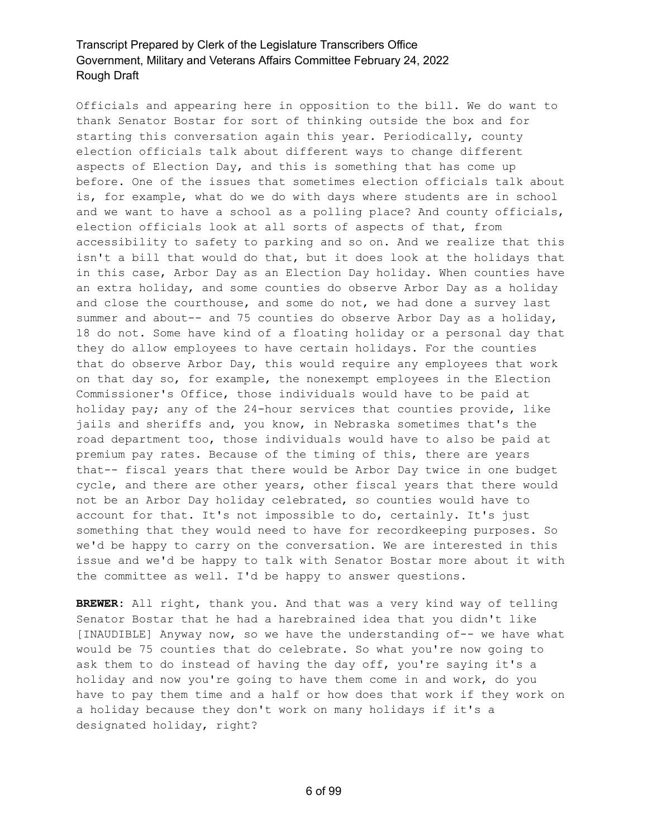Officials and appearing here in opposition to the bill. We do want to thank Senator Bostar for sort of thinking outside the box and for starting this conversation again this year. Periodically, county election officials talk about different ways to change different aspects of Election Day, and this is something that has come up before. One of the issues that sometimes election officials talk about is, for example, what do we do with days where students are in school and we want to have a school as a polling place? And county officials, election officials look at all sorts of aspects of that, from accessibility to safety to parking and so on. And we realize that this isn't a bill that would do that, but it does look at the holidays that in this case, Arbor Day as an Election Day holiday. When counties have an extra holiday, and some counties do observe Arbor Day as a holiday and close the courthouse, and some do not, we had done a survey last summer and about-- and 75 counties do observe Arbor Day as a holiday, 18 do not. Some have kind of a floating holiday or a personal day that they do allow employees to have certain holidays. For the counties that do observe Arbor Day, this would require any employees that work on that day so, for example, the nonexempt employees in the Election Commissioner's Office, those individuals would have to be paid at holiday pay; any of the 24-hour services that counties provide, like jails and sheriffs and, you know, in Nebraska sometimes that's the road department too, those individuals would have to also be paid at premium pay rates. Because of the timing of this, there are years that-- fiscal years that there would be Arbor Day twice in one budget cycle, and there are other years, other fiscal years that there would not be an Arbor Day holiday celebrated, so counties would have to account for that. It's not impossible to do, certainly. It's just something that they would need to have for recordkeeping purposes. So we'd be happy to carry on the conversation. We are interested in this issue and we'd be happy to talk with Senator Bostar more about it with the committee as well. I'd be happy to answer questions.

**BREWER:** All right, thank you. And that was a very kind way of telling Senator Bostar that he had a harebrained idea that you didn't like [INAUDIBLE] Anyway now, so we have the understanding of-- we have what would be 75 counties that do celebrate. So what you're now going to ask them to do instead of having the day off, you're saying it's a holiday and now you're going to have them come in and work, do you have to pay them time and a half or how does that work if they work on a holiday because they don't work on many holidays if it's a designated holiday, right?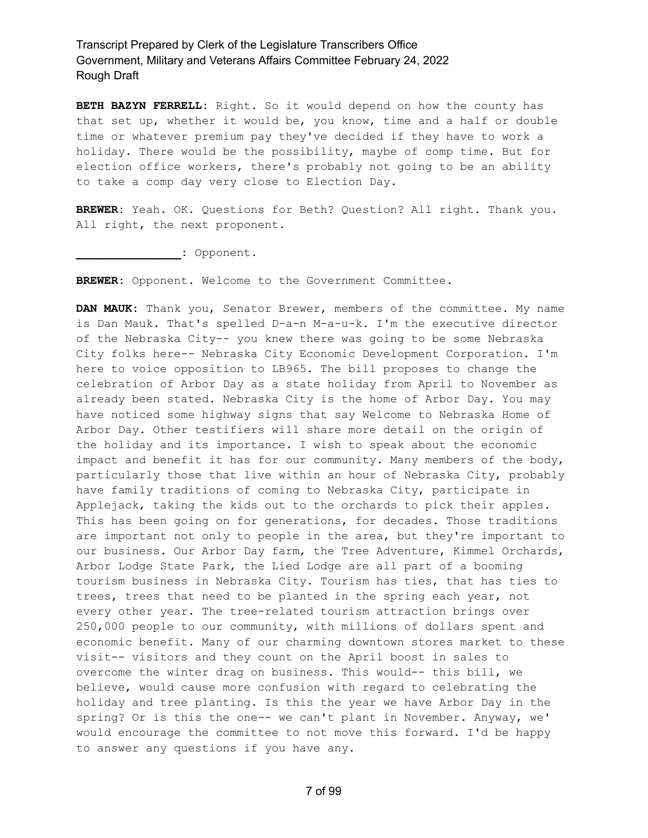**BETH BAZYN FERRELL:** Right. So it would depend on how the county has that set up, whether it would be, you know, time and a half or double time or whatever premium pay they've decided if they have to work a holiday. There would be the possibility, maybe of comp time. But for election office workers, there's probably not going to be an ability to take a comp day very close to Election Day.

**BREWER:** Yeah. OK. Questions for Beth? Question? All right. Thank you. All right, the next proponent.

**\_\_\_\_\_\_\_\_\_\_\_\_\_\_\_:** Opponent.

**BREWER:** Opponent. Welcome to the Government Committee.

**DAN MAUK:** Thank you, Senator Brewer, members of the committee. My name is Dan Mauk. That's spelled D-a-n M-a-u-k. I'm the executive director of the Nebraska City-- you knew there was going to be some Nebraska City folks here-- Nebraska City Economic Development Corporation. I'm here to voice opposition to LB965. The bill proposes to change the celebration of Arbor Day as a state holiday from April to November as already been stated. Nebraska City is the home of Arbor Day. You may have noticed some highway signs that say Welcome to Nebraska Home of Arbor Day. Other testifiers will share more detail on the origin of the holiday and its importance. I wish to speak about the economic impact and benefit it has for our community. Many members of the body, particularly those that live within an hour of Nebraska City, probably have family traditions of coming to Nebraska City, participate in Applejack, taking the kids out to the orchards to pick their apples. This has been going on for generations, for decades. Those traditions are important not only to people in the area, but they're important to our business. Our Arbor Day farm, the Tree Adventure, Kimmel Orchards, Arbor Lodge State Park, the Lied Lodge are all part of a booming tourism business in Nebraska City. Tourism has ties, that has ties to trees, trees that need to be planted in the spring each year, not every other year. The tree-related tourism attraction brings over 250,000 people to our community, with millions of dollars spent and economic benefit. Many of our charming downtown stores market to these visit-- visitors and they count on the April boost in sales to overcome the winter drag on business. This would-- this bill, we believe, would cause more confusion with regard to celebrating the holiday and tree planting. Is this the year we have Arbor Day in the spring? Or is this the one-- we can't plant in November. Anyway, we' would encourage the committee to not move this forward. I'd be happy to answer any questions if you have any.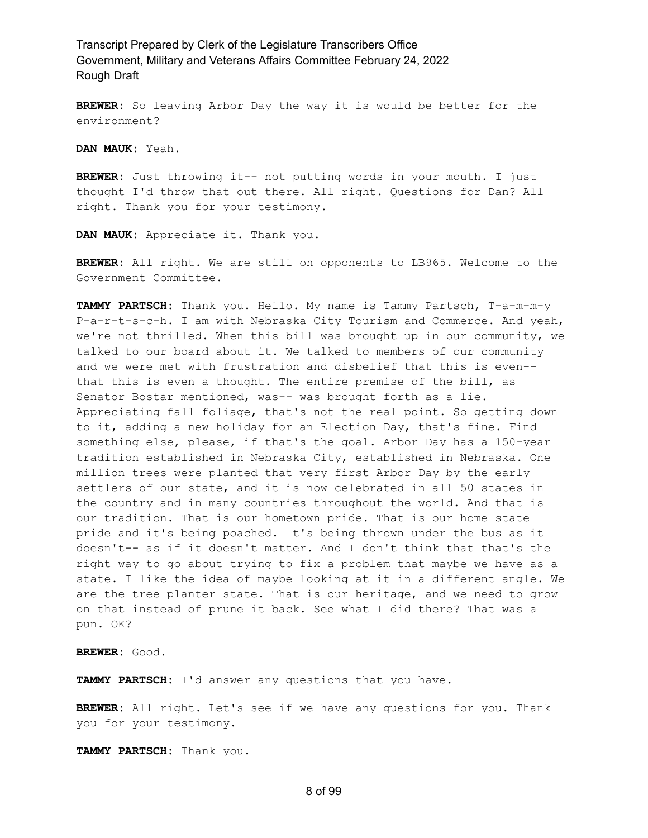**BREWER:** So leaving Arbor Day the way it is would be better for the environment?

**DAN MAUK:** Yeah.

**BREWER:** Just throwing it-- not putting words in your mouth. I just thought I'd throw that out there. All right. Questions for Dan? All right. Thank you for your testimony.

**DAN MAUK:** Appreciate it. Thank you.

**BREWER:** All right. We are still on opponents to LB965. Welcome to the Government Committee.

**TAMMY PARTSCH:** Thank you. Hello. My name is Tammy Partsch, T-a-m-m-y P-a-r-t-s-c-h. I am with Nebraska City Tourism and Commerce. And yeah, we're not thrilled. When this bill was brought up in our community, we talked to our board about it. We talked to members of our community and we were met with frustration and disbelief that this is even- that this is even a thought. The entire premise of the bill, as Senator Bostar mentioned, was-- was brought forth as a lie. Appreciating fall foliage, that's not the real point. So getting down to it, adding a new holiday for an Election Day, that's fine. Find something else, please, if that's the goal. Arbor Day has a 150-year tradition established in Nebraska City, established in Nebraska. One million trees were planted that very first Arbor Day by the early settlers of our state, and it is now celebrated in all 50 states in the country and in many countries throughout the world. And that is our tradition. That is our hometown pride. That is our home state pride and it's being poached. It's being thrown under the bus as it doesn't-- as if it doesn't matter. And I don't think that that's the right way to go about trying to fix a problem that maybe we have as a state. I like the idea of maybe looking at it in a different angle. We are the tree planter state. That is our heritage, and we need to grow on that instead of prune it back. See what I did there? That was a pun. OK?

**BREWER:** Good.

**TAMMY PARTSCH:** I'd answer any questions that you have.

**BREWER:** All right. Let's see if we have any questions for you. Thank you for your testimony.

**TAMMY PARTSCH:** Thank you.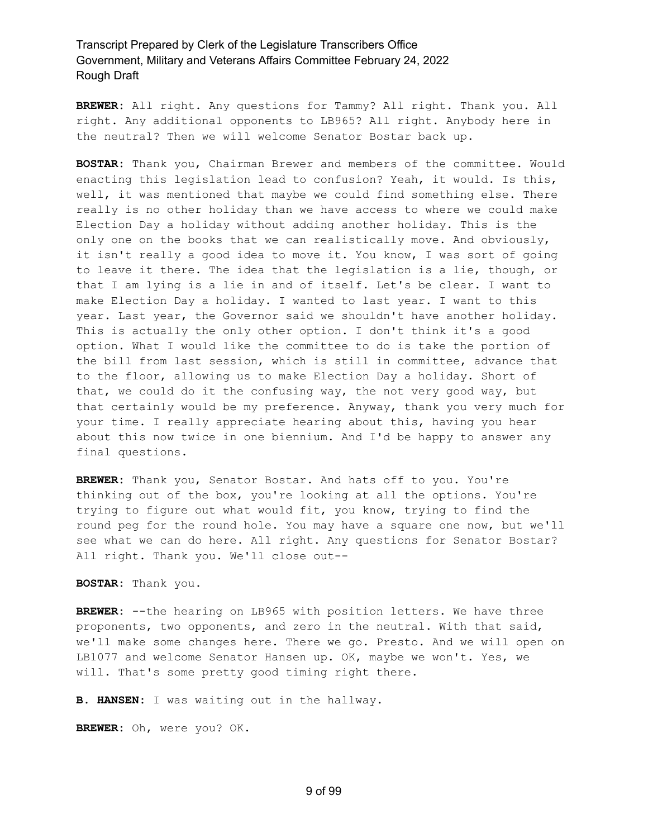**BREWER:** All right. Any questions for Tammy? All right. Thank you. All right. Any additional opponents to LB965? All right. Anybody here in the neutral? Then we will welcome Senator Bostar back up.

**BOSTAR:** Thank you, Chairman Brewer and members of the committee. Would enacting this legislation lead to confusion? Yeah, it would. Is this, well, it was mentioned that maybe we could find something else. There really is no other holiday than we have access to where we could make Election Day a holiday without adding another holiday. This is the only one on the books that we can realistically move. And obviously, it isn't really a good idea to move it. You know, I was sort of going to leave it there. The idea that the legislation is a lie, though, or that I am lying is a lie in and of itself. Let's be clear. I want to make Election Day a holiday. I wanted to last year. I want to this year. Last year, the Governor said we shouldn't have another holiday. This is actually the only other option. I don't think it's a good option. What I would like the committee to do is take the portion of the bill from last session, which is still in committee, advance that to the floor, allowing us to make Election Day a holiday. Short of that, we could do it the confusing way, the not very good way, but that certainly would be my preference. Anyway, thank you very much for your time. I really appreciate hearing about this, having you hear about this now twice in one biennium. And I'd be happy to answer any final questions.

**BREWER:** Thank you, Senator Bostar. And hats off to you. You're thinking out of the box, you're looking at all the options. You're trying to figure out what would fit, you know, trying to find the round peg for the round hole. You may have a square one now, but we'll see what we can do here. All right. Any questions for Senator Bostar? All right. Thank you. We'll close out--

#### **BOSTAR:** Thank you.

**BREWER:** --the hearing on LB965 with position letters. We have three proponents, two opponents, and zero in the neutral. With that said, we'll make some changes here. There we go. Presto. And we will open on LB1077 and welcome Senator Hansen up. OK, maybe we won't. Yes, we will. That's some pretty good timing right there.

**B. HANSEN:** I was waiting out in the hallway.

**BREWER:** Oh, were you? OK.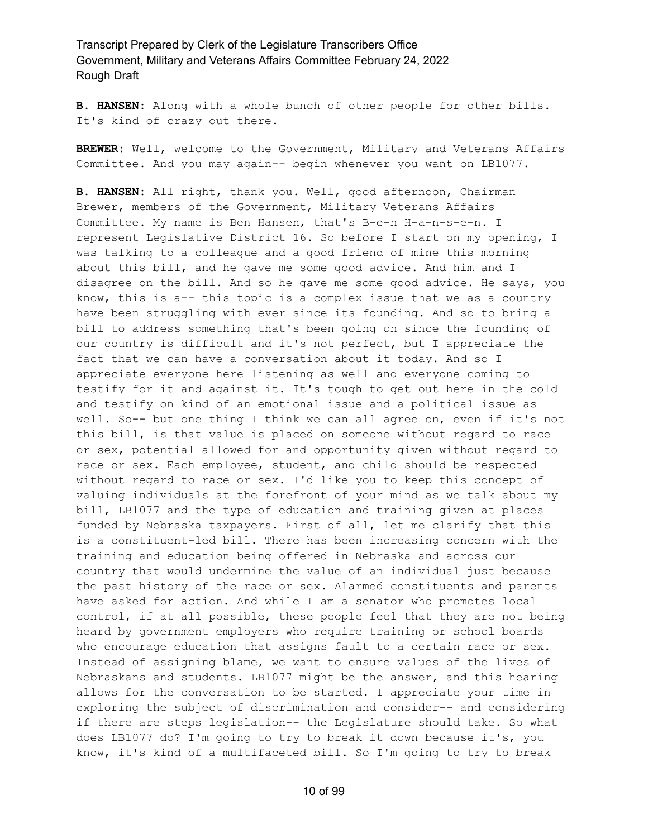**B. HANSEN:** Along with a whole bunch of other people for other bills. It's kind of crazy out there.

BREWER: Well, welcome to the Government, Military and Veterans Affairs Committee. And you may again-- begin whenever you want on LB1077.

**B. HANSEN:** All right, thank you. Well, good afternoon, Chairman Brewer, members of the Government, Military Veterans Affairs Committee. My name is Ben Hansen, that's B-e-n H-a-n-s-e-n. I represent Legislative District 16. So before I start on my opening, I was talking to a colleague and a good friend of mine this morning about this bill, and he gave me some good advice. And him and I disagree on the bill. And so he gave me some good advice. He says, you know, this is a-- this topic is a complex issue that we as a country have been struggling with ever since its founding. And so to bring a bill to address something that's been going on since the founding of our country is difficult and it's not perfect, but I appreciate the fact that we can have a conversation about it today. And so I appreciate everyone here listening as well and everyone coming to testify for it and against it. It's tough to get out here in the cold and testify on kind of an emotional issue and a political issue as well. So-- but one thing I think we can all agree on, even if it's not this bill, is that value is placed on someone without regard to race or sex, potential allowed for and opportunity given without regard to race or sex. Each employee, student, and child should be respected without regard to race or sex. I'd like you to keep this concept of valuing individuals at the forefront of your mind as we talk about my bill, LB1077 and the type of education and training given at places funded by Nebraska taxpayers. First of all, let me clarify that this is a constituent-led bill. There has been increasing concern with the training and education being offered in Nebraska and across our country that would undermine the value of an individual just because the past history of the race or sex. Alarmed constituents and parents have asked for action. And while I am a senator who promotes local control, if at all possible, these people feel that they are not being heard by government employers who require training or school boards who encourage education that assigns fault to a certain race or sex. Instead of assigning blame, we want to ensure values of the lives of Nebraskans and students. LB1077 might be the answer, and this hearing allows for the conversation to be started. I appreciate your time in exploring the subject of discrimination and consider-- and considering if there are steps legislation-- the Legislature should take. So what does LB1077 do? I'm going to try to break it down because it's, you know, it's kind of a multifaceted bill. So I'm going to try to break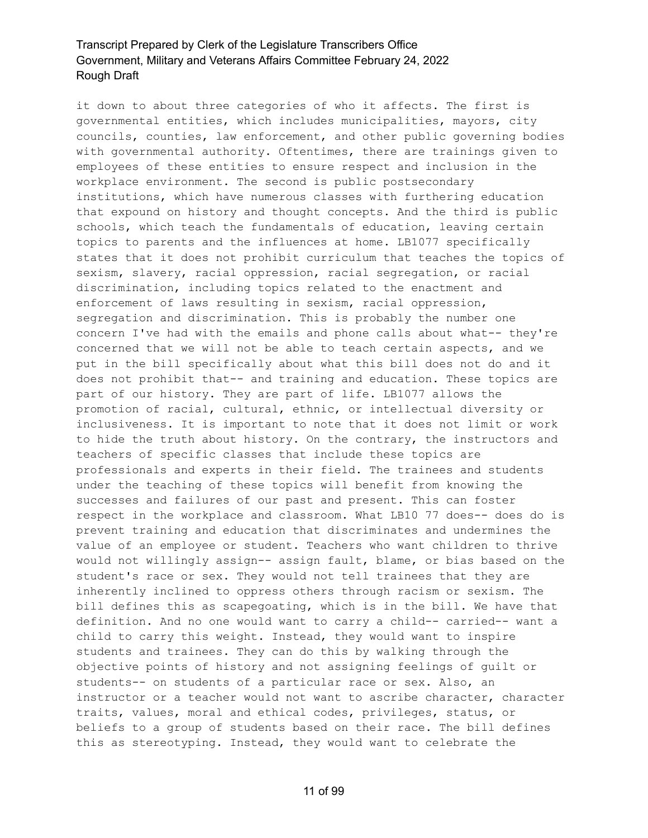it down to about three categories of who it affects. The first is governmental entities, which includes municipalities, mayors, city councils, counties, law enforcement, and other public governing bodies with governmental authority. Oftentimes, there are trainings given to employees of these entities to ensure respect and inclusion in the workplace environment. The second is public postsecondary institutions, which have numerous classes with furthering education that expound on history and thought concepts. And the third is public schools, which teach the fundamentals of education, leaving certain topics to parents and the influences at home. LB1077 specifically states that it does not prohibit curriculum that teaches the topics of sexism, slavery, racial oppression, racial segregation, or racial discrimination, including topics related to the enactment and enforcement of laws resulting in sexism, racial oppression, segregation and discrimination. This is probably the number one concern I've had with the emails and phone calls about what-- they're concerned that we will not be able to teach certain aspects, and we put in the bill specifically about what this bill does not do and it does not prohibit that-- and training and education. These topics are part of our history. They are part of life. LB1077 allows the promotion of racial, cultural, ethnic, or intellectual diversity or inclusiveness. It is important to note that it does not limit or work to hide the truth about history. On the contrary, the instructors and teachers of specific classes that include these topics are professionals and experts in their field. The trainees and students under the teaching of these topics will benefit from knowing the successes and failures of our past and present. This can foster respect in the workplace and classroom. What LB10 77 does-- does do is prevent training and education that discriminates and undermines the value of an employee or student. Teachers who want children to thrive would not willingly assign-- assign fault, blame, or bias based on the student's race or sex. They would not tell trainees that they are inherently inclined to oppress others through racism or sexism. The bill defines this as scapegoating, which is in the bill. We have that definition. And no one would want to carry a child-- carried-- want a child to carry this weight. Instead, they would want to inspire students and trainees. They can do this by walking through the objective points of history and not assigning feelings of guilt or students-- on students of a particular race or sex. Also, an instructor or a teacher would not want to ascribe character, character traits, values, moral and ethical codes, privileges, status, or beliefs to a group of students based on their race. The bill defines this as stereotyping. Instead, they would want to celebrate the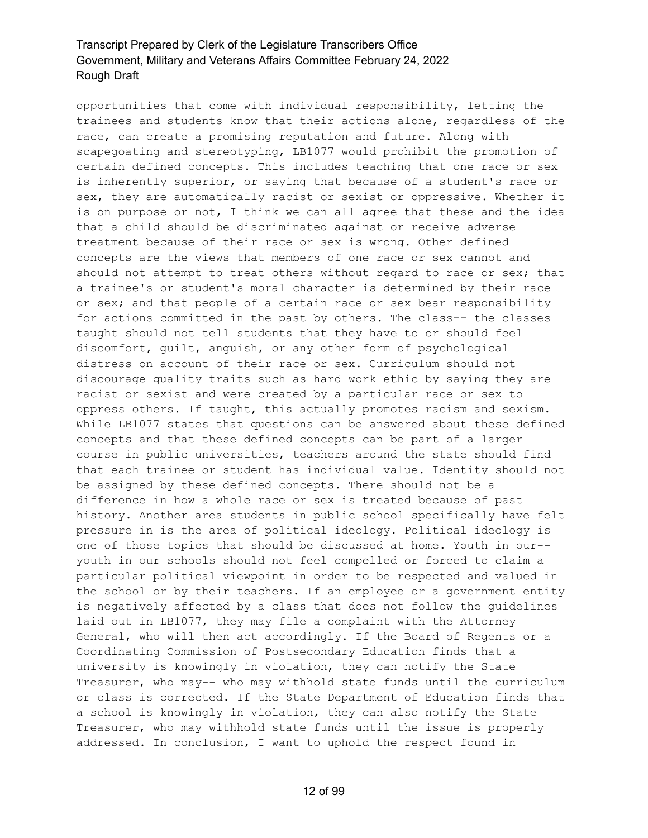opportunities that come with individual responsibility, letting the trainees and students know that their actions alone, regardless of the race, can create a promising reputation and future. Along with scapegoating and stereotyping, LB1077 would prohibit the promotion of certain defined concepts. This includes teaching that one race or sex is inherently superior, or saying that because of a student's race or sex, they are automatically racist or sexist or oppressive. Whether it is on purpose or not, I think we can all agree that these and the idea that a child should be discriminated against or receive adverse treatment because of their race or sex is wrong. Other defined concepts are the views that members of one race or sex cannot and should not attempt to treat others without regard to race or sex; that a trainee's or student's moral character is determined by their race or sex; and that people of a certain race or sex bear responsibility for actions committed in the past by others. The class-- the classes taught should not tell students that they have to or should feel discomfort, guilt, anguish, or any other form of psychological distress on account of their race or sex. Curriculum should not discourage quality traits such as hard work ethic by saying they are racist or sexist and were created by a particular race or sex to oppress others. If taught, this actually promotes racism and sexism. While LB1077 states that questions can be answered about these defined concepts and that these defined concepts can be part of a larger course in public universities, teachers around the state should find that each trainee or student has individual value. Identity should not be assigned by these defined concepts. There should not be a difference in how a whole race or sex is treated because of past history. Another area students in public school specifically have felt pressure in is the area of political ideology. Political ideology is one of those topics that should be discussed at home. Youth in our- youth in our schools should not feel compelled or forced to claim a particular political viewpoint in order to be respected and valued in the school or by their teachers. If an employee or a government entity is negatively affected by a class that does not follow the guidelines laid out in LB1077, they may file a complaint with the Attorney General, who will then act accordingly. If the Board of Regents or a Coordinating Commission of Postsecondary Education finds that a university is knowingly in violation, they can notify the State Treasurer, who may-- who may withhold state funds until the curriculum or class is corrected. If the State Department of Education finds that a school is knowingly in violation, they can also notify the State Treasurer, who may withhold state funds until the issue is properly addressed. In conclusion, I want to uphold the respect found in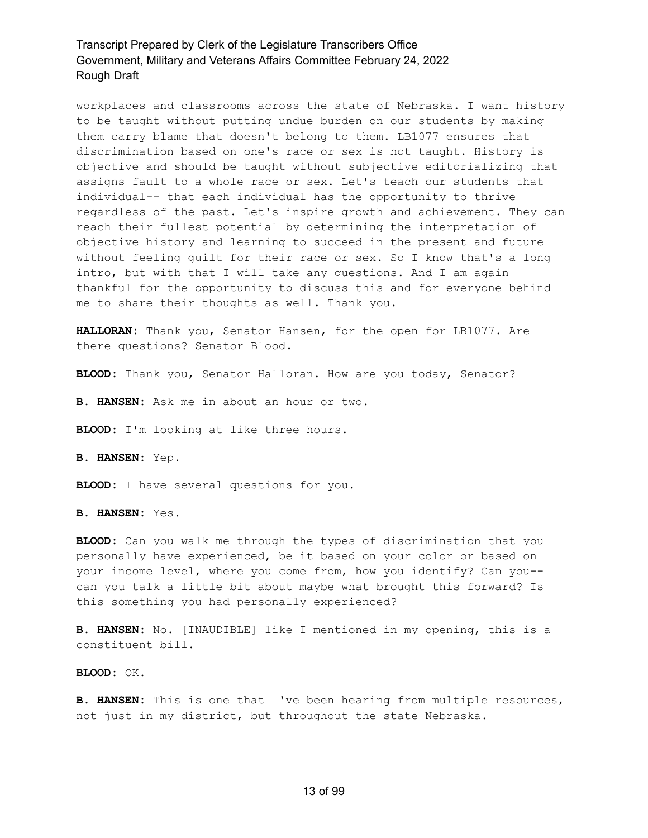workplaces and classrooms across the state of Nebraska. I want history to be taught without putting undue burden on our students by making them carry blame that doesn't belong to them. LB1077 ensures that discrimination based on one's race or sex is not taught. History is objective and should be taught without subjective editorializing that assigns fault to a whole race or sex. Let's teach our students that individual-- that each individual has the opportunity to thrive regardless of the past. Let's inspire growth and achievement. They can reach their fullest potential by determining the interpretation of objective history and learning to succeed in the present and future without feeling guilt for their race or sex. So I know that's a long intro, but with that I will take any questions. And I am again thankful for the opportunity to discuss this and for everyone behind me to share their thoughts as well. Thank you.

**HALLORAN:** Thank you, Senator Hansen, for the open for LB1077. Are there questions? Senator Blood.

**BLOOD:** Thank you, Senator Halloran. How are you today, Senator?

**B. HANSEN:** Ask me in about an hour or two.

**BLOOD:** I'm looking at like three hours.

**B. HANSEN:** Yep.

**BLOOD:** I have several questions for you.

**B. HANSEN:** Yes.

**BLOOD:** Can you walk me through the types of discrimination that you personally have experienced, be it based on your color or based on your income level, where you come from, how you identify? Can you- can you talk a little bit about maybe what brought this forward? Is this something you had personally experienced?

**B. HANSEN:** No. [INAUDIBLE] like I mentioned in my opening, this is a constituent bill.

**BLOOD:** OK.

**B. HANSEN:** This is one that I've been hearing from multiple resources, not just in my district, but throughout the state Nebraska.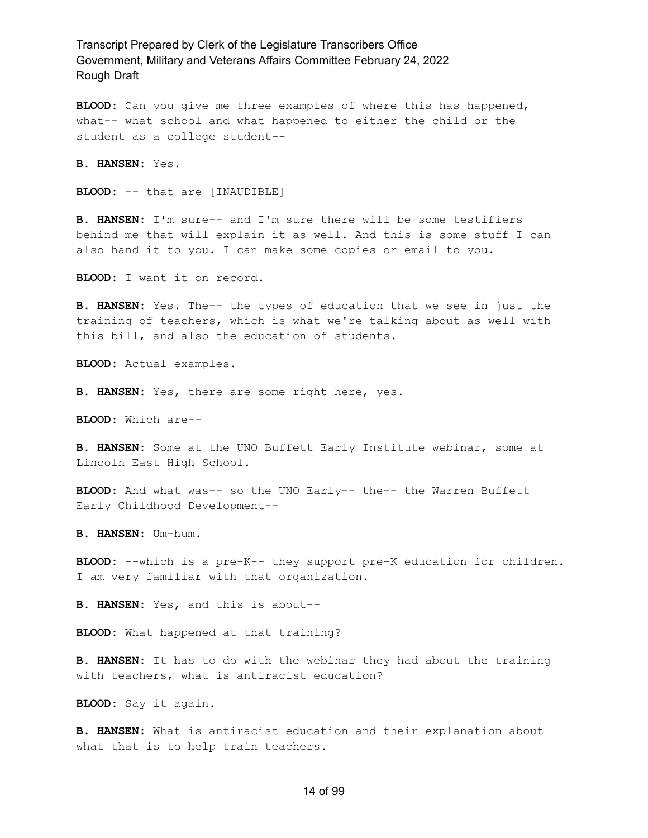**BLOOD:** Can you give me three examples of where this has happened, what-- what school and what happened to either the child or the student as a college student--

**B. HANSEN:** Yes.

**BLOOD:** -- that are [INAUDIBLE]

**B. HANSEN:** I'm sure-- and I'm sure there will be some testifiers behind me that will explain it as well. And this is some stuff I can also hand it to you. I can make some copies or email to you.

**BLOOD:** I want it on record.

**B. HANSEN:** Yes. The-- the types of education that we see in just the training of teachers, which is what we're talking about as well with this bill, and also the education of students.

**BLOOD:** Actual examples.

**B. HANSEN:** Yes, there are some right here, yes.

**BLOOD:** Which are--

**B. HANSEN:** Some at the UNO Buffett Early Institute webinar, some at Lincoln East High School.

**BLOOD:** And what was-- so the UNO Early-- the-- the Warren Buffett Early Childhood Development--

**B. HANSEN:** Um-hum.

**BLOOD:** --which is a pre-K-- they support pre-K education for children. I am very familiar with that organization.

**B. HANSEN:** Yes, and this is about--

**BLOOD:** What happened at that training?

**B. HANSEN:** It has to do with the webinar they had about the training with teachers, what is antiracist education?

**BLOOD:** Say it again.

**B. HANSEN:** What is antiracist education and their explanation about what that is to help train teachers.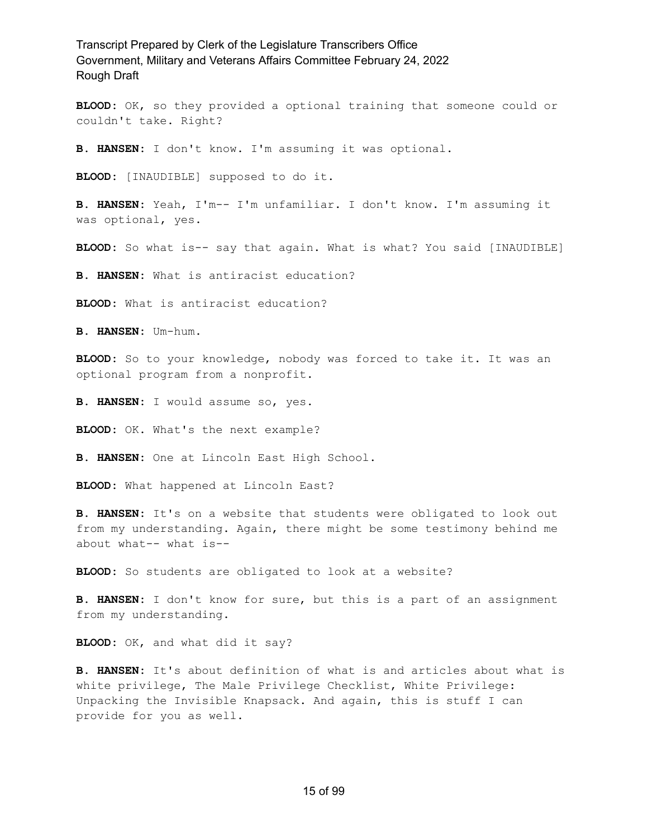**BLOOD:** OK, so they provided a optional training that someone could or couldn't take. Right?

**B. HANSEN:** I don't know. I'm assuming it was optional.

**BLOOD:** [INAUDIBLE] supposed to do it.

**B. HANSEN:** Yeah, I'm-- I'm unfamiliar. I don't know. I'm assuming it was optional, yes.

**BLOOD:** So what is-- say that again. What is what? You said [INAUDIBLE]

**B. HANSEN:** What is antiracist education?

**BLOOD:** What is antiracist education?

**B. HANSEN:** Um-hum.

**BLOOD:** So to your knowledge, nobody was forced to take it. It was an optional program from a nonprofit.

**B. HANSEN:** I would assume so, yes.

**BLOOD:** OK. What's the next example?

**B. HANSEN:** One at Lincoln East High School.

**BLOOD:** What happened at Lincoln East?

**B. HANSEN:** It's on a website that students were obligated to look out from my understanding. Again, there might be some testimony behind me about what-- what is--

**BLOOD:** So students are obligated to look at a website?

**B. HANSEN:** I don't know for sure, but this is a part of an assignment from my understanding.

**BLOOD:** OK, and what did it say?

**B. HANSEN:** It's about definition of what is and articles about what is white privilege, The Male Privilege Checklist, White Privilege: Unpacking the Invisible Knapsack. And again, this is stuff I can provide for you as well.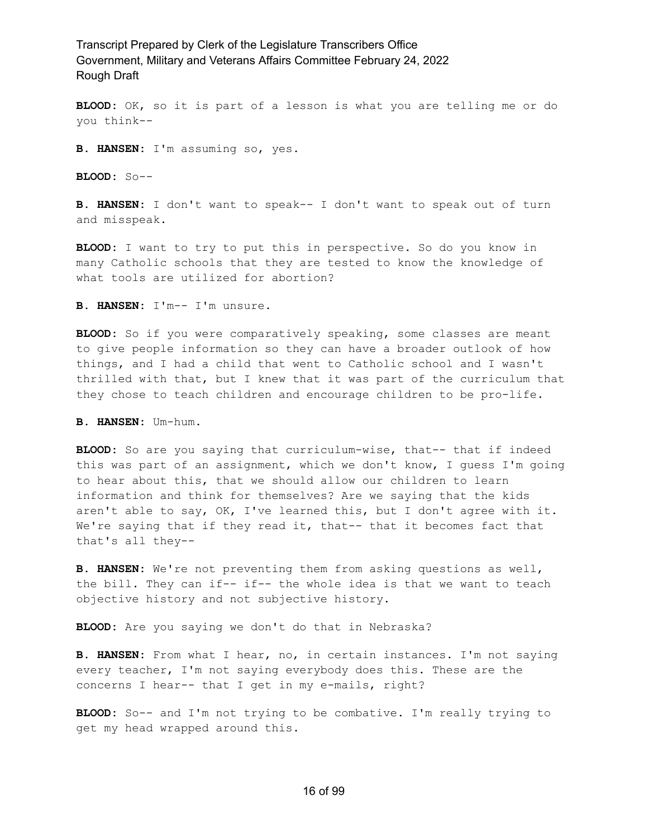**BLOOD:** OK, so it is part of a lesson is what you are telling me or do you think--

**B. HANSEN:** I'm assuming so, yes.

**BLOOD:** So--

**B. HANSEN:** I don't want to speak-- I don't want to speak out of turn and misspeak.

**BLOOD:** I want to try to put this in perspective. So do you know in many Catholic schools that they are tested to know the knowledge of what tools are utilized for abortion?

**B. HANSEN:** I'm-- I'm unsure.

**BLOOD:** So if you were comparatively speaking, some classes are meant to give people information so they can have a broader outlook of how things, and I had a child that went to Catholic school and I wasn't thrilled with that, but I knew that it was part of the curriculum that they chose to teach children and encourage children to be pro-life.

**B. HANSEN:** Um-hum.

**BLOOD:** So are you saying that curriculum-wise, that-- that if indeed this was part of an assignment, which we don't know, I guess I'm going to hear about this, that we should allow our children to learn information and think for themselves? Are we saying that the kids aren't able to say, OK, I've learned this, but I don't agree with it. We're saying that if they read it, that-- that it becomes fact that that's all they--

**B. HANSEN:** We're not preventing them from asking questions as well, the bill. They can if-- if-- the whole idea is that we want to teach objective history and not subjective history.

**BLOOD:** Are you saying we don't do that in Nebraska?

**B. HANSEN:** From what I hear, no, in certain instances. I'm not saying every teacher, I'm not saying everybody does this. These are the concerns I hear-- that I get in my e-mails, right?

**BLOOD:** So-- and I'm not trying to be combative. I'm really trying to get my head wrapped around this.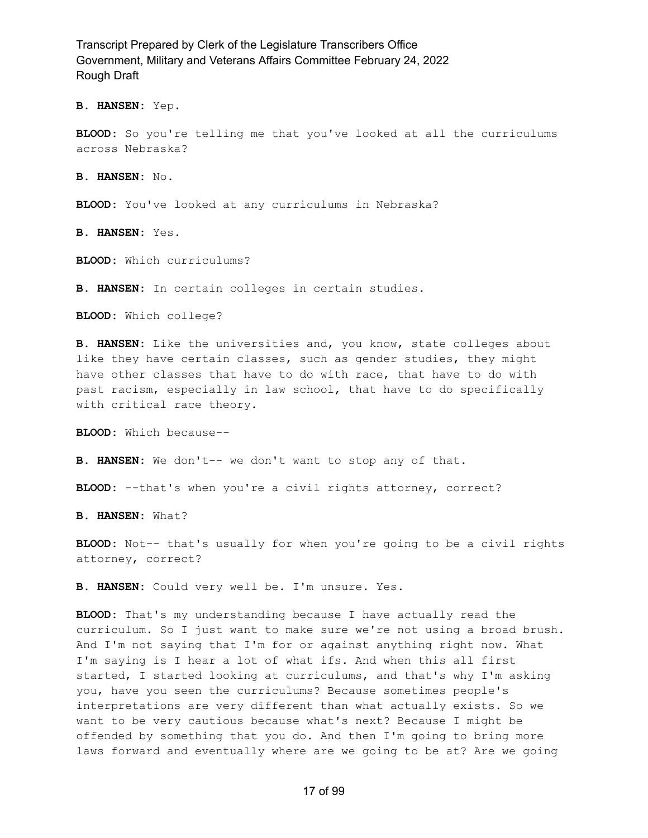**B. HANSEN:** Yep.

**BLOOD:** So you're telling me that you've looked at all the curriculums across Nebraska?

**B. HANSEN:** No.

**BLOOD:** You've looked at any curriculums in Nebraska?

**B. HANSEN:** Yes.

**BLOOD:** Which curriculums?

**B. HANSEN:** In certain colleges in certain studies.

**BLOOD:** Which college?

**B. HANSEN:** Like the universities and, you know, state colleges about like they have certain classes, such as gender studies, they might have other classes that have to do with race, that have to do with past racism, especially in law school, that have to do specifically with critical race theory.

**BLOOD:** Which because--

**B. HANSEN:** We don't-- we don't want to stop any of that.

**BLOOD:** --that's when you're a civil rights attorney, correct?

**B. HANSEN:** What?

**BLOOD:** Not-- that's usually for when you're going to be a civil rights attorney, correct?

**B. HANSEN:** Could very well be. I'm unsure. Yes.

**BLOOD:** That's my understanding because I have actually read the curriculum. So I just want to make sure we're not using a broad brush. And I'm not saying that I'm for or against anything right now. What I'm saying is I hear a lot of what ifs. And when this all first started, I started looking at curriculums, and that's why I'm asking you, have you seen the curriculums? Because sometimes people's interpretations are very different than what actually exists. So we want to be very cautious because what's next? Because I might be offended by something that you do. And then I'm going to bring more laws forward and eventually where are we going to be at? Are we going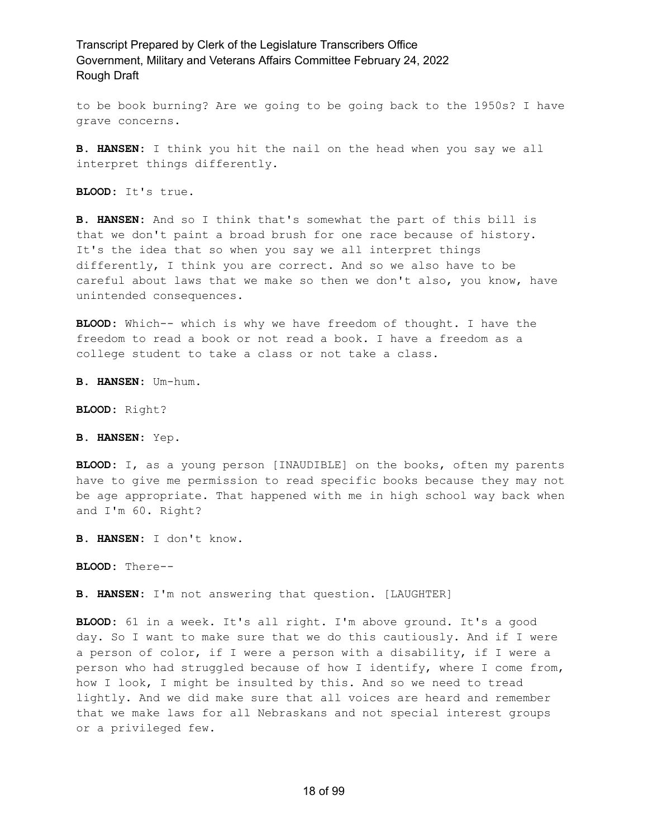to be book burning? Are we going to be going back to the 1950s? I have grave concerns.

**B. HANSEN:** I think you hit the nail on the head when you say we all interpret things differently.

**BLOOD:** It's true.

**B. HANSEN:** And so I think that's somewhat the part of this bill is that we don't paint a broad brush for one race because of history. It's the idea that so when you say we all interpret things differently, I think you are correct. And so we also have to be careful about laws that we make so then we don't also, you know, have unintended consequences.

**BLOOD:** Which-- which is why we have freedom of thought. I have the freedom to read a book or not read a book. I have a freedom as a college student to take a class or not take a class.

**B. HANSEN:** Um-hum.

**BLOOD:** Right?

**B. HANSEN:** Yep.

**BLOOD:** I, as a young person [INAUDIBLE] on the books, often my parents have to give me permission to read specific books because they may not be age appropriate. That happened with me in high school way back when and I'm 60. Right?

**B. HANSEN:** I don't know.

**BLOOD:** There--

**B. HANSEN:** I'm not answering that question. [LAUGHTER]

**BLOOD:** 61 in a week. It's all right. I'm above ground. It's a good day. So I want to make sure that we do this cautiously. And if I were a person of color, if I were a person with a disability, if I were a person who had struggled because of how I identify, where I come from, how I look, I might be insulted by this. And so we need to tread lightly. And we did make sure that all voices are heard and remember that we make laws for all Nebraskans and not special interest groups or a privileged few.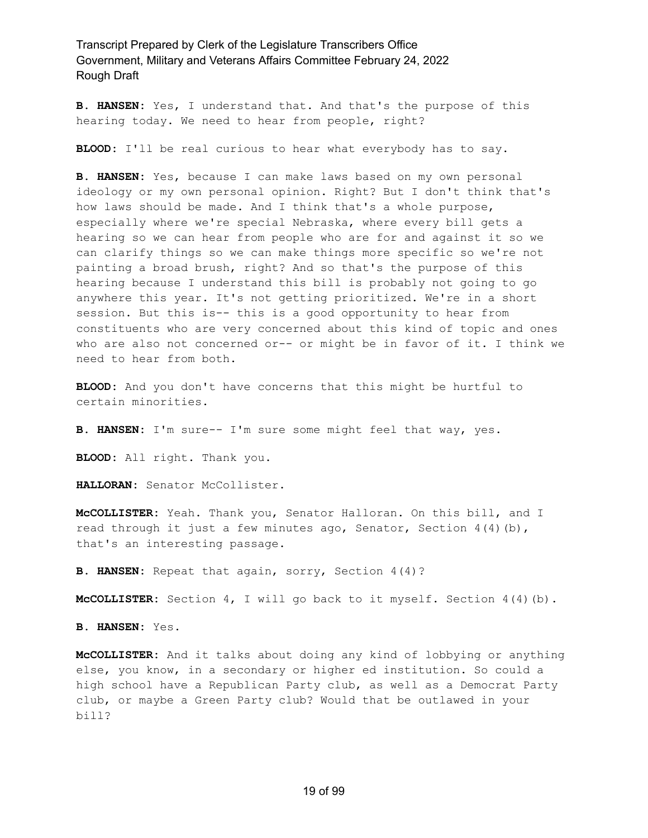**B. HANSEN:** Yes, I understand that. And that's the purpose of this hearing today. We need to hear from people, right?

**BLOOD:** I'll be real curious to hear what everybody has to say.

**B. HANSEN:** Yes, because I can make laws based on my own personal ideology or my own personal opinion. Right? But I don't think that's how laws should be made. And I think that's a whole purpose, especially where we're special Nebraska, where every bill gets a hearing so we can hear from people who are for and against it so we can clarify things so we can make things more specific so we're not painting a broad brush, right? And so that's the purpose of this hearing because I understand this bill is probably not going to go anywhere this year. It's not getting prioritized. We're in a short session. But this is-- this is a good opportunity to hear from constituents who are very concerned about this kind of topic and ones who are also not concerned or-- or might be in favor of it. I think we need to hear from both.

**BLOOD:** And you don't have concerns that this might be hurtful to certain minorities.

**B. HANSEN:** I'm sure-- I'm sure some might feel that way, yes.

**BLOOD:** All right. Thank you.

HALLORAN: Senator McCollister.

**McCOLLISTER:** Yeah. Thank you, Senator Halloran. On this bill, and I read through it just a few minutes ago, Senator, Section  $4(4)(b)$ , that's an interesting passage.

**B. HANSEN:** Repeat that again, sorry, Section 4(4)?

**McCOLLISTER:** Section 4, I will go back to it myself. Section 4(4)(b).

**B. HANSEN:** Yes.

**McCOLLISTER:** And it talks about doing any kind of lobbying or anything else, you know, in a secondary or higher ed institution. So could a high school have a Republican Party club, as well as a Democrat Party club, or maybe a Green Party club? Would that be outlawed in your bill?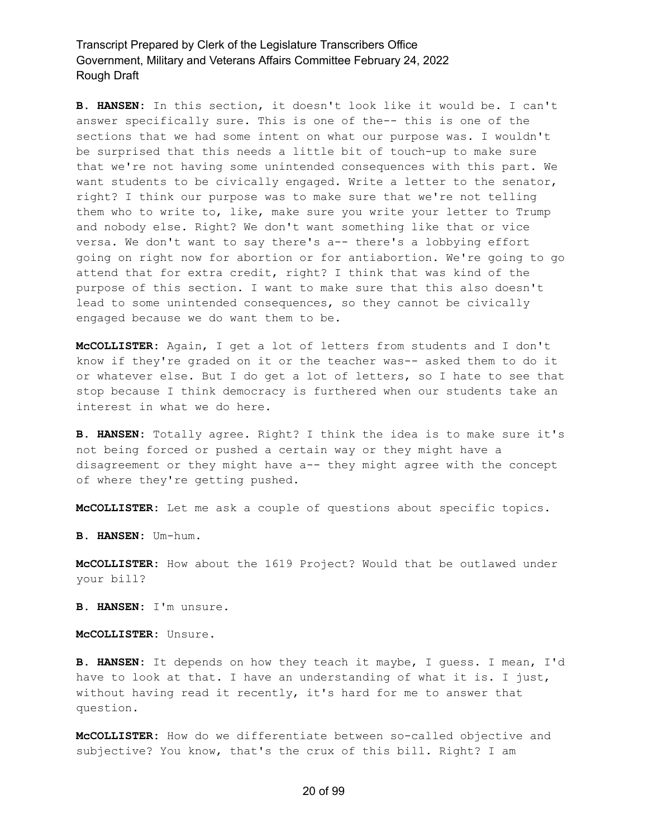**B. HANSEN:** In this section, it doesn't look like it would be. I can't answer specifically sure. This is one of the-- this is one of the sections that we had some intent on what our purpose was. I wouldn't be surprised that this needs a little bit of touch-up to make sure that we're not having some unintended consequences with this part. We want students to be civically engaged. Write a letter to the senator, right? I think our purpose was to make sure that we're not telling them who to write to, like, make sure you write your letter to Trump and nobody else. Right? We don't want something like that or vice versa. We don't want to say there's a-- there's a lobbying effort going on right now for abortion or for antiabortion. We're going to go attend that for extra credit, right? I think that was kind of the purpose of this section. I want to make sure that this also doesn't lead to some unintended consequences, so they cannot be civically engaged because we do want them to be.

**McCOLLISTER:** Again, I get a lot of letters from students and I don't know if they're graded on it or the teacher was-- asked them to do it or whatever else. But I do get a lot of letters, so I hate to see that stop because I think democracy is furthered when our students take an interest in what we do here.

**B. HANSEN:** Totally agree. Right? I think the idea is to make sure it's not being forced or pushed a certain way or they might have a disagreement or they might have a-- they might agree with the concept of where they're getting pushed.

**McCOLLISTER:** Let me ask a couple of questions about specific topics.

**B. HANSEN:** Um-hum.

**McCOLLISTER:** How about the 1619 Project? Would that be outlawed under your bill?

**B. HANSEN:** I'm unsure.

**McCOLLISTER:** Unsure.

**B. HANSEN:** It depends on how they teach it maybe, I guess. I mean, I'd have to look at that. I have an understanding of what it is. I just, without having read it recently, it's hard for me to answer that question.

**McCOLLISTER:** How do we differentiate between so-called objective and subjective? You know, that's the crux of this bill. Right? I am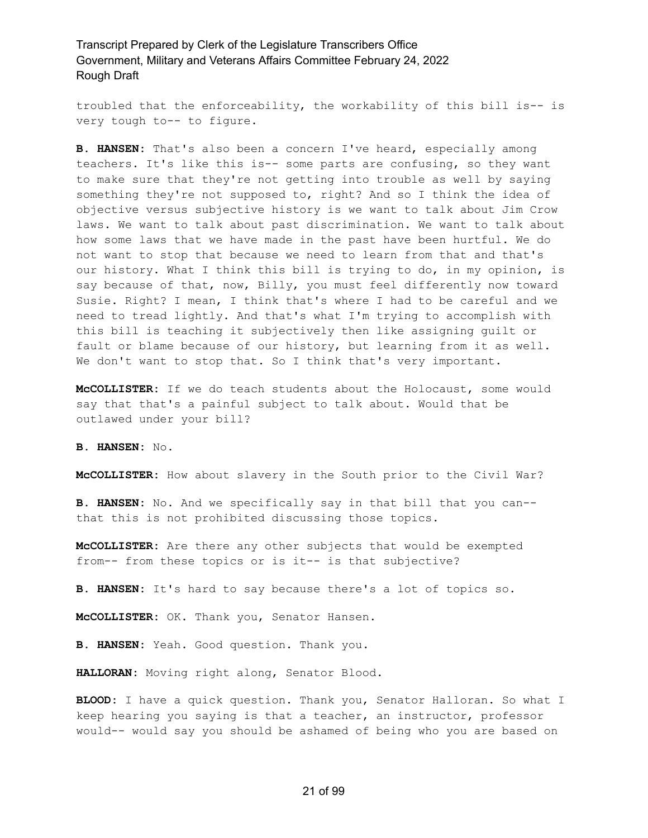troubled that the enforceability, the workability of this bill is-- is very tough to-- to figure.

**B. HANSEN:** That's also been a concern I've heard, especially among teachers. It's like this is-- some parts are confusing, so they want to make sure that they're not getting into trouble as well by saying something they're not supposed to, right? And so I think the idea of objective versus subjective history is we want to talk about Jim Crow laws. We want to talk about past discrimination. We want to talk about how some laws that we have made in the past have been hurtful. We do not want to stop that because we need to learn from that and that's our history. What I think this bill is trying to do, in my opinion, is say because of that, now, Billy, you must feel differently now toward Susie. Right? I mean, I think that's where I had to be careful and we need to tread lightly. And that's what I'm trying to accomplish with this bill is teaching it subjectively then like assigning guilt or fault or blame because of our history, but learning from it as well. We don't want to stop that. So I think that's very important.

**McCOLLISTER:** If we do teach students about the Holocaust, some would say that that's a painful subject to talk about. Would that be outlawed under your bill?

**B. HANSEN:** No.

**McCOLLISTER:** How about slavery in the South prior to the Civil War?

**B. HANSEN:** No. And we specifically say in that bill that you can- that this is not prohibited discussing those topics.

**McCOLLISTER:** Are there any other subjects that would be exempted from-- from these topics or is it-- is that subjective?

**B. HANSEN:** It's hard to say because there's a lot of topics so.

**McCOLLISTER:** OK. Thank you, Senator Hansen.

**B. HANSEN:** Yeah. Good question. Thank you.

**HALLORAN:** Moving right along, Senator Blood.

**BLOOD:** I have a quick question. Thank you, Senator Halloran. So what I keep hearing you saying is that a teacher, an instructor, professor would-- would say you should be ashamed of being who you are based on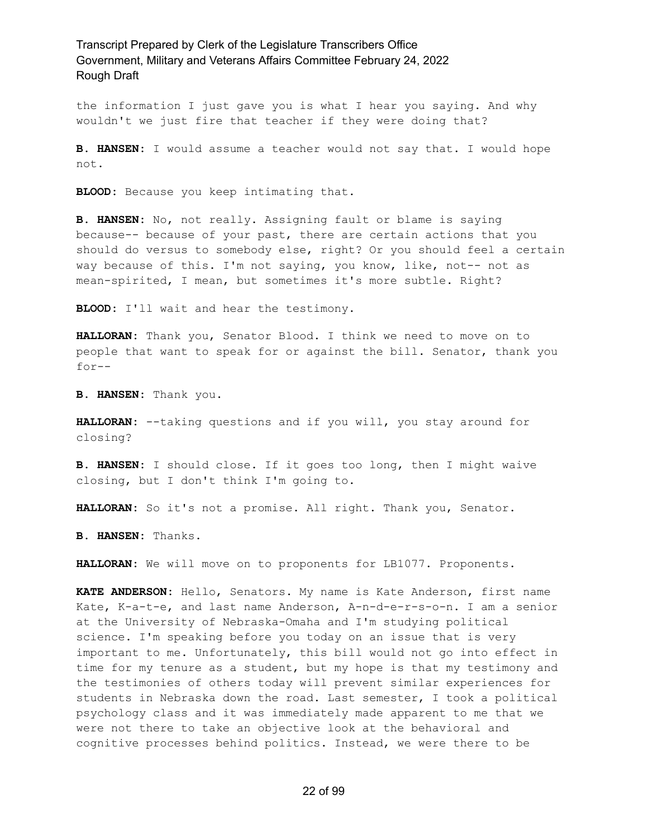the information I just gave you is what I hear you saying. And why wouldn't we just fire that teacher if they were doing that?

**B. HANSEN:** I would assume a teacher would not say that. I would hope not.

**BLOOD:** Because you keep intimating that.

**B. HANSEN:** No, not really. Assigning fault or blame is saying because-- because of your past, there are certain actions that you should do versus to somebody else, right? Or you should feel a certain way because of this. I'm not saying, you know, like, not-- not as mean-spirited, I mean, but sometimes it's more subtle. Right?

**BLOOD:** I'll wait and hear the testimony.

**HALLORAN:** Thank you, Senator Blood. I think we need to move on to people that want to speak for or against the bill. Senator, thank you for--

**B. HANSEN:** Thank you.

**HALLORAN:** --taking questions and if you will, you stay around for closing?

**B. HANSEN:** I should close. If it goes too long, then I might waive closing, but I don't think I'm going to.

**HALLORAN:** So it's not a promise. All right. Thank you, Senator.

**B. HANSEN:** Thanks.

**HALLORAN:** We will move on to proponents for LB1077. Proponents.

**KATE ANDERSON:** Hello, Senators. My name is Kate Anderson, first name Kate, K-a-t-e, and last name Anderson, A-n-d-e-r-s-o-n. I am a senior at the University of Nebraska-Omaha and I'm studying political science. I'm speaking before you today on an issue that is very important to me. Unfortunately, this bill would not go into effect in time for my tenure as a student, but my hope is that my testimony and the testimonies of others today will prevent similar experiences for students in Nebraska down the road. Last semester, I took a political psychology class and it was immediately made apparent to me that we were not there to take an objective look at the behavioral and cognitive processes behind politics. Instead, we were there to be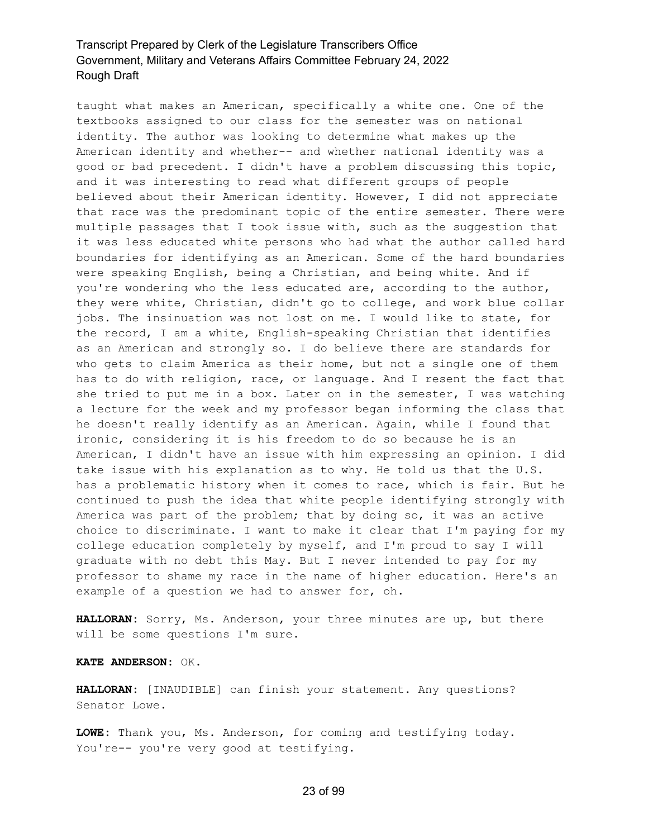taught what makes an American, specifically a white one. One of the textbooks assigned to our class for the semester was on national identity. The author was looking to determine what makes up the American identity and whether-- and whether national identity was a good or bad precedent. I didn't have a problem discussing this topic, and it was interesting to read what different groups of people believed about their American identity. However, I did not appreciate that race was the predominant topic of the entire semester. There were multiple passages that I took issue with, such as the suggestion that it was less educated white persons who had what the author called hard boundaries for identifying as an American. Some of the hard boundaries were speaking English, being a Christian, and being white. And if you're wondering who the less educated are, according to the author, they were white, Christian, didn't go to college, and work blue collar jobs. The insinuation was not lost on me. I would like to state, for the record, I am a white, English-speaking Christian that identifies as an American and strongly so. I do believe there are standards for who gets to claim America as their home, but not a single one of them has to do with religion, race, or language. And I resent the fact that she tried to put me in a box. Later on in the semester, I was watching a lecture for the week and my professor began informing the class that he doesn't really identify as an American. Again, while I found that ironic, considering it is his freedom to do so because he is an American, I didn't have an issue with him expressing an opinion. I did take issue with his explanation as to why. He told us that the U.S. has a problematic history when it comes to race, which is fair. But he continued to push the idea that white people identifying strongly with America was part of the problem; that by doing so, it was an active choice to discriminate. I want to make it clear that I'm paying for my college education completely by myself, and I'm proud to say I will graduate with no debt this May. But I never intended to pay for my professor to shame my race in the name of higher education. Here's an example of a question we had to answer for, oh.

**HALLORAN:** Sorry, Ms. Anderson, your three minutes are up, but there will be some questions I'm sure.

**KATE ANDERSON:** OK.

**HALLORAN:** [INAUDIBLE] can finish your statement. Any questions? Senator Lowe.

**LOWE:** Thank you, Ms. Anderson, for coming and testifying today. You're-- you're very good at testifying.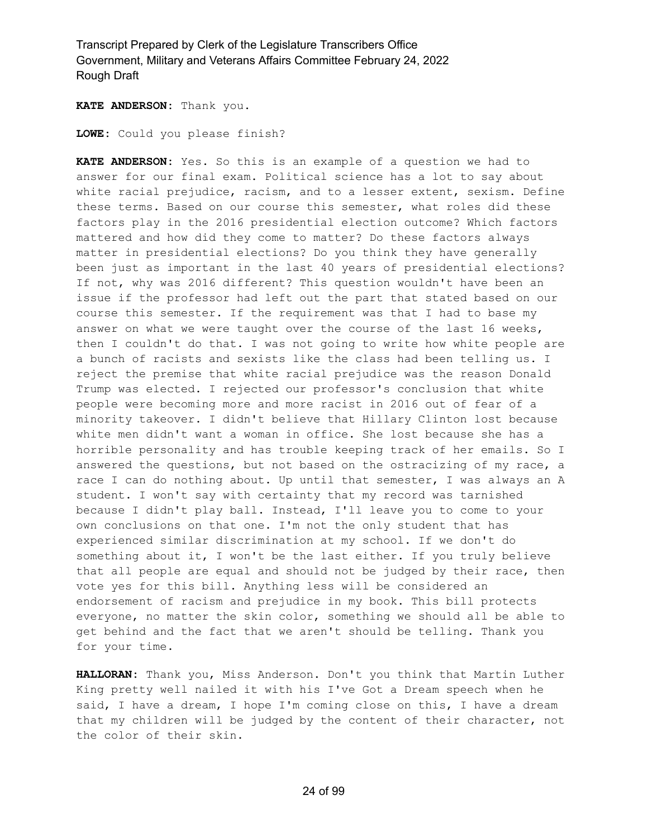**KATE ANDERSON:** Thank you.

**LOWE:** Could you please finish?

**KATE ANDERSON:** Yes. So this is an example of a question we had to answer for our final exam. Political science has a lot to say about white racial prejudice, racism, and to a lesser extent, sexism. Define these terms. Based on our course this semester, what roles did these factors play in the 2016 presidential election outcome? Which factors mattered and how did they come to matter? Do these factors always matter in presidential elections? Do you think they have generally been just as important in the last 40 years of presidential elections? If not, why was 2016 different? This question wouldn't have been an issue if the professor had left out the part that stated based on our course this semester. If the requirement was that I had to base my answer on what we were taught over the course of the last 16 weeks, then I couldn't do that. I was not going to write how white people are a bunch of racists and sexists like the class had been telling us. I reject the premise that white racial prejudice was the reason Donald Trump was elected. I rejected our professor's conclusion that white people were becoming more and more racist in 2016 out of fear of a minority takeover. I didn't believe that Hillary Clinton lost because white men didn't want a woman in office. She lost because she has a horrible personality and has trouble keeping track of her emails. So I answered the questions, but not based on the ostracizing of my race, a race I can do nothing about. Up until that semester, I was always an A student. I won't say with certainty that my record was tarnished because I didn't play ball. Instead, I'll leave you to come to your own conclusions on that one. I'm not the only student that has experienced similar discrimination at my school. If we don't do something about it, I won't be the last either. If you truly believe that all people are equal and should not be judged by their race, then vote yes for this bill. Anything less will be considered an endorsement of racism and prejudice in my book. This bill protects everyone, no matter the skin color, something we should all be able to get behind and the fact that we aren't should be telling. Thank you for your time.

**HALLORAN:** Thank you, Miss Anderson. Don't you think that Martin Luther King pretty well nailed it with his I've Got a Dream speech when he said, I have a dream, I hope I'm coming close on this, I have a dream that my children will be judged by the content of their character, not the color of their skin.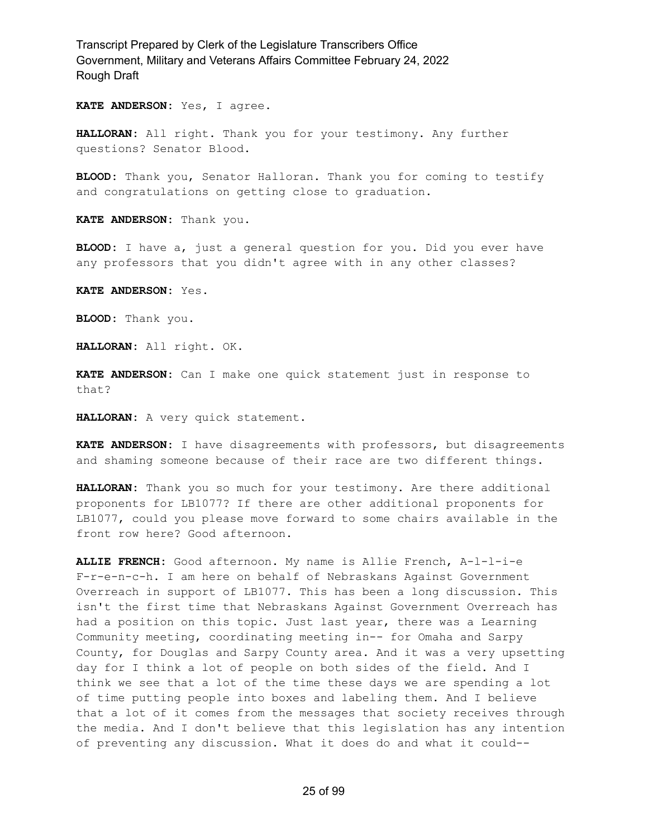**KATE ANDERSON:** Yes, I agree.

**HALLORAN:** All right. Thank you for your testimony. Any further questions? Senator Blood.

**BLOOD:** Thank you, Senator Halloran. Thank you for coming to testify and congratulations on getting close to graduation.

**KATE ANDERSON:** Thank you.

**BLOOD:** I have a, just a general question for you. Did you ever have any professors that you didn't agree with in any other classes?

**KATE ANDERSON:** Yes.

**BLOOD:** Thank you.

**HALLORAN:** All right. OK.

**KATE ANDERSON:** Can I make one quick statement just in response to that?

**HALLORAN:** A very quick statement.

**KATE ANDERSON:** I have disagreements with professors, but disagreements and shaming someone because of their race are two different things.

**HALLORAN:** Thank you so much for your testimony. Are there additional proponents for LB1077? If there are other additional proponents for LB1077, could you please move forward to some chairs available in the front row here? Good afternoon.

**ALLIE FRENCH:** Good afternoon. My name is Allie French, A-l-l-i-e F-r-e-n-c-h. I am here on behalf of Nebraskans Against Government Overreach in support of LB1077. This has been a long discussion. This isn't the first time that Nebraskans Against Government Overreach has had a position on this topic. Just last year, there was a Learning Community meeting, coordinating meeting in-- for Omaha and Sarpy County, for Douglas and Sarpy County area. And it was a very upsetting day for I think a lot of people on both sides of the field. And I think we see that a lot of the time these days we are spending a lot of time putting people into boxes and labeling them. And I believe that a lot of it comes from the messages that society receives through the media. And I don't believe that this legislation has any intention of preventing any discussion. What it does do and what it could--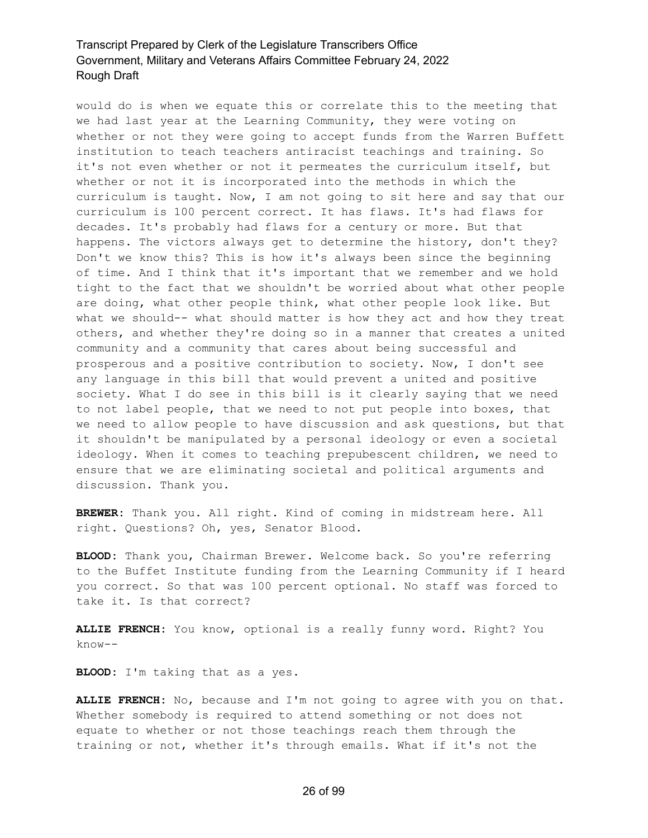would do is when we equate this or correlate this to the meeting that we had last year at the Learning Community, they were voting on whether or not they were going to accept funds from the Warren Buffett institution to teach teachers antiracist teachings and training. So it's not even whether or not it permeates the curriculum itself, but whether or not it is incorporated into the methods in which the curriculum is taught. Now, I am not going to sit here and say that our curriculum is 100 percent correct. It has flaws. It's had flaws for decades. It's probably had flaws for a century or more. But that happens. The victors always get to determine the history, don't they? Don't we know this? This is how it's always been since the beginning of time. And I think that it's important that we remember and we hold tight to the fact that we shouldn't be worried about what other people are doing, what other people think, what other people look like. But what we should-- what should matter is how they act and how they treat others, and whether they're doing so in a manner that creates a united community and a community that cares about being successful and prosperous and a positive contribution to society. Now, I don't see any language in this bill that would prevent a united and positive society. What I do see in this bill is it clearly saying that we need to not label people, that we need to not put people into boxes, that we need to allow people to have discussion and ask questions, but that it shouldn't be manipulated by a personal ideology or even a societal ideology. When it comes to teaching prepubescent children, we need to ensure that we are eliminating societal and political arguments and discussion. Thank you.

**BREWER:** Thank you. All right. Kind of coming in midstream here. All right. Questions? Oh, yes, Senator Blood.

**BLOOD:** Thank you, Chairman Brewer. Welcome back. So you're referring to the Buffet Institute funding from the Learning Community if I heard you correct. So that was 100 percent optional. No staff was forced to take it. Is that correct?

**ALLIE FRENCH:** You know, optional is a really funny word. Right? You know--

**BLOOD:** I'm taking that as a yes.

**ALLIE FRENCH:** No, because and I'm not going to agree with you on that. Whether somebody is required to attend something or not does not equate to whether or not those teachings reach them through the training or not, whether it's through emails. What if it's not the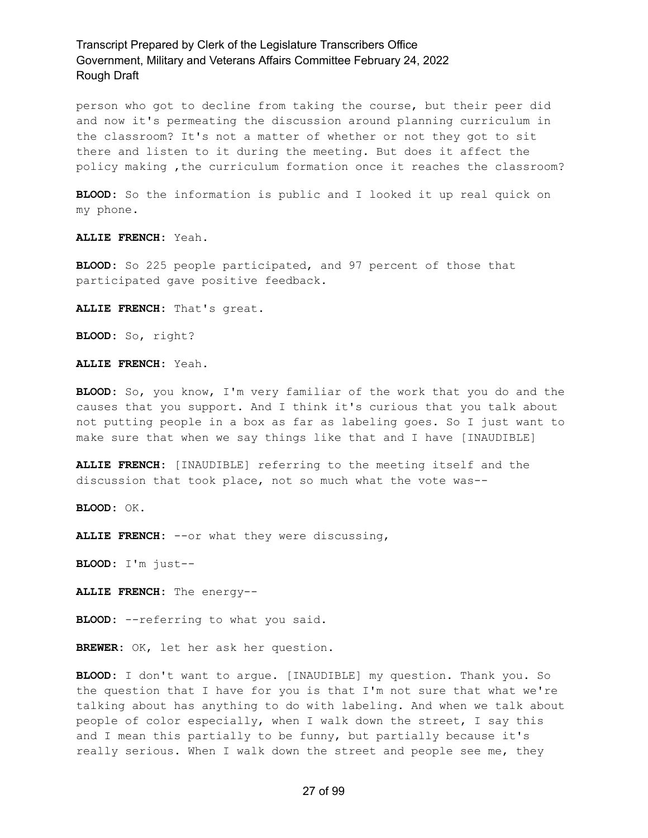person who got to decline from taking the course, but their peer did and now it's permeating the discussion around planning curriculum in the classroom? It's not a matter of whether or not they got to sit there and listen to it during the meeting. But does it affect the policy making ,the curriculum formation once it reaches the classroom?

**BLOOD:** So the information is public and I looked it up real quick on my phone.

**ALLIE FRENCH:** Yeah.

**BLOOD:** So 225 people participated, and 97 percent of those that participated gave positive feedback.

**ALLIE FRENCH:** That's great.

**BLOOD:** So, right?

**ALLIE FRENCH:** Yeah.

**BLOOD:** So, you know, I'm very familiar of the work that you do and the causes that you support. And I think it's curious that you talk about not putting people in a box as far as labeling goes. So I just want to make sure that when we say things like that and I have [INAUDIBLE]

**ALLIE FRENCH:** [INAUDIBLE] referring to the meeting itself and the discussion that took place, not so much what the vote was--

**BLOOD:** OK.

**ALLIE FRENCH:** --or what they were discussing,

**BLOOD:** I'm just--

**ALLIE FRENCH:** The energy--

**BLOOD:** --referring to what you said.

**BREWER:** OK, let her ask her question.

**BLOOD:** I don't want to argue. [INAUDIBLE] my question. Thank you. So the question that I have for you is that I'm not sure that what we're talking about has anything to do with labeling. And when we talk about people of color especially, when I walk down the street, I say this and I mean this partially to be funny, but partially because it's really serious. When I walk down the street and people see me, they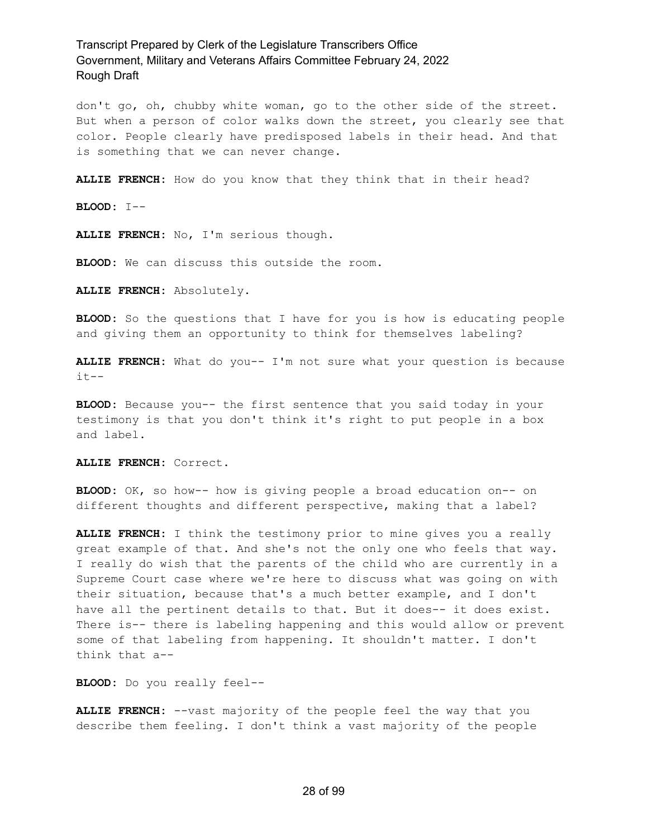don't go, oh, chubby white woman, go to the other side of the street. But when a person of color walks down the street, you clearly see that color. People clearly have predisposed labels in their head. And that is something that we can never change.

**ALLIE FRENCH:** How do you know that they think that in their head?

**BLOOD:** I--

**ALLIE FRENCH:** No, I'm serious though.

**BLOOD:** We can discuss this outside the room.

**ALLIE FRENCH:** Absolutely.

**BLOOD:** So the questions that I have for you is how is educating people and giving them an opportunity to think for themselves labeling?

**ALLIE FRENCH:** What do you-- I'm not sure what your question is because  $it--$ 

**BLOOD:** Because you-- the first sentence that you said today in your testimony is that you don't think it's right to put people in a box and label.

**ALLIE FRENCH:** Correct.

**BLOOD:** OK, so how-- how is giving people a broad education on-- on different thoughts and different perspective, making that a label?

**ALLIE FRENCH:** I think the testimony prior to mine gives you a really great example of that. And she's not the only one who feels that way. I really do wish that the parents of the child who are currently in a Supreme Court case where we're here to discuss what was going on with their situation, because that's a much better example, and I don't have all the pertinent details to that. But it does-- it does exist. There is-- there is labeling happening and this would allow or prevent some of that labeling from happening. It shouldn't matter. I don't think that a--

**BLOOD:** Do you really feel--

**ALLIE FRENCH:** --vast majority of the people feel the way that you describe them feeling. I don't think a vast majority of the people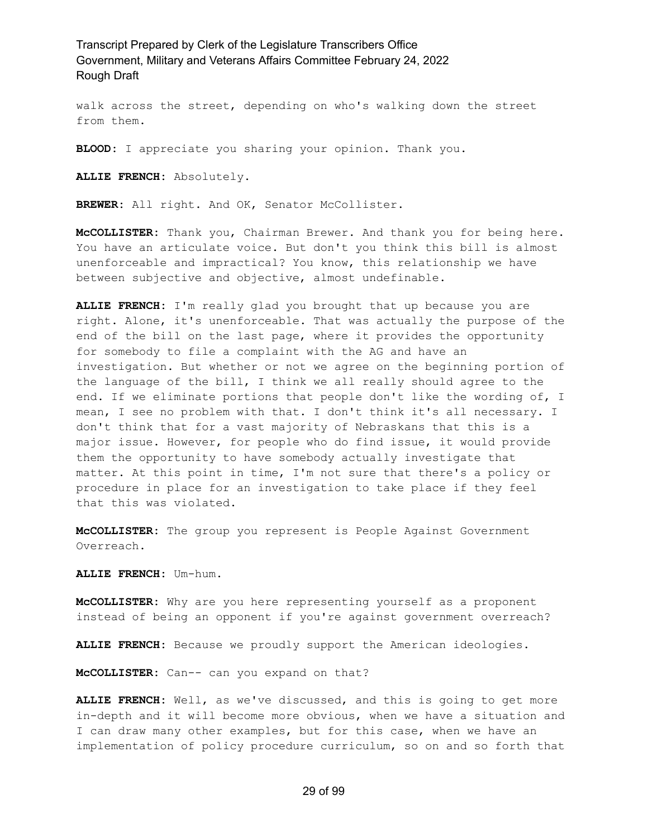walk across the street, depending on who's walking down the street from them.

**BLOOD:** I appreciate you sharing your opinion. Thank you.

**ALLIE FRENCH:** Absolutely.

BREWER: All right. And OK, Senator McCollister.

**McCOLLISTER:** Thank you, Chairman Brewer. And thank you for being here. You have an articulate voice. But don't you think this bill is almost unenforceable and impractical? You know, this relationship we have between subjective and objective, almost undefinable.

**ALLIE FRENCH:** I'm really glad you brought that up because you are right. Alone, it's unenforceable. That was actually the purpose of the end of the bill on the last page, where it provides the opportunity for somebody to file a complaint with the AG and have an investigation. But whether or not we agree on the beginning portion of the language of the bill, I think we all really should agree to the end. If we eliminate portions that people don't like the wording of, I mean, I see no problem with that. I don't think it's all necessary. I don't think that for a vast majority of Nebraskans that this is a major issue. However, for people who do find issue, it would provide them the opportunity to have somebody actually investigate that matter. At this point in time, I'm not sure that there's a policy or procedure in place for an investigation to take place if they feel that this was violated.

**McCOLLISTER:** The group you represent is People Against Government Overreach.

**ALLIE FRENCH:** Um-hum.

**McCOLLISTER:** Why are you here representing yourself as a proponent instead of being an opponent if you're against government overreach?

**ALLIE FRENCH:** Because we proudly support the American ideologies.

**McCOLLISTER:** Can-- can you expand on that?

**ALLIE FRENCH:** Well, as we've discussed, and this is going to get more in-depth and it will become more obvious, when we have a situation and I can draw many other examples, but for this case, when we have an implementation of policy procedure curriculum, so on and so forth that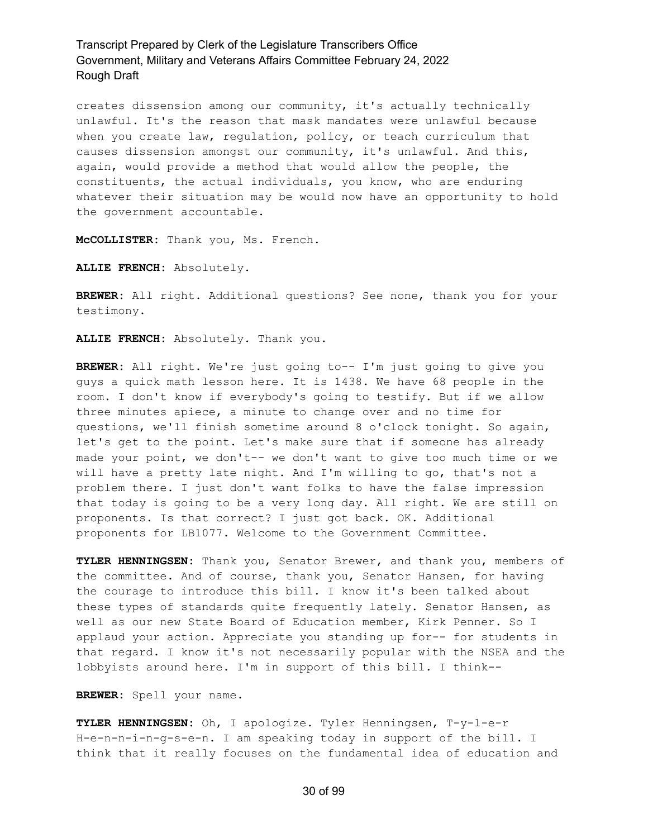creates dissension among our community, it's actually technically unlawful. It's the reason that mask mandates were unlawful because when you create law, regulation, policy, or teach curriculum that causes dissension amongst our community, it's unlawful. And this, again, would provide a method that would allow the people, the constituents, the actual individuals, you know, who are enduring whatever their situation may be would now have an opportunity to hold the government accountable.

**McCOLLISTER:** Thank you, Ms. French.

**ALLIE FRENCH:** Absolutely.

**BREWER:** All right. Additional questions? See none, thank you for your testimony.

**ALLIE FRENCH:** Absolutely. Thank you.

**BREWER:** All right. We're just going to-- I'm just going to give you guys a quick math lesson here. It is 1438. We have 68 people in the room. I don't know if everybody's going to testify. But if we allow three minutes apiece, a minute to change over and no time for questions, we'll finish sometime around 8 o'clock tonight. So again, let's get to the point. Let's make sure that if someone has already made your point, we don't-- we don't want to give too much time or we will have a pretty late night. And I'm willing to go, that's not a problem there. I just don't want folks to have the false impression that today is going to be a very long day. All right. We are still on proponents. Is that correct? I just got back. OK. Additional proponents for LB1077. Welcome to the Government Committee.

**TYLER HENNINGSEN:** Thank you, Senator Brewer, and thank you, members of the committee. And of course, thank you, Senator Hansen, for having the courage to introduce this bill. I know it's been talked about these types of standards quite frequently lately. Senator Hansen, as well as our new State Board of Education member, Kirk Penner. So I applaud your action. Appreciate you standing up for-- for students in that regard. I know it's not necessarily popular with the NSEA and the lobbyists around here. I'm in support of this bill. I think--

**BREWER:** Spell your name.

**TYLER HENNINGSEN:** Oh, I apologize. Tyler Henningsen, T-y-l-e-r H-e-n-n-i-n-g-s-e-n. I am speaking today in support of the bill. I think that it really focuses on the fundamental idea of education and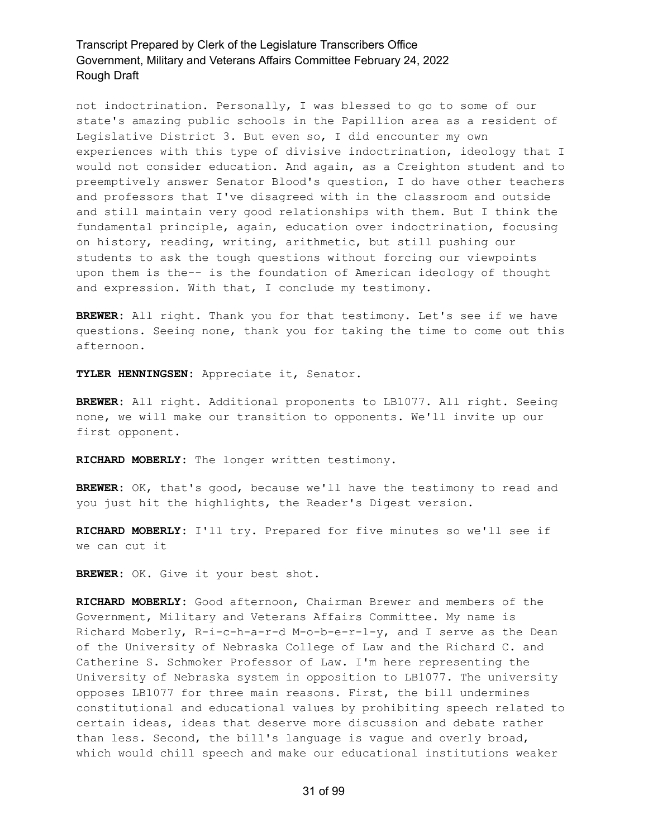not indoctrination. Personally, I was blessed to go to some of our state's amazing public schools in the Papillion area as a resident of Legislative District 3. But even so, I did encounter my own experiences with this type of divisive indoctrination, ideology that I would not consider education. And again, as a Creighton student and to preemptively answer Senator Blood's question, I do have other teachers and professors that I've disagreed with in the classroom and outside and still maintain very good relationships with them. But I think the fundamental principle, again, education over indoctrination, focusing on history, reading, writing, arithmetic, but still pushing our students to ask the tough questions without forcing our viewpoints upon them is the-- is the foundation of American ideology of thought and expression. With that, I conclude my testimony.

**BREWER:** All right. Thank you for that testimony. Let's see if we have questions. Seeing none, thank you for taking the time to come out this afternoon.

**TYLER HENNINGSEN:** Appreciate it, Senator.

**BREWER:** All right. Additional proponents to LB1077. All right. Seeing none, we will make our transition to opponents. We'll invite up our first opponent.

**RICHARD MOBERLY:** The longer written testimony.

**BREWER:** OK, that's good, because we'll have the testimony to read and you just hit the highlights, the Reader's Digest version.

**RICHARD MOBERLY:** I'll try. Prepared for five minutes so we'll see if we can cut it

**BREWER:** OK. Give it your best shot.

**RICHARD MOBERLY:** Good afternoon, Chairman Brewer and members of the Government, Military and Veterans Affairs Committee. My name is Richard Moberly, R-i-c-h-a-r-d M-o-b-e-r-l-y, and I serve as the Dean of the University of Nebraska College of Law and the Richard C. and Catherine S. Schmoker Professor of Law. I'm here representing the University of Nebraska system in opposition to LB1077. The university opposes LB1077 for three main reasons. First, the bill undermines constitutional and educational values by prohibiting speech related to certain ideas, ideas that deserve more discussion and debate rather than less. Second, the bill's language is vague and overly broad, which would chill speech and make our educational institutions weaker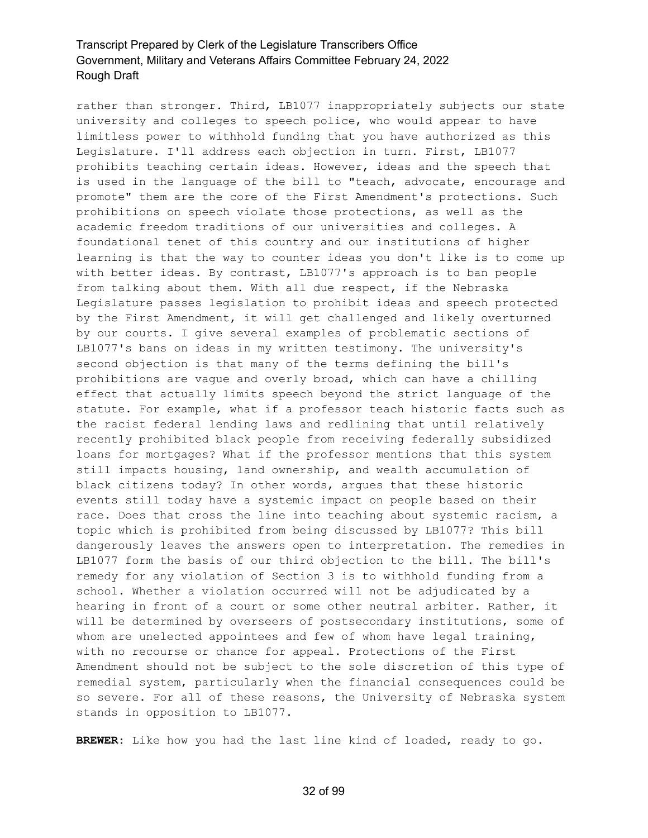rather than stronger. Third, LB1077 inappropriately subjects our state university and colleges to speech police, who would appear to have limitless power to withhold funding that you have authorized as this Legislature. I'll address each objection in turn. First, LB1077 prohibits teaching certain ideas. However, ideas and the speech that is used in the language of the bill to "teach, advocate, encourage and promote" them are the core of the First Amendment's protections. Such prohibitions on speech violate those protections, as well as the academic freedom traditions of our universities and colleges. A foundational tenet of this country and our institutions of higher learning is that the way to counter ideas you don't like is to come up with better ideas. By contrast, LB1077's approach is to ban people from talking about them. With all due respect, if the Nebraska Legislature passes legislation to prohibit ideas and speech protected by the First Amendment, it will get challenged and likely overturned by our courts. I give several examples of problematic sections of LB1077's bans on ideas in my written testimony. The university's second objection is that many of the terms defining the bill's prohibitions are vague and overly broad, which can have a chilling effect that actually limits speech beyond the strict language of the statute. For example, what if a professor teach historic facts such as the racist federal lending laws and redlining that until relatively recently prohibited black people from receiving federally subsidized loans for mortgages? What if the professor mentions that this system still impacts housing, land ownership, and wealth accumulation of black citizens today? In other words, argues that these historic events still today have a systemic impact on people based on their race. Does that cross the line into teaching about systemic racism, a topic which is prohibited from being discussed by LB1077? This bill dangerously leaves the answers open to interpretation. The remedies in LB1077 form the basis of our third objection to the bill. The bill's remedy for any violation of Section 3 is to withhold funding from a school. Whether a violation occurred will not be adjudicated by a hearing in front of a court or some other neutral arbiter. Rather, it will be determined by overseers of postsecondary institutions, some of whom are unelected appointees and few of whom have legal training, with no recourse or chance for appeal. Protections of the First Amendment should not be subject to the sole discretion of this type of remedial system, particularly when the financial consequences could be so severe. For all of these reasons, the University of Nebraska system stands in opposition to LB1077.

**BREWER:** Like how you had the last line kind of loaded, ready to go.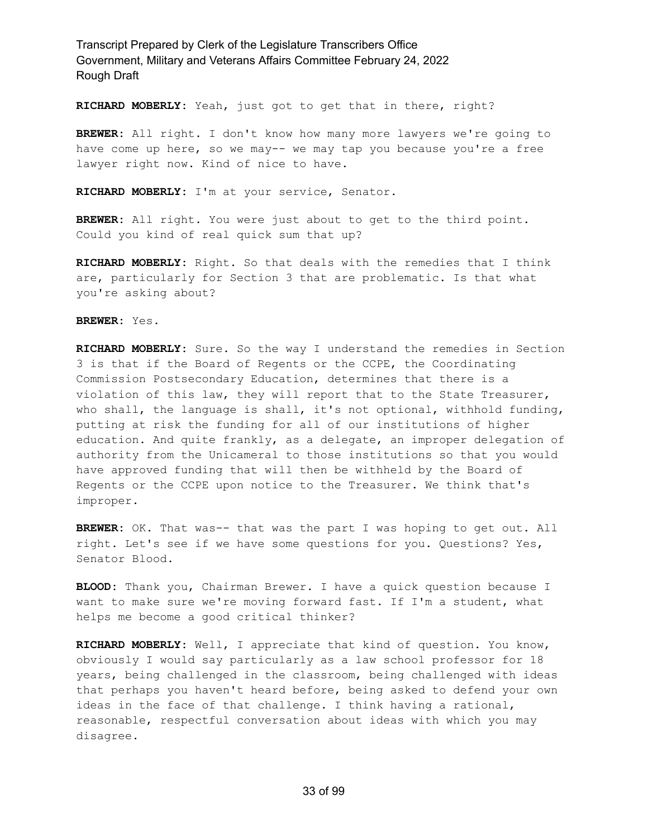**RICHARD MOBERLY:** Yeah, just got to get that in there, right?

**BREWER:** All right. I don't know how many more lawyers we're going to have come up here, so we may-- we may tap you because you're a free lawyer right now. Kind of nice to have.

**RICHARD MOBERLY:** I'm at your service, Senator.

**BREWER:** All right. You were just about to get to the third point. Could you kind of real quick sum that up?

**RICHARD MOBERLY:** Right. So that deals with the remedies that I think are, particularly for Section 3 that are problematic. Is that what you're asking about?

**BREWER:** Yes.

**RICHARD MOBERLY:** Sure. So the way I understand the remedies in Section 3 is that if the Board of Regents or the CCPE, the Coordinating Commission Postsecondary Education, determines that there is a violation of this law, they will report that to the State Treasurer, who shall, the language is shall, it's not optional, withhold funding, putting at risk the funding for all of our institutions of higher education. And quite frankly, as a delegate, an improper delegation of authority from the Unicameral to those institutions so that you would have approved funding that will then be withheld by the Board of Regents or the CCPE upon notice to the Treasurer. We think that's improper.

**BREWER:** OK. That was-- that was the part I was hoping to get out. All right. Let's see if we have some questions for you. Questions? Yes, Senator Blood.

**BLOOD:** Thank you, Chairman Brewer. I have a quick question because I want to make sure we're moving forward fast. If I'm a student, what helps me become a good critical thinker?

**RICHARD MOBERLY:** Well, I appreciate that kind of question. You know, obviously I would say particularly as a law school professor for 18 years, being challenged in the classroom, being challenged with ideas that perhaps you haven't heard before, being asked to defend your own ideas in the face of that challenge. I think having a rational, reasonable, respectful conversation about ideas with which you may disagree.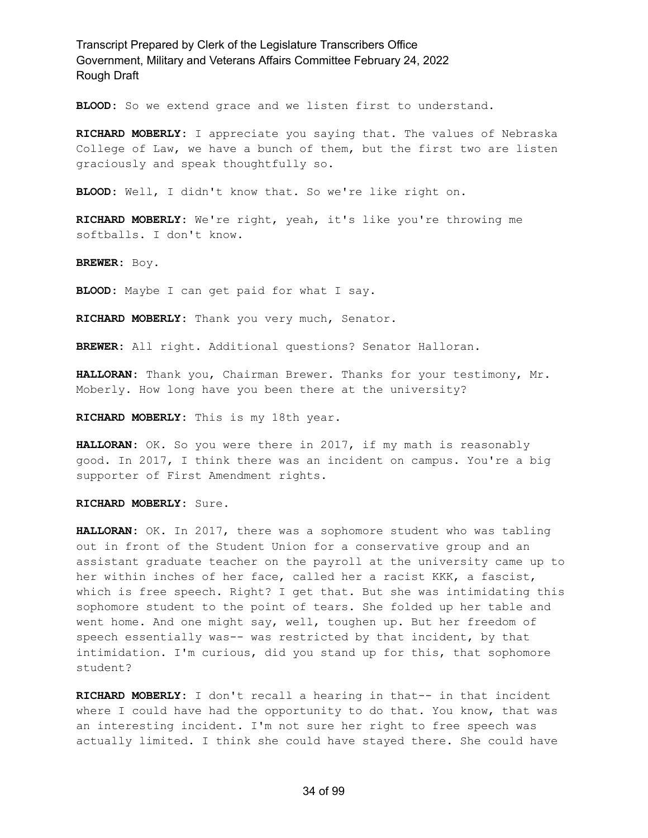**BLOOD:** So we extend grace and we listen first to understand.

**RICHARD MOBERLY:** I appreciate you saying that. The values of Nebraska College of Law, we have a bunch of them, but the first two are listen graciously and speak thoughtfully so.

**BLOOD:** Well, I didn't know that. So we're like right on.

**RICHARD MOBERLY:** We're right, yeah, it's like you're throwing me softballs. I don't know.

**BREWER:** Boy.

**BLOOD:** Maybe I can get paid for what I say.

**RICHARD MOBERLY:** Thank you very much, Senator.

**BREWER:** All right. Additional questions? Senator Halloran.

**HALLORAN:** Thank you, Chairman Brewer. Thanks for your testimony, Mr. Moberly. How long have you been there at the university?

**RICHARD MOBERLY:** This is my 18th year.

**HALLORAN:** OK. So you were there in 2017, if my math is reasonably good. In 2017, I think there was an incident on campus. You're a big supporter of First Amendment rights.

**RICHARD MOBERLY:** Sure.

**HALLORAN:** OK. In 2017, there was a sophomore student who was tabling out in front of the Student Union for a conservative group and an assistant graduate teacher on the payroll at the university came up to her within inches of her face, called her a racist KKK, a fascist, which is free speech. Right? I get that. But she was intimidating this sophomore student to the point of tears. She folded up her table and went home. And one might say, well, toughen up. But her freedom of speech essentially was-- was restricted by that incident, by that intimidation. I'm curious, did you stand up for this, that sophomore student?

**RICHARD MOBERLY:** I don't recall a hearing in that-- in that incident where I could have had the opportunity to do that. You know, that was an interesting incident. I'm not sure her right to free speech was actually limited. I think she could have stayed there. She could have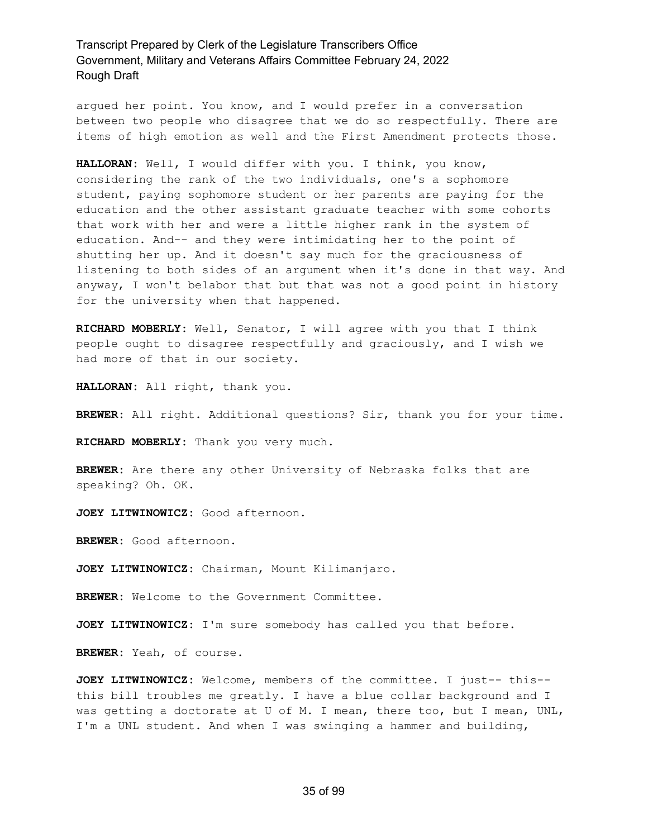argued her point. You know, and I would prefer in a conversation between two people who disagree that we do so respectfully. There are items of high emotion as well and the First Amendment protects those.

**HALLORAN:** Well, I would differ with you. I think, you know, considering the rank of the two individuals, one's a sophomore student, paying sophomore student or her parents are paying for the education and the other assistant graduate teacher with some cohorts that work with her and were a little higher rank in the system of education. And-- and they were intimidating her to the point of shutting her up. And it doesn't say much for the graciousness of listening to both sides of an argument when it's done in that way. And anyway, I won't belabor that but that was not a good point in history for the university when that happened.

**RICHARD MOBERLY:** Well, Senator, I will agree with you that I think people ought to disagree respectfully and graciously, and I wish we had more of that in our society.

**HALLORAN:** All right, thank you.

**BREWER:** All right. Additional questions? Sir, thank you for your time.

**RICHARD MOBERLY:** Thank you very much.

**BREWER:** Are there any other University of Nebraska folks that are speaking? Oh. OK.

**JOEY LITWINOWICZ:** Good afternoon.

**BREWER:** Good afternoon.

**JOEY LITWINOWICZ:** Chairman, Mount Kilimanjaro.

**BREWER:** Welcome to the Government Committee.

**JOEY LITWINOWICZ:** I'm sure somebody has called you that before.

**BREWER:** Yeah, of course.

**JOEY LITWINOWICZ:** Welcome, members of the committee. I just-- this- this bill troubles me greatly. I have a blue collar background and I was getting a doctorate at U of M. I mean, there too, but I mean, UNL, I'm a UNL student. And when I was swinging a hammer and building,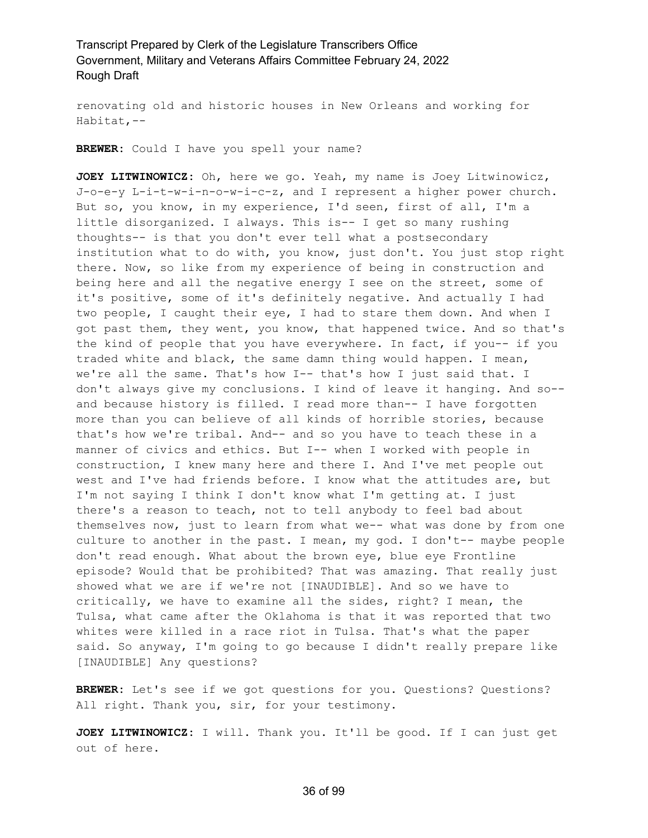renovating old and historic houses in New Orleans and working for Habitat,--

**BREWER:** Could I have you spell your name?

**JOEY LITWINOWICZ:** Oh, here we go. Yeah, my name is Joey Litwinowicz, J-o-e-y L-i-t-w-i-n-o-w-i-c-z, and I represent a higher power church. But so, you know, in my experience, I'd seen, first of all, I'm a little disorganized. I always. This is-- I get so many rushing thoughts-- is that you don't ever tell what a postsecondary institution what to do with, you know, just don't. You just stop right there. Now, so like from my experience of being in construction and being here and all the negative energy I see on the street, some of it's positive, some of it's definitely negative. And actually I had two people, I caught their eye, I had to stare them down. And when I got past them, they went, you know, that happened twice. And so that's the kind of people that you have everywhere. In fact, if you-- if you traded white and black, the same damn thing would happen. I mean, we're all the same. That's how I-- that's how I just said that. I don't always give my conclusions. I kind of leave it hanging. And so- and because history is filled. I read more than-- I have forgotten more than you can believe of all kinds of horrible stories, because that's how we're tribal. And-- and so you have to teach these in a manner of civics and ethics. But I-- when I worked with people in construction, I knew many here and there I. And I've met people out west and I've had friends before. I know what the attitudes are, but I'm not saying I think I don't know what I'm getting at. I just there's a reason to teach, not to tell anybody to feel bad about themselves now, just to learn from what we-- what was done by from one culture to another in the past. I mean, my god. I don't-- maybe people don't read enough. What about the brown eye, blue eye Frontline episode? Would that be prohibited? That was amazing. That really just showed what we are if we're not [INAUDIBLE]. And so we have to critically, we have to examine all the sides, right? I mean, the Tulsa, what came after the Oklahoma is that it was reported that two whites were killed in a race riot in Tulsa. That's what the paper said. So anyway, I'm going to go because I didn't really prepare like [INAUDIBLE] Any questions?

**BREWER:** Let's see if we got questions for you. Questions? Questions? All right. Thank you, sir, for your testimony.

**JOEY LITWINOWICZ:** I will. Thank you. It'll be good. If I can just get out of here.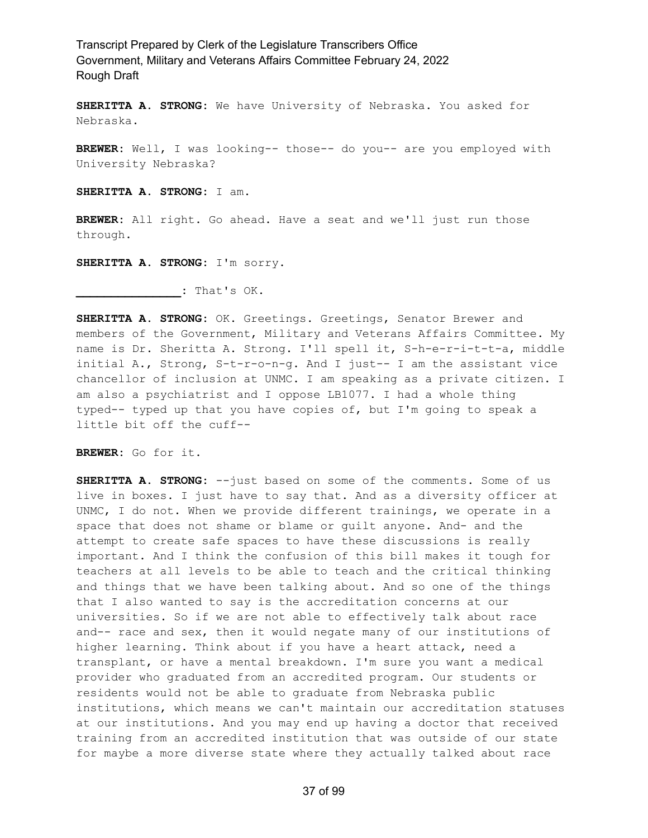**SHERITTA A. STRONG:** We have University of Nebraska. You asked for Nebraska.

**BREWER:** Well, I was looking-- those-- do you-- are you employed with University Nebraska?

**SHERITTA A. STRONG:** I am.

**BREWER:** All right. Go ahead. Have a seat and we'll just run those through.

**SHERITTA A. STRONG:** I'm sorry.

**\_\_\_\_\_\_\_\_\_\_\_\_\_\_\_:** That's OK.

**SHERITTA A. STRONG:** OK. Greetings. Greetings, Senator Brewer and members of the Government, Military and Veterans Affairs Committee. My name is Dr. Sheritta A. Strong. I'll spell it, S-h-e-r-i-t-t-a, middle initial A., Strong, S-t-r-o-n-g. And I just-- I am the assistant vice chancellor of inclusion at UNMC. I am speaking as a private citizen. I am also a psychiatrist and I oppose LB1077. I had a whole thing typed-- typed up that you have copies of, but I'm going to speak a little bit off the cuff--

**BREWER:** Go for it.

**SHERITTA A. STRONG:** --just based on some of the comments. Some of us live in boxes. I just have to say that. And as a diversity officer at UNMC, I do not. When we provide different trainings, we operate in a space that does not shame or blame or guilt anyone. And- and the attempt to create safe spaces to have these discussions is really important. And I think the confusion of this bill makes it tough for teachers at all levels to be able to teach and the critical thinking and things that we have been talking about. And so one of the things that I also wanted to say is the accreditation concerns at our universities. So if we are not able to effectively talk about race and-- race and sex, then it would negate many of our institutions of higher learning. Think about if you have a heart attack, need a transplant, or have a mental breakdown. I'm sure you want a medical provider who graduated from an accredited program. Our students or residents would not be able to graduate from Nebraska public institutions, which means we can't maintain our accreditation statuses at our institutions. And you may end up having a doctor that received training from an accredited institution that was outside of our state for maybe a more diverse state where they actually talked about race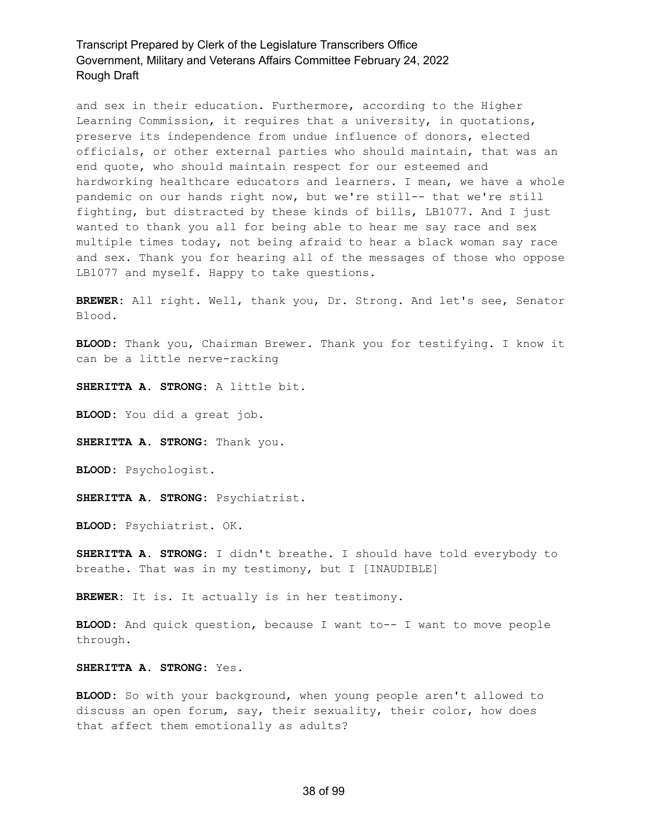and sex in their education. Furthermore, according to the Higher Learning Commission, it requires that a university, in quotations, preserve its independence from undue influence of donors, elected officials, or other external parties who should maintain, that was an end quote, who should maintain respect for our esteemed and hardworking healthcare educators and learners. I mean, we have a whole pandemic on our hands right now, but we're still-- that we're still fighting, but distracted by these kinds of bills, LB1077. And I just wanted to thank you all for being able to hear me say race and sex multiple times today, not being afraid to hear a black woman say race and sex. Thank you for hearing all of the messages of those who oppose LB1077 and myself. Happy to take questions.

**BREWER:** All right. Well, thank you, Dr. Strong. And let's see, Senator Blood.

**BLOOD:** Thank you, Chairman Brewer. Thank you for testifying. I know it can be a little nerve-racking

**SHERITTA A. STRONG:** A little bit.

**BLOOD:** You did a great job.

**SHERITTA A. STRONG:** Thank you.

**BLOOD:** Psychologist.

**SHERITTA A. STRONG:** Psychiatrist.

**BLOOD:** Psychiatrist. OK.

**SHERITTA A. STRONG:** I didn't breathe. I should have told everybody to breathe. That was in my testimony, but I [INAUDIBLE]

**BREWER:** It is. It actually is in her testimony.

**BLOOD:** And quick question, because I want to-- I want to move people through.

**SHERITTA A. STRONG:** Yes.

**BLOOD:** So with your background, when young people aren't allowed to discuss an open forum, say, their sexuality, their color, how does that affect them emotionally as adults?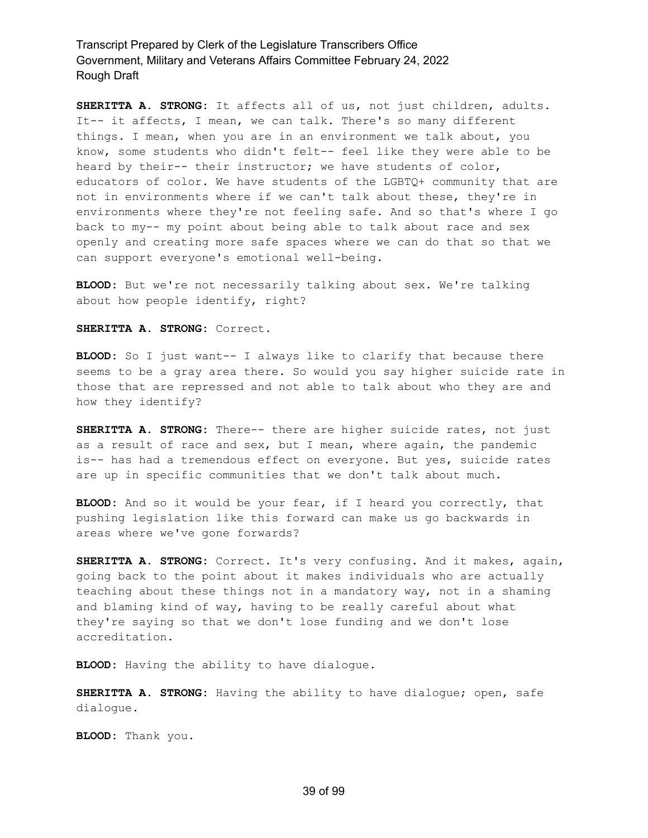**SHERITTA A. STRONG:** It affects all of us, not just children, adults. It-- it affects, I mean, we can talk. There's so many different things. I mean, when you are in an environment we talk about, you know, some students who didn't felt-- feel like they were able to be heard by their-- their instructor; we have students of color, educators of color. We have students of the LGBTQ+ community that are not in environments where if we can't talk about these, they're in environments where they're not feeling safe. And so that's where I go back to my-- my point about being able to talk about race and sex openly and creating more safe spaces where we can do that so that we can support everyone's emotional well-being.

**BLOOD:** But we're not necessarily talking about sex. We're talking about how people identify, right?

**SHERITTA A. STRONG:** Correct.

**BLOOD:** So I just want-- I always like to clarify that because there seems to be a gray area there. So would you say higher suicide rate in those that are repressed and not able to talk about who they are and how they identify?

**SHERITTA A. STRONG:** There-- there are higher suicide rates, not just as a result of race and sex, but I mean, where again, the pandemic is-- has had a tremendous effect on everyone. But yes, suicide rates are up in specific communities that we don't talk about much.

**BLOOD:** And so it would be your fear, if I heard you correctly, that pushing legislation like this forward can make us go backwards in areas where we've gone forwards?

**SHERITTA A. STRONG:** Correct. It's very confusing. And it makes, again, going back to the point about it makes individuals who are actually teaching about these things not in a mandatory way, not in a shaming and blaming kind of way, having to be really careful about what they're saying so that we don't lose funding and we don't lose accreditation.

**BLOOD:** Having the ability to have dialogue.

**SHERITTA A. STRONG:** Having the ability to have dialogue; open, safe dialogue.

**BLOOD:** Thank you.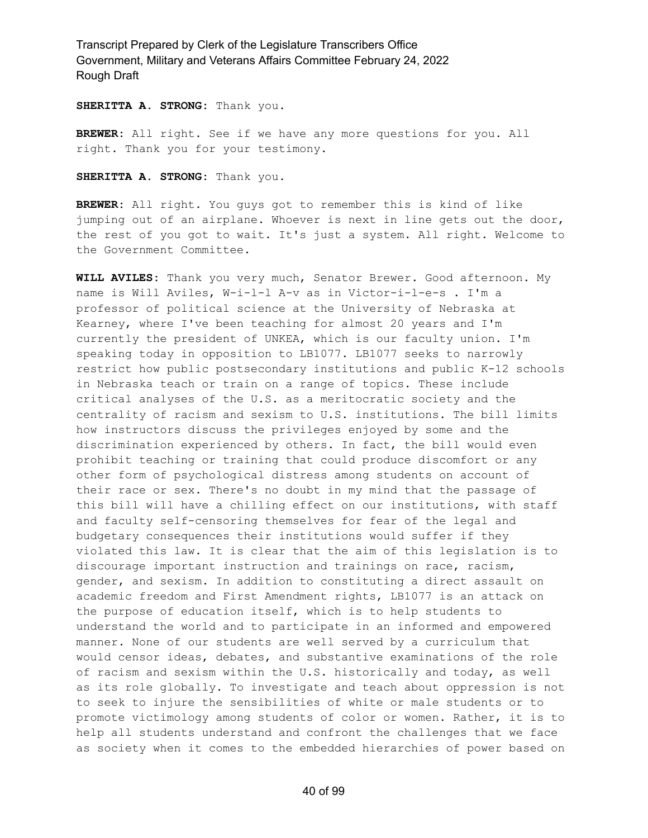**SHERITTA A. STRONG:** Thank you.

**BREWER:** All right. See if we have any more questions for you. All right. Thank you for your testimony.

**SHERITTA A. STRONG:** Thank you.

**BREWER:** All right. You guys got to remember this is kind of like jumping out of an airplane. Whoever is next in line gets out the door, the rest of you got to wait. It's just a system. All right. Welcome to the Government Committee.

**WILL AVILES:** Thank you very much, Senator Brewer. Good afternoon. My name is Will Aviles, W-i-l-l A-v as in Victor-i-l-e-s . I'm a professor of political science at the University of Nebraska at Kearney, where I've been teaching for almost 20 years and I'm currently the president of UNKEA, which is our faculty union. I'm speaking today in opposition to LB1077. LB1077 seeks to narrowly restrict how public postsecondary institutions and public K-12 schools in Nebraska teach or train on a range of topics. These include critical analyses of the U.S. as a meritocratic society and the centrality of racism and sexism to U.S. institutions. The bill limits how instructors discuss the privileges enjoyed by some and the discrimination experienced by others. In fact, the bill would even prohibit teaching or training that could produce discomfort or any other form of psychological distress among students on account of their race or sex. There's no doubt in my mind that the passage of this bill will have a chilling effect on our institutions, with staff and faculty self-censoring themselves for fear of the legal and budgetary consequences their institutions would suffer if they violated this law. It is clear that the aim of this legislation is to discourage important instruction and trainings on race, racism, gender, and sexism. In addition to constituting a direct assault on academic freedom and First Amendment rights, LB1077 is an attack on the purpose of education itself, which is to help students to understand the world and to participate in an informed and empowered manner. None of our students are well served by a curriculum that would censor ideas, debates, and substantive examinations of the role of racism and sexism within the U.S. historically and today, as well as its role globally. To investigate and teach about oppression is not to seek to injure the sensibilities of white or male students or to promote victimology among students of color or women. Rather, it is to help all students understand and confront the challenges that we face as society when it comes to the embedded hierarchies of power based on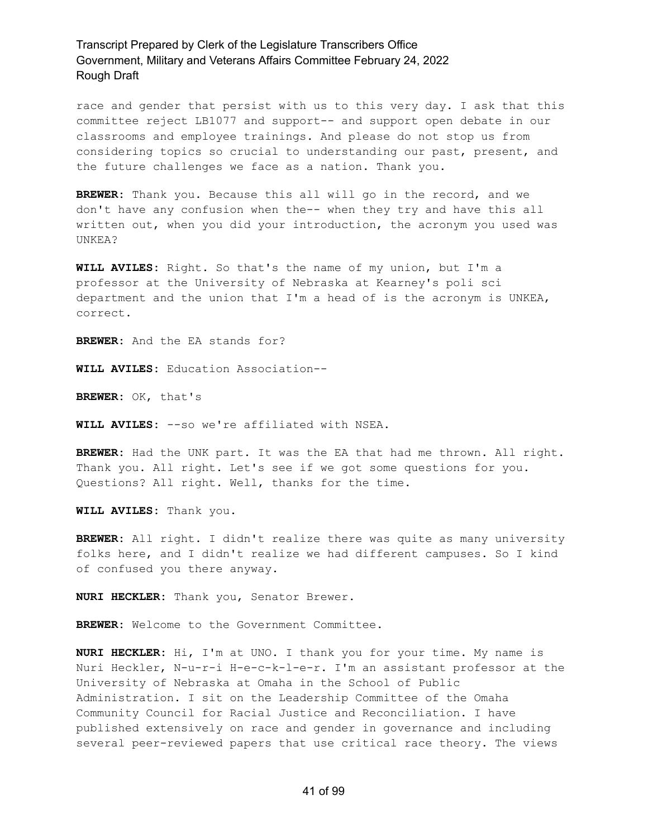race and gender that persist with us to this very day. I ask that this committee reject LB1077 and support-- and support open debate in our classrooms and employee trainings. And please do not stop us from considering topics so crucial to understanding our past, present, and the future challenges we face as a nation. Thank you.

**BREWER:** Thank you. Because this all will go in the record, and we don't have any confusion when the-- when they try and have this all written out, when you did your introduction, the acronym you used was UNKEA?

**WILL AVILES:** Right. So that's the name of my union, but I'm a professor at the University of Nebraska at Kearney's poli sci department and the union that I'm a head of is the acronym is UNKEA, correct.

**BREWER:** And the EA stands for?

**WILL AVILES:** Education Association--

**BREWER:** OK, that's

**WILL AVILES:** --so we're affiliated with NSEA.

**BREWER:** Had the UNK part. It was the EA that had me thrown. All right. Thank you. All right. Let's see if we got some questions for you. Questions? All right. Well, thanks for the time.

**WILL AVILES:** Thank you.

**BREWER:** All right. I didn't realize there was quite as many university folks here, and I didn't realize we had different campuses. So I kind of confused you there anyway.

**NURI HECKLER:** Thank you, Senator Brewer.

**BREWER:** Welcome to the Government Committee.

**NURI HECKLER:** Hi, I'm at UNO. I thank you for your time. My name is Nuri Heckler, N-u-r-i H-e-c-k-l-e-r. I'm an assistant professor at the University of Nebraska at Omaha in the School of Public Administration. I sit on the Leadership Committee of the Omaha Community Council for Racial Justice and Reconciliation. I have published extensively on race and gender in governance and including several peer-reviewed papers that use critical race theory. The views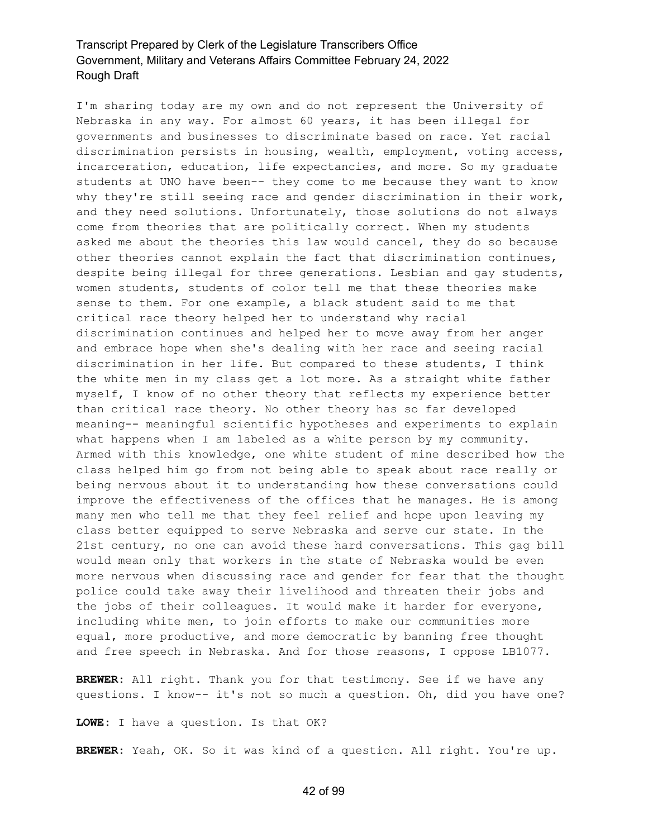I'm sharing today are my own and do not represent the University of Nebraska in any way. For almost 60 years, it has been illegal for governments and businesses to discriminate based on race. Yet racial discrimination persists in housing, wealth, employment, voting access, incarceration, education, life expectancies, and more. So my graduate students at UNO have been-- they come to me because they want to know why they're still seeing race and gender discrimination in their work, and they need solutions. Unfortunately, those solutions do not always come from theories that are politically correct. When my students asked me about the theories this law would cancel, they do so because other theories cannot explain the fact that discrimination continues, despite being illegal for three generations. Lesbian and gay students, women students, students of color tell me that these theories make sense to them. For one example, a black student said to me that critical race theory helped her to understand why racial discrimination continues and helped her to move away from her anger and embrace hope when she's dealing with her race and seeing racial discrimination in her life. But compared to these students, I think the white men in my class get a lot more. As a straight white father myself, I know of no other theory that reflects my experience better than critical race theory. No other theory has so far developed meaning-- meaningful scientific hypotheses and experiments to explain what happens when I am labeled as a white person by my community. Armed with this knowledge, one white student of mine described how the class helped him go from not being able to speak about race really or being nervous about it to understanding how these conversations could improve the effectiveness of the offices that he manages. He is among many men who tell me that they feel relief and hope upon leaving my class better equipped to serve Nebraska and serve our state. In the 21st century, no one can avoid these hard conversations. This gag bill would mean only that workers in the state of Nebraska would be even more nervous when discussing race and gender for fear that the thought police could take away their livelihood and threaten their jobs and the jobs of their colleagues. It would make it harder for everyone, including white men, to join efforts to make our communities more equal, more productive, and more democratic by banning free thought and free speech in Nebraska. And for those reasons, I oppose LB1077.

**BREWER:** All right. Thank you for that testimony. See if we have any questions. I know-- it's not so much a question. Oh, did you have one?

**LOWE:** I have a question. Is that OK?

**BREWER:** Yeah, OK. So it was kind of a question. All right. You're up.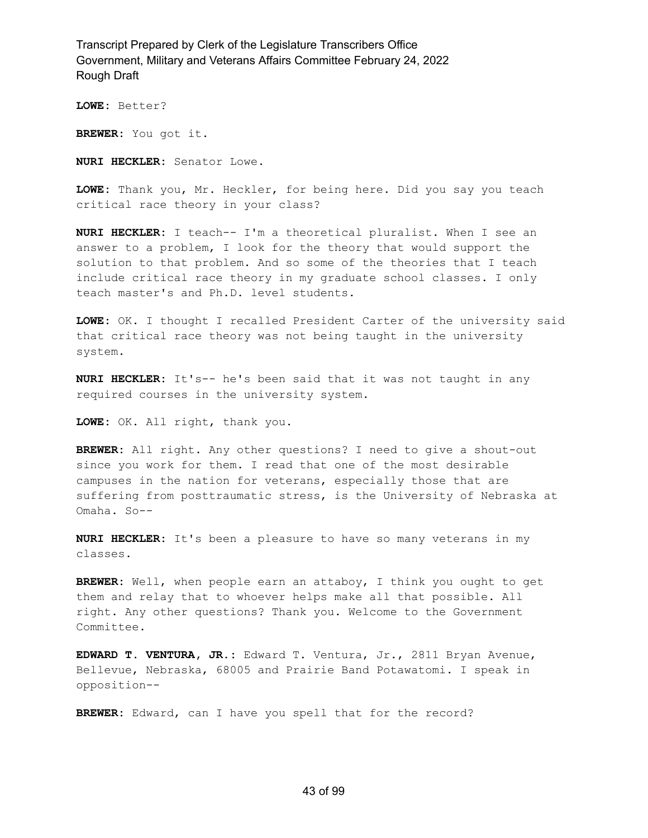**LOWE:** Better?

**BREWER:** You got it.

**NURI HECKLER:** Senator Lowe.

**LOWE:** Thank you, Mr. Heckler, for being here. Did you say you teach critical race theory in your class?

**NURI HECKLER:** I teach-- I'm a theoretical pluralist. When I see an answer to a problem, I look for the theory that would support the solution to that problem. And so some of the theories that I teach include critical race theory in my graduate school classes. I only teach master's and Ph.D. level students.

**LOWE:** OK. I thought I recalled President Carter of the university said that critical race theory was not being taught in the university system.

**NURI HECKLER:** It's-- he's been said that it was not taught in any required courses in the university system.

**LOWE:** OK. All right, thank you.

**BREWER:** All right. Any other questions? I need to give a shout-out since you work for them. I read that one of the most desirable campuses in the nation for veterans, especially those that are suffering from posttraumatic stress, is the University of Nebraska at Omaha. So--

**NURI HECKLER:** It's been a pleasure to have so many veterans in my classes.

**BREWER:** Well, when people earn an attaboy, I think you ought to get them and relay that to whoever helps make all that possible. All right. Any other questions? Thank you. Welcome to the Government Committee.

**EDWARD T. VENTURA, JR.:** Edward T. Ventura, Jr., 2811 Bryan Avenue, Bellevue, Nebraska, 68005 and Prairie Band Potawatomi. I speak in opposition--

**BREWER:** Edward, can I have you spell that for the record?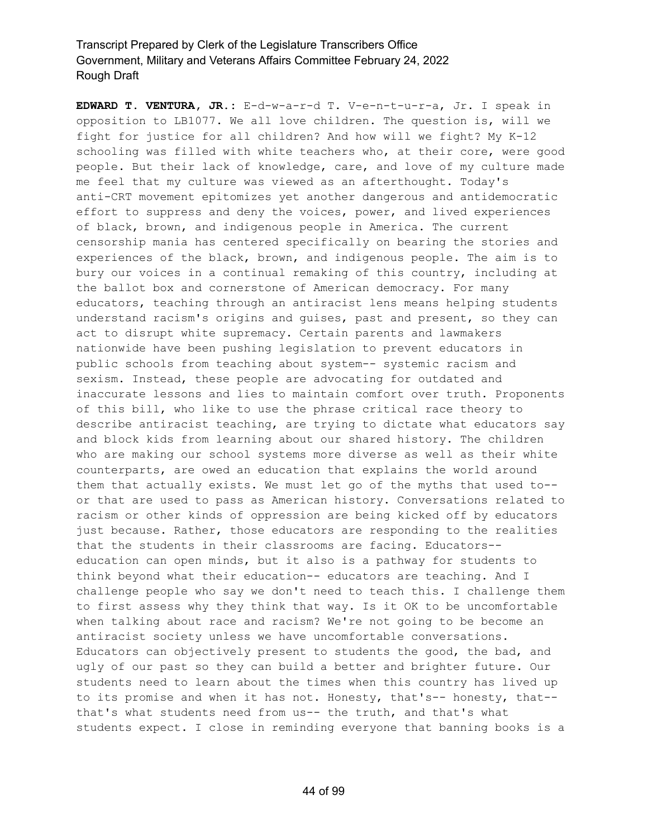**EDWARD T. VENTURA, JR.:** E-d-w-a-r-d T. V-e-n-t-u-r-a, Jr. I speak in opposition to LB1077. We all love children. The question is, will we fight for justice for all children? And how will we fight? My K-12 schooling was filled with white teachers who, at their core, were good people. But their lack of knowledge, care, and love of my culture made me feel that my culture was viewed as an afterthought. Today's anti-CRT movement epitomizes yet another dangerous and antidemocratic effort to suppress and deny the voices, power, and lived experiences of black, brown, and indigenous people in America. The current censorship mania has centered specifically on bearing the stories and experiences of the black, brown, and indigenous people. The aim is to bury our voices in a continual remaking of this country, including at the ballot box and cornerstone of American democracy. For many educators, teaching through an antiracist lens means helping students understand racism's origins and guises, past and present, so they can act to disrupt white supremacy. Certain parents and lawmakers nationwide have been pushing legislation to prevent educators in public schools from teaching about system-- systemic racism and sexism. Instead, these people are advocating for outdated and inaccurate lessons and lies to maintain comfort over truth. Proponents of this bill, who like to use the phrase critical race theory to describe antiracist teaching, are trying to dictate what educators say and block kids from learning about our shared history. The children who are making our school systems more diverse as well as their white counterparts, are owed an education that explains the world around them that actually exists. We must let go of the myths that used to- or that are used to pass as American history. Conversations related to racism or other kinds of oppression are being kicked off by educators just because. Rather, those educators are responding to the realities that the students in their classrooms are facing. Educators- education can open minds, but it also is a pathway for students to think beyond what their education-- educators are teaching. And I challenge people who say we don't need to teach this. I challenge them to first assess why they think that way. Is it OK to be uncomfortable when talking about race and racism? We're not going to be become an antiracist society unless we have uncomfortable conversations. Educators can objectively present to students the good, the bad, and ugly of our past so they can build a better and brighter future. Our students need to learn about the times when this country has lived up to its promise and when it has not. Honesty, that's-- honesty, that- that's what students need from us-- the truth, and that's what students expect. I close in reminding everyone that banning books is a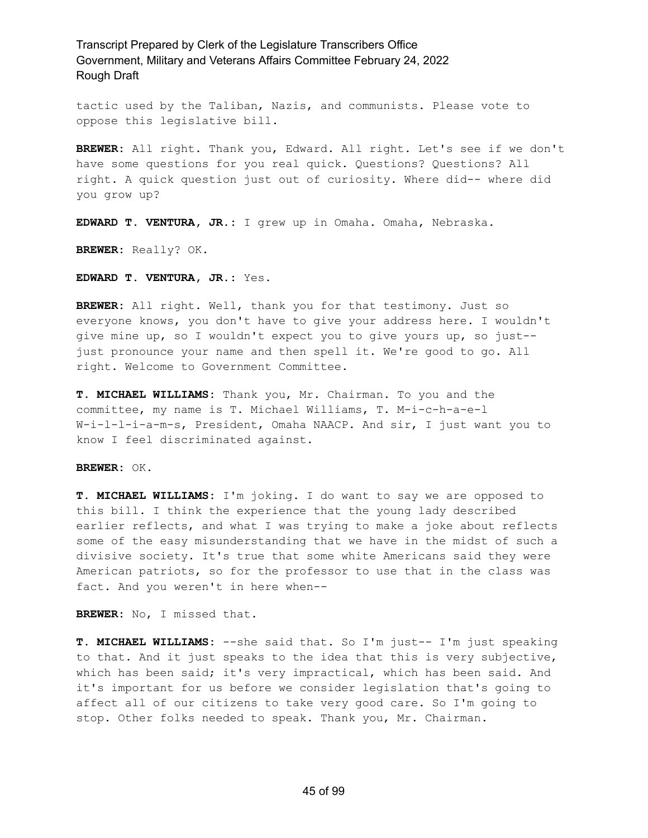tactic used by the Taliban, Nazis, and communists. Please vote to oppose this legislative bill.

**BREWER:** All right. Thank you, Edward. All right. Let's see if we don't have some questions for you real quick. Questions? Questions? All right. A quick question just out of curiosity. Where did-- where did you grow up?

**EDWARD T. VENTURA, JR.:** I grew up in Omaha. Omaha, Nebraska.

**BREWER:** Really? OK.

**EDWARD T. VENTURA, JR.:** Yes.

**BREWER:** All right. Well, thank you for that testimony. Just so everyone knows, you don't have to give your address here. I wouldn't give mine up, so I wouldn't expect you to give yours up, so just- just pronounce your name and then spell it. We're good to go. All right. Welcome to Government Committee.

**T. MICHAEL WILLIAMS:** Thank you, Mr. Chairman. To you and the committee, my name is T. Michael Williams, T. M-i-c-h-a-e-l W-i-l-l-i-a-m-s, President, Omaha NAACP. And sir, I just want you to know I feel discriminated against.

**BREWER:** OK.

**T. MICHAEL WILLIAMS:** I'm joking. I do want to say we are opposed to this bill. I think the experience that the young lady described earlier reflects, and what I was trying to make a joke about reflects some of the easy misunderstanding that we have in the midst of such a divisive society. It's true that some white Americans said they were American patriots, so for the professor to use that in the class was fact. And you weren't in here when--

**BREWER:** No, I missed that.

**T. MICHAEL WILLIAMS:** --she said that. So I'm just-- I'm just speaking to that. And it just speaks to the idea that this is very subjective, which has been said; it's very impractical, which has been said. And it's important for us before we consider legislation that's going to affect all of our citizens to take very good care. So I'm going to stop. Other folks needed to speak. Thank you, Mr. Chairman.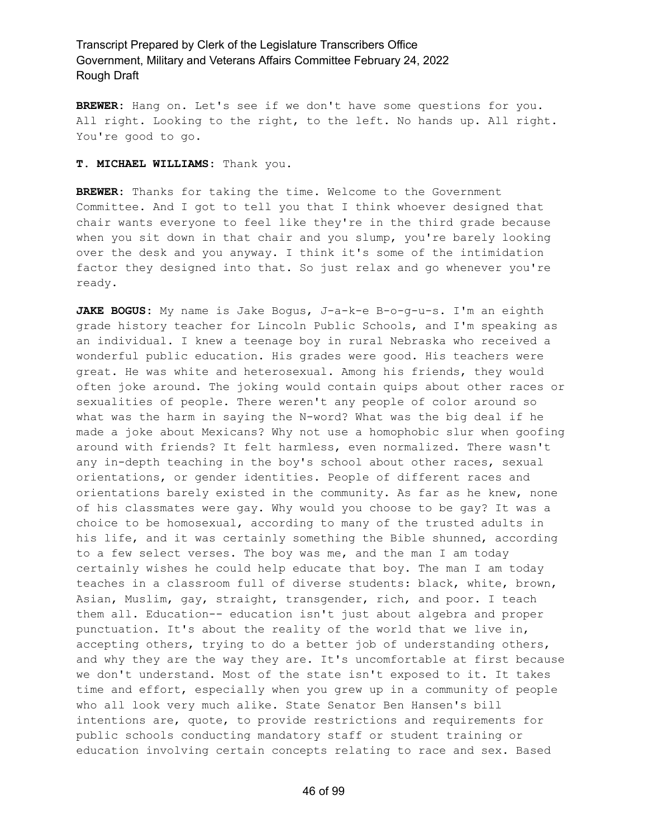**BREWER:** Hang on. Let's see if we don't have some questions for you. All right. Looking to the right, to the left. No hands up. All right. You're good to go.

### **T. MICHAEL WILLIAMS:** Thank you.

**BREWER:** Thanks for taking the time. Welcome to the Government Committee. And I got to tell you that I think whoever designed that chair wants everyone to feel like they're in the third grade because when you sit down in that chair and you slump, you're barely looking over the desk and you anyway. I think it's some of the intimidation factor they designed into that. So just relax and go whenever you're ready.

**JAKE BOGUS:** My name is Jake Bogus, J-a-k-e B-o-g-u-s. I'm an eighth grade history teacher for Lincoln Public Schools, and I'm speaking as an individual. I knew a teenage boy in rural Nebraska who received a wonderful public education. His grades were good. His teachers were great. He was white and heterosexual. Among his friends, they would often joke around. The joking would contain quips about other races or sexualities of people. There weren't any people of color around so what was the harm in saying the N-word? What was the big deal if he made a joke about Mexicans? Why not use a homophobic slur when goofing around with friends? It felt harmless, even normalized. There wasn't any in-depth teaching in the boy's school about other races, sexual orientations, or gender identities. People of different races and orientations barely existed in the community. As far as he knew, none of his classmates were gay. Why would you choose to be gay? It was a choice to be homosexual, according to many of the trusted adults in his life, and it was certainly something the Bible shunned, according to a few select verses. The boy was me, and the man I am today certainly wishes he could help educate that boy. The man I am today teaches in a classroom full of diverse students: black, white, brown, Asian, Muslim, gay, straight, transgender, rich, and poor. I teach them all. Education-- education isn't just about algebra and proper punctuation. It's about the reality of the world that we live in, accepting others, trying to do a better job of understanding others, and why they are the way they are. It's uncomfortable at first because we don't understand. Most of the state isn't exposed to it. It takes time and effort, especially when you grew up in a community of people who all look very much alike. State Senator Ben Hansen's bill intentions are, quote, to provide restrictions and requirements for public schools conducting mandatory staff or student training or education involving certain concepts relating to race and sex. Based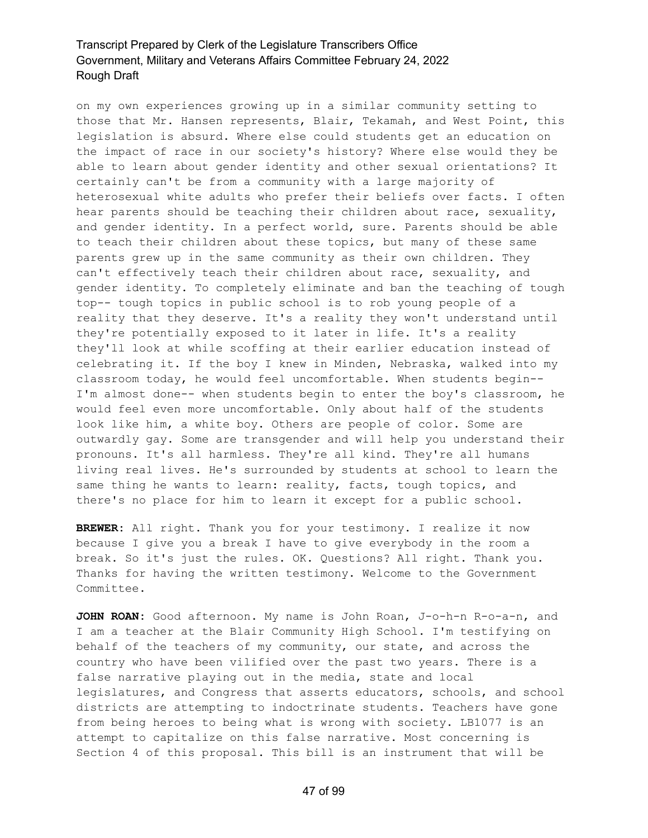on my own experiences growing up in a similar community setting to those that Mr. Hansen represents, Blair, Tekamah, and West Point, this legislation is absurd. Where else could students get an education on the impact of race in our society's history? Where else would they be able to learn about gender identity and other sexual orientations? It certainly can't be from a community with a large majority of heterosexual white adults who prefer their beliefs over facts. I often hear parents should be teaching their children about race, sexuality, and gender identity. In a perfect world, sure. Parents should be able to teach their children about these topics, but many of these same parents grew up in the same community as their own children. They can't effectively teach their children about race, sexuality, and gender identity. To completely eliminate and ban the teaching of tough top-- tough topics in public school is to rob young people of a reality that they deserve. It's a reality they won't understand until they're potentially exposed to it later in life. It's a reality they'll look at while scoffing at their earlier education instead of celebrating it. If the boy I knew in Minden, Nebraska, walked into my classroom today, he would feel uncomfortable. When students begin-- I'm almost done-- when students begin to enter the boy's classroom, he would feel even more uncomfortable. Only about half of the students look like him, a white boy. Others are people of color. Some are outwardly gay. Some are transgender and will help you understand their pronouns. It's all harmless. They're all kind. They're all humans living real lives. He's surrounded by students at school to learn the same thing he wants to learn: reality, facts, tough topics, and there's no place for him to learn it except for a public school.

**BREWER:** All right. Thank you for your testimony. I realize it now because I give you a break I have to give everybody in the room a break. So it's just the rules. OK. Questions? All right. Thank you. Thanks for having the written testimony. Welcome to the Government Committee.

**JOHN ROAN:** Good afternoon. My name is John Roan, J-o-h-n R-o-a-n, and I am a teacher at the Blair Community High School. I'm testifying on behalf of the teachers of my community, our state, and across the country who have been vilified over the past two years. There is a false narrative playing out in the media, state and local legislatures, and Congress that asserts educators, schools, and school districts are attempting to indoctrinate students. Teachers have gone from being heroes to being what is wrong with society. LB1077 is an attempt to capitalize on this false narrative. Most concerning is Section 4 of this proposal. This bill is an instrument that will be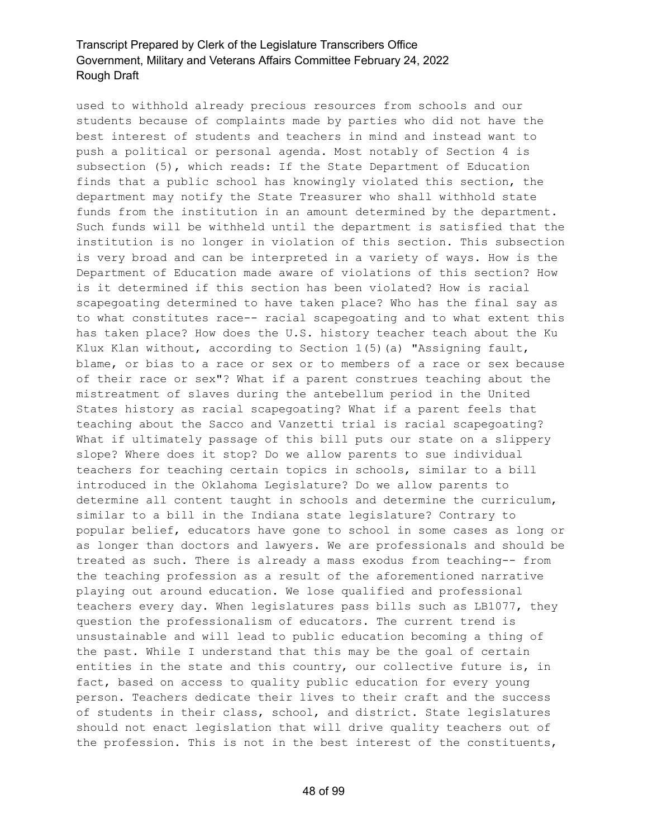used to withhold already precious resources from schools and our students because of complaints made by parties who did not have the best interest of students and teachers in mind and instead want to push a political or personal agenda. Most notably of Section 4 is subsection (5), which reads: If the State Department of Education finds that a public school has knowingly violated this section, the department may notify the State Treasurer who shall withhold state funds from the institution in an amount determined by the department. Such funds will be withheld until the department is satisfied that the institution is no longer in violation of this section. This subsection is very broad and can be interpreted in a variety of ways. How is the Department of Education made aware of violations of this section? How is it determined if this section has been violated? How is racial scapegoating determined to have taken place? Who has the final say as to what constitutes race-- racial scapegoating and to what extent this has taken place? How does the U.S. history teacher teach about the Ku Klux Klan without, according to Section  $1(5)$  (a) "Assigning fault, blame, or bias to a race or sex or to members of a race or sex because of their race or sex"? What if a parent construes teaching about the mistreatment of slaves during the antebellum period in the United States history as racial scapegoating? What if a parent feels that teaching about the Sacco and Vanzetti trial is racial scapegoating? What if ultimately passage of this bill puts our state on a slippery slope? Where does it stop? Do we allow parents to sue individual teachers for teaching certain topics in schools, similar to a bill introduced in the Oklahoma Legislature? Do we allow parents to determine all content taught in schools and determine the curriculum, similar to a bill in the Indiana state legislature? Contrary to popular belief, educators have gone to school in some cases as long or as longer than doctors and lawyers. We are professionals and should be treated as such. There is already a mass exodus from teaching-- from the teaching profession as a result of the aforementioned narrative playing out around education. We lose qualified and professional teachers every day. When legislatures pass bills such as LB1077, they question the professionalism of educators. The current trend is unsustainable and will lead to public education becoming a thing of the past. While I understand that this may be the goal of certain entities in the state and this country, our collective future is, in fact, based on access to quality public education for every young person. Teachers dedicate their lives to their craft and the success of students in their class, school, and district. State legislatures should not enact legislation that will drive quality teachers out of the profession. This is not in the best interest of the constituents,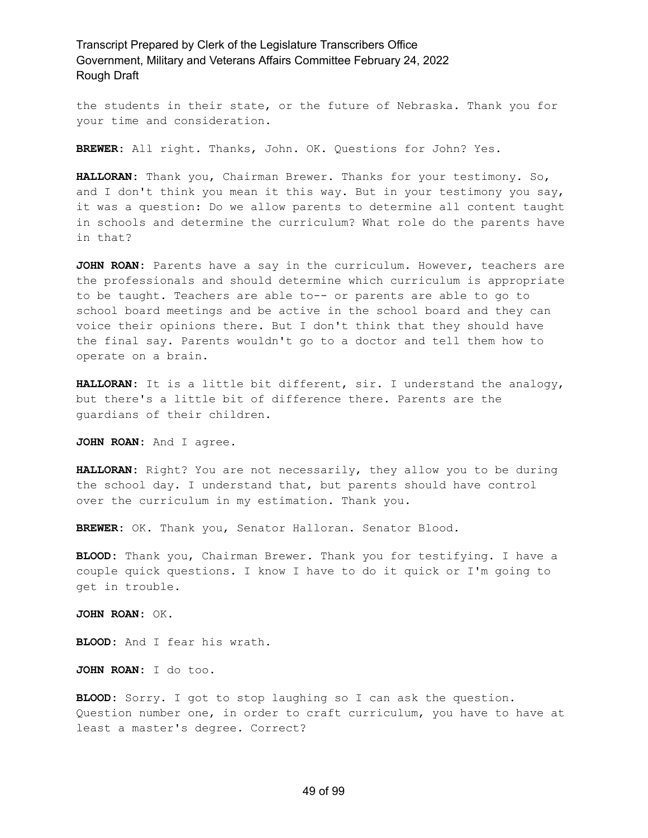the students in their state, or the future of Nebraska. Thank you for your time and consideration.

**BREWER:** All right. Thanks, John. OK. Questions for John? Yes.

**HALLORAN:** Thank you, Chairman Brewer. Thanks for your testimony. So, and I don't think you mean it this way. But in your testimony you say, it was a question: Do we allow parents to determine all content taught in schools and determine the curriculum? What role do the parents have in that?

**JOHN ROAN:** Parents have a say in the curriculum. However, teachers are the professionals and should determine which curriculum is appropriate to be taught. Teachers are able to-- or parents are able to go to school board meetings and be active in the school board and they can voice their opinions there. But I don't think that they should have the final say. Parents wouldn't go to a doctor and tell them how to operate on a brain.

**HALLORAN:** It is a little bit different, sir. I understand the analogy, but there's a little bit of difference there. Parents are the guardians of their children.

**JOHN ROAN:** And I agree.

**HALLORAN:** Right? You are not necessarily, they allow you to be during the school day. I understand that, but parents should have control over the curriculum in my estimation. Thank you.

**BREWER:** OK. Thank you, Senator Halloran. Senator Blood.

**BLOOD:** Thank you, Chairman Brewer. Thank you for testifying. I have a couple quick questions. I know I have to do it quick or I'm going to get in trouble.

**JOHN ROAN:** OK.

**BLOOD:** And I fear his wrath.

**JOHN ROAN:** I do too.

**BLOOD:** Sorry. I got to stop laughing so I can ask the question. Question number one, in order to craft curriculum, you have to have at least a master's degree. Correct?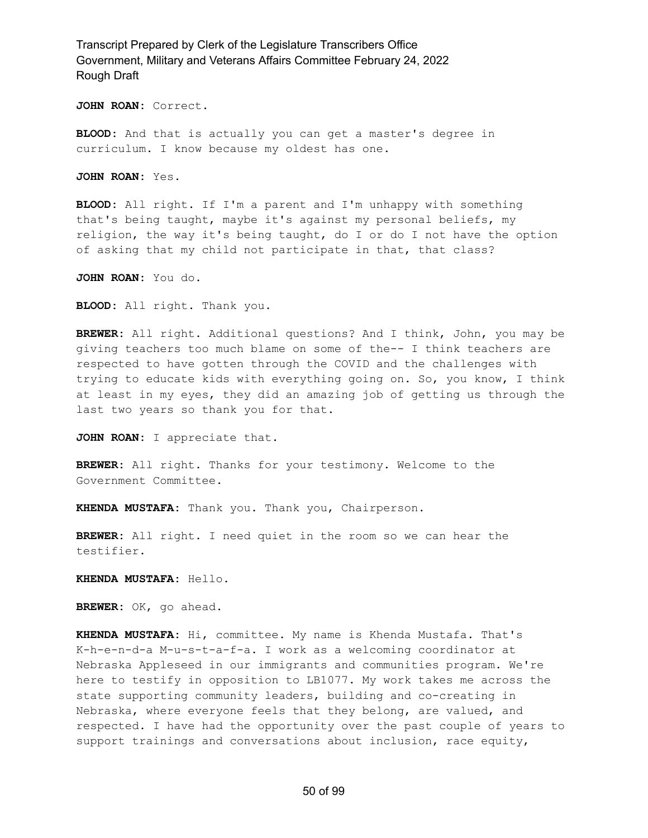**JOHN ROAN:** Correct.

**BLOOD:** And that is actually you can get a master's degree in curriculum. I know because my oldest has one.

**JOHN ROAN:** Yes.

**BLOOD:** All right. If I'm a parent and I'm unhappy with something that's being taught, maybe it's against my personal beliefs, my religion, the way it's being taught, do I or do I not have the option of asking that my child not participate in that, that class?

**JOHN ROAN:** You do.

**BLOOD:** All right. Thank you.

**BREWER:** All right. Additional questions? And I think, John, you may be giving teachers too much blame on some of the-- I think teachers are respected to have gotten through the COVID and the challenges with trying to educate kids with everything going on. So, you know, I think at least in my eyes, they did an amazing job of getting us through the last two years so thank you for that.

**JOHN ROAN:** I appreciate that.

**BREWER:** All right. Thanks for your testimony. Welcome to the Government Committee.

**KHENDA MUSTAFA:** Thank you. Thank you, Chairperson.

**BREWER:** All right. I need quiet in the room so we can hear the testifier.

**KHENDA MUSTAFA:** Hello.

**BREWER:** OK, go ahead.

**KHENDA MUSTAFA:** Hi, committee. My name is Khenda Mustafa. That's K-h-e-n-d-a M-u-s-t-a-f-a. I work as a welcoming coordinator at Nebraska Appleseed in our immigrants and communities program. We're here to testify in opposition to LB1077. My work takes me across the state supporting community leaders, building and co-creating in Nebraska, where everyone feels that they belong, are valued, and respected. I have had the opportunity over the past couple of years to support trainings and conversations about inclusion, race equity,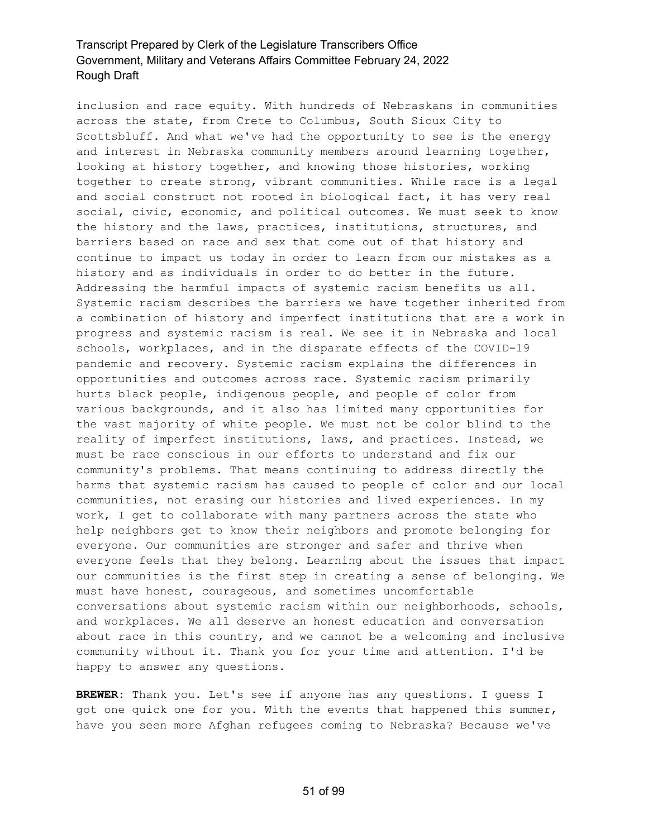inclusion and race equity. With hundreds of Nebraskans in communities across the state, from Crete to Columbus, South Sioux City to Scottsbluff. And what we've had the opportunity to see is the energy and interest in Nebraska community members around learning together, looking at history together, and knowing those histories, working together to create strong, vibrant communities. While race is a legal and social construct not rooted in biological fact, it has very real social, civic, economic, and political outcomes. We must seek to know the history and the laws, practices, institutions, structures, and barriers based on race and sex that come out of that history and continue to impact us today in order to learn from our mistakes as a history and as individuals in order to do better in the future. Addressing the harmful impacts of systemic racism benefits us all. Systemic racism describes the barriers we have together inherited from a combination of history and imperfect institutions that are a work in progress and systemic racism is real. We see it in Nebraska and local schools, workplaces, and in the disparate effects of the COVID-19 pandemic and recovery. Systemic racism explains the differences in opportunities and outcomes across race. Systemic racism primarily hurts black people, indigenous people, and people of color from various backgrounds, and it also has limited many opportunities for the vast majority of white people. We must not be color blind to the reality of imperfect institutions, laws, and practices. Instead, we must be race conscious in our efforts to understand and fix our community's problems. That means continuing to address directly the harms that systemic racism has caused to people of color and our local communities, not erasing our histories and lived experiences. In my work, I get to collaborate with many partners across the state who help neighbors get to know their neighbors and promote belonging for everyone. Our communities are stronger and safer and thrive when everyone feels that they belong. Learning about the issues that impact our communities is the first step in creating a sense of belonging. We must have honest, courageous, and sometimes uncomfortable conversations about systemic racism within our neighborhoods, schools, and workplaces. We all deserve an honest education and conversation about race in this country, and we cannot be a welcoming and inclusive community without it. Thank you for your time and attention. I'd be happy to answer any questions.

**BREWER:** Thank you. Let's see if anyone has any questions. I guess I got one quick one for you. With the events that happened this summer, have you seen more Afghan refugees coming to Nebraska? Because we've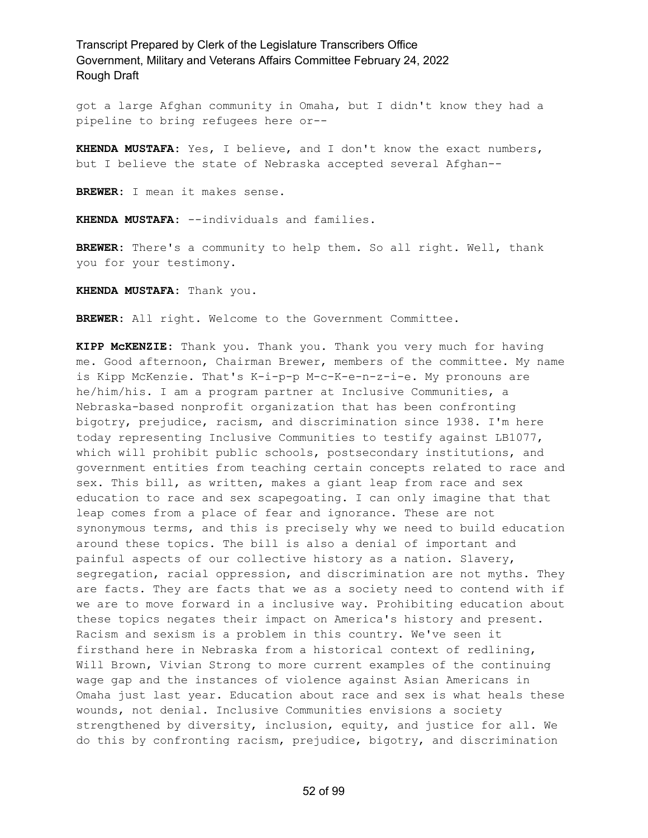got a large Afghan community in Omaha, but I didn't know they had a pipeline to bring refugees here or--

**KHENDA MUSTAFA:** Yes, I believe, and I don't know the exact numbers, but I believe the state of Nebraska accepted several Afghan--

**BREWER:** I mean it makes sense.

**KHENDA MUSTAFA:** --individuals and families.

**BREWER:** There's a community to help them. So all right. Well, thank you for your testimony.

**KHENDA MUSTAFA:** Thank you.

**BREWER:** All right. Welcome to the Government Committee.

**KIPP McKENZIE:** Thank you. Thank you. Thank you very much for having me. Good afternoon, Chairman Brewer, members of the committee. My name is Kipp McKenzie. That's K-i-p-p M-c-K-e-n-z-i-e. My pronouns are he/him/his. I am a program partner at Inclusive Communities, a Nebraska-based nonprofit organization that has been confronting bigotry, prejudice, racism, and discrimination since 1938. I'm here today representing Inclusive Communities to testify against LB1077, which will prohibit public schools, postsecondary institutions, and government entities from teaching certain concepts related to race and sex. This bill, as written, makes a giant leap from race and sex education to race and sex scapegoating. I can only imagine that that leap comes from a place of fear and ignorance. These are not synonymous terms, and this is precisely why we need to build education around these topics. The bill is also a denial of important and painful aspects of our collective history as a nation. Slavery, segregation, racial oppression, and discrimination are not myths. They are facts. They are facts that we as a society need to contend with if we are to move forward in a inclusive way. Prohibiting education about these topics negates their impact on America's history and present. Racism and sexism is a problem in this country. We've seen it firsthand here in Nebraska from a historical context of redlining, Will Brown, Vivian Strong to more current examples of the continuing wage gap and the instances of violence against Asian Americans in Omaha just last year. Education about race and sex is what heals these wounds, not denial. Inclusive Communities envisions a society strengthened by diversity, inclusion, equity, and justice for all. We do this by confronting racism, prejudice, bigotry, and discrimination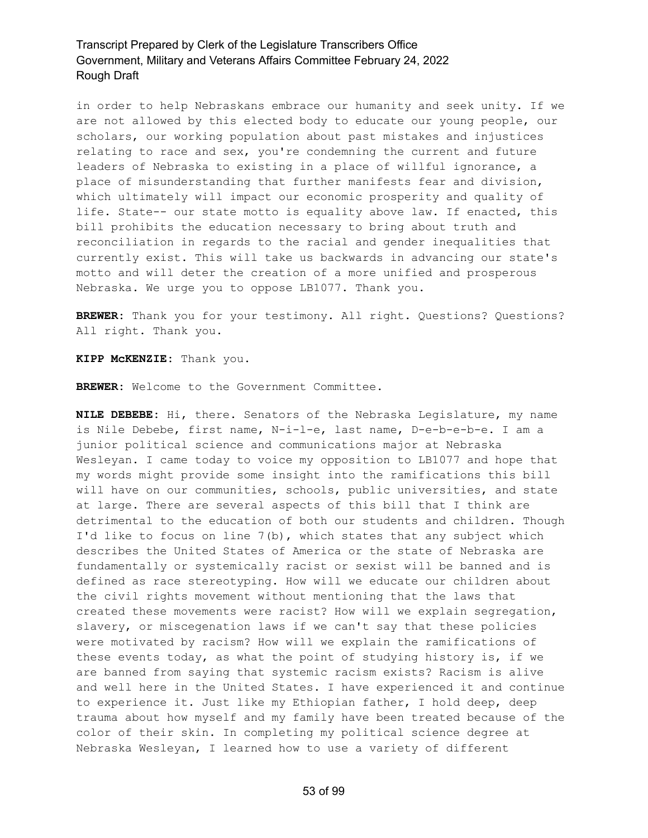in order to help Nebraskans embrace our humanity and seek unity. If we are not allowed by this elected body to educate our young people, our scholars, our working population about past mistakes and injustices relating to race and sex, you're condemning the current and future leaders of Nebraska to existing in a place of willful ignorance, a place of misunderstanding that further manifests fear and division, which ultimately will impact our economic prosperity and quality of life. State-- our state motto is equality above law. If enacted, this bill prohibits the education necessary to bring about truth and reconciliation in regards to the racial and gender inequalities that currently exist. This will take us backwards in advancing our state's motto and will deter the creation of a more unified and prosperous Nebraska. We urge you to oppose LB1077. Thank you.

**BREWER:** Thank you for your testimony. All right. Questions? Questions? All right. Thank you.

**KIPP McKENZIE:** Thank you.

**BREWER:** Welcome to the Government Committee.

**NILE DEBEBE:** Hi, there. Senators of the Nebraska Legislature, my name is Nile Debebe, first name, N-i-l-e, last name, D-e-b-e-b-e. I am a junior political science and communications major at Nebraska Wesleyan. I came today to voice my opposition to LB1077 and hope that my words might provide some insight into the ramifications this bill will have on our communities, schools, public universities, and state at large. There are several aspects of this bill that I think are detrimental to the education of both our students and children. Though I'd like to focus on line 7(b), which states that any subject which describes the United States of America or the state of Nebraska are fundamentally or systemically racist or sexist will be banned and is defined as race stereotyping. How will we educate our children about the civil rights movement without mentioning that the laws that created these movements were racist? How will we explain segregation, slavery, or miscegenation laws if we can't say that these policies were motivated by racism? How will we explain the ramifications of these events today, as what the point of studying history is, if we are banned from saying that systemic racism exists? Racism is alive and well here in the United States. I have experienced it and continue to experience it. Just like my Ethiopian father, I hold deep, deep trauma about how myself and my family have been treated because of the color of their skin. In completing my political science degree at Nebraska Wesleyan, I learned how to use a variety of different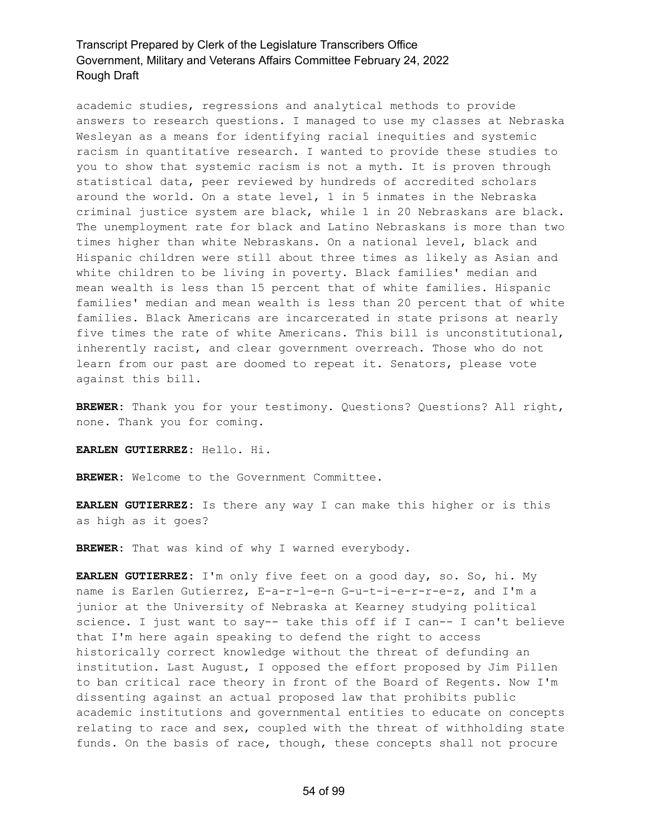academic studies, regressions and analytical methods to provide answers to research questions. I managed to use my classes at Nebraska Wesleyan as a means for identifying racial inequities and systemic racism in quantitative research. I wanted to provide these studies to you to show that systemic racism is not a myth. It is proven through statistical data, peer reviewed by hundreds of accredited scholars around the world. On a state level, 1 in 5 inmates in the Nebraska criminal justice system are black, while 1 in 20 Nebraskans are black. The unemployment rate for black and Latino Nebraskans is more than two times higher than white Nebraskans. On a national level, black and Hispanic children were still about three times as likely as Asian and white children to be living in poverty. Black families' median and mean wealth is less than 15 percent that of white families. Hispanic families' median and mean wealth is less than 20 percent that of white families. Black Americans are incarcerated in state prisons at nearly five times the rate of white Americans. This bill is unconstitutional, inherently racist, and clear government overreach. Those who do not learn from our past are doomed to repeat it. Senators, please vote against this bill.

**BREWER:** Thank you for your testimony. Questions? Questions? All right, none. Thank you for coming.

**EARLEN GUTIERREZ:** Hello. Hi.

**BREWER:** Welcome to the Government Committee.

**EARLEN GUTIERREZ:** Is there any way I can make this higher or is this as high as it goes?

**BREWER:** That was kind of why I warned everybody.

**EARLEN GUTIERREZ:** I'm only five feet on a good day, so. So, hi. My name is Earlen Gutierrez, E-a-r-l-e-n G-u-t-i-e-r-r-e-z, and I'm a junior at the University of Nebraska at Kearney studying political science. I just want to say-- take this off if I can-- I can't believe that I'm here again speaking to defend the right to access historically correct knowledge without the threat of defunding an institution. Last August, I opposed the effort proposed by Jim Pillen to ban critical race theory in front of the Board of Regents. Now I'm dissenting against an actual proposed law that prohibits public academic institutions and governmental entities to educate on concepts relating to race and sex, coupled with the threat of withholding state funds. On the basis of race, though, these concepts shall not procure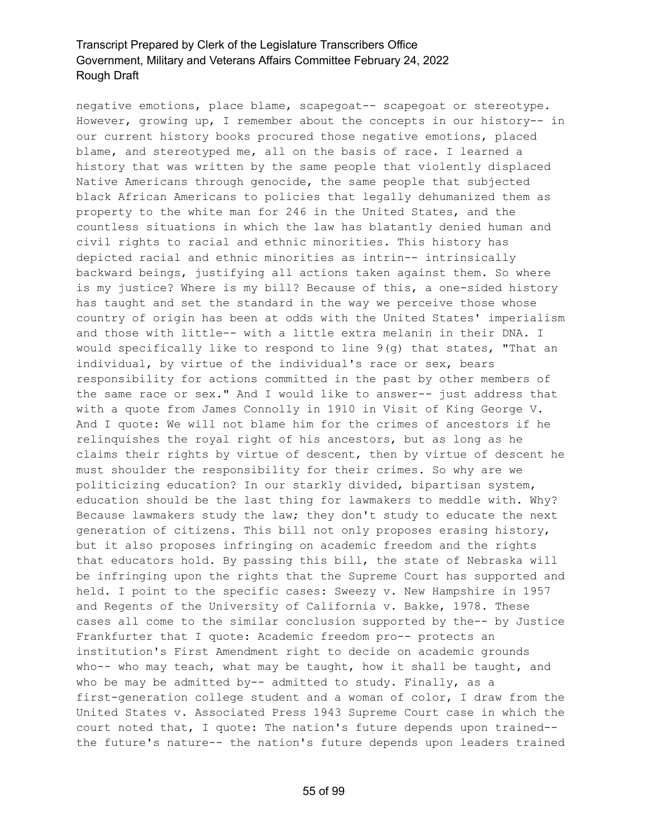negative emotions, place blame, scapegoat-- scapegoat or stereotype. However, growing up, I remember about the concepts in our history-- in our current history books procured those negative emotions, placed blame, and stereotyped me, all on the basis of race. I learned a history that was written by the same people that violently displaced Native Americans through genocide, the same people that subjected black African Americans to policies that legally dehumanized them as property to the white man for 246 in the United States, and the countless situations in which the law has blatantly denied human and civil rights to racial and ethnic minorities. This history has depicted racial and ethnic minorities as intrin-- intrinsically backward beings, justifying all actions taken against them. So where is my justice? Where is my bill? Because of this, a one-sided history has taught and set the standard in the way we perceive those whose country of origin has been at odds with the United States' imperialism and those with little-- with a little extra melanin in their DNA. I would specifically like to respond to line  $9(q)$  that states, "That an individual, by virtue of the individual's race or sex, bears responsibility for actions committed in the past by other members of the same race or sex." And I would like to answer-- just address that with a quote from James Connolly in 1910 in Visit of King George V. And I quote: We will not blame him for the crimes of ancestors if he relinquishes the royal right of his ancestors, but as long as he claims their rights by virtue of descent, then by virtue of descent he must shoulder the responsibility for their crimes. So why are we politicizing education? In our starkly divided, bipartisan system, education should be the last thing for lawmakers to meddle with. Why? Because lawmakers study the law; they don't study to educate the next generation of citizens. This bill not only proposes erasing history, but it also proposes infringing on academic freedom and the rights that educators hold. By passing this bill, the state of Nebraska will be infringing upon the rights that the Supreme Court has supported and held. I point to the specific cases: Sweezy v. New Hampshire in 1957 and Regents of the University of California v. Bakke, 1978. These cases all come to the similar conclusion supported by the-- by Justice Frankfurter that I quote: Academic freedom pro-- protects an institution's First Amendment right to decide on academic grounds who-- who may teach, what may be taught, how it shall be taught, and who be may be admitted by-- admitted to study. Finally, as a first-generation college student and a woman of color, I draw from the United States v. Associated Press 1943 Supreme Court case in which the court noted that, I quote: The nation's future depends upon trained- the future's nature-- the nation's future depends upon leaders trained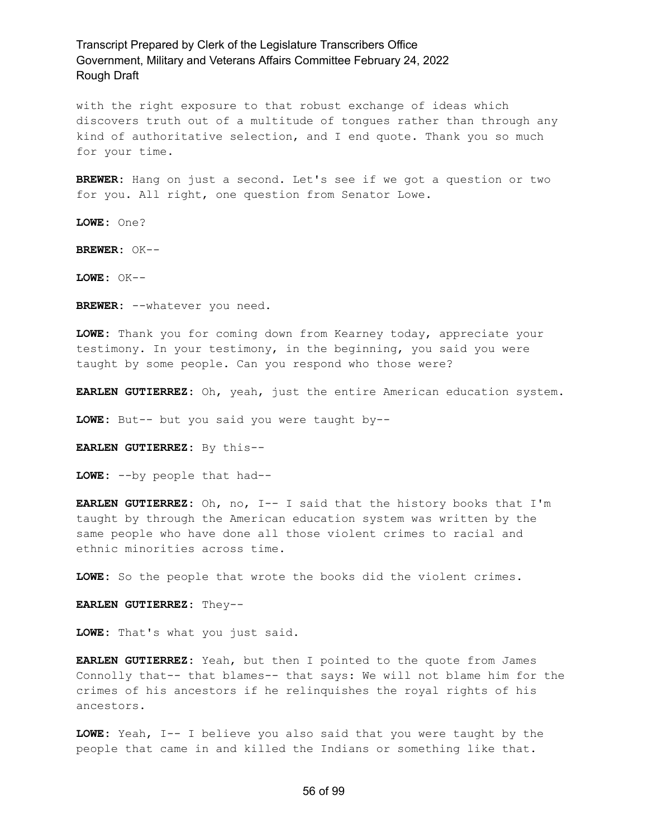with the right exposure to that robust exchange of ideas which discovers truth out of a multitude of tongues rather than through any kind of authoritative selection, and I end quote. Thank you so much for your time.

**BREWER:** Hang on just a second. Let's see if we got a question or two for you. All right, one question from Senator Lowe.

**LOWE:** One?

**BREWER:** OK--

**LOWE:** OK--

**BREWER:** --whatever you need.

**LOWE:** Thank you for coming down from Kearney today, appreciate your testimony. In your testimony, in the beginning, you said you were taught by some people. Can you respond who those were?

**EARLEN GUTIERREZ:** Oh, yeah, just the entire American education system.

**LOWE:** But-- but you said you were taught by--

**EARLEN GUTIERREZ:** By this--

**LOWE:** --by people that had--

**EARLEN GUTIERREZ:** Oh, no, I-- I said that the history books that I'm taught by through the American education system was written by the same people who have done all those violent crimes to racial and ethnic minorities across time.

**LOWE:** So the people that wrote the books did the violent crimes.

**EARLEN GUTIERREZ:** They--

**LOWE:** That's what you just said.

**EARLEN GUTIERREZ:** Yeah, but then I pointed to the quote from James Connolly that-- that blames-- that says: We will not blame him for the crimes of his ancestors if he relinquishes the royal rights of his ancestors.

**LOWE:** Yeah, I-- I believe you also said that you were taught by the people that came in and killed the Indians or something like that.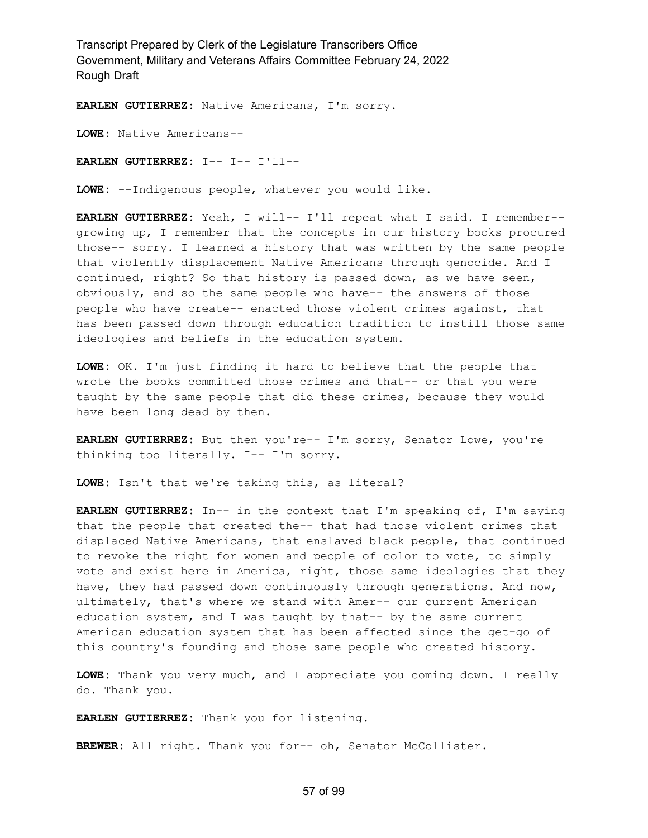**EARLEN GUTIERREZ:** Native Americans, I'm sorry.

**LOWE:** Native Americans--

**EARLEN GUTIERREZ:** I-- I-- I'll--

**LOWE:** --Indigenous people, whatever you would like.

**EARLEN GUTIERREZ:** Yeah, I will-- I'll repeat what I said. I remember- growing up, I remember that the concepts in our history books procured those-- sorry. I learned a history that was written by the same people that violently displacement Native Americans through genocide. And I continued, right? So that history is passed down, as we have seen, obviously, and so the same people who have-- the answers of those people who have create-- enacted those violent crimes against, that has been passed down through education tradition to instill those same ideologies and beliefs in the education system.

**LOWE:** OK. I'm just finding it hard to believe that the people that wrote the books committed those crimes and that-- or that you were taught by the same people that did these crimes, because they would have been long dead by then.

**EARLEN GUTIERREZ:** But then you're-- I'm sorry, Senator Lowe, you're thinking too literally. I-- I'm sorry.

**LOWE:** Isn't that we're taking this, as literal?

**EARLEN GUTIERREZ:** In-- in the context that I'm speaking of, I'm saying that the people that created the-- that had those violent crimes that displaced Native Americans, that enslaved black people, that continued to revoke the right for women and people of color to vote, to simply vote and exist here in America, right, those same ideologies that they have, they had passed down continuously through generations. And now, ultimately, that's where we stand with Amer-- our current American education system, and I was taught by that-- by the same current American education system that has been affected since the get-go of this country's founding and those same people who created history.

**LOWE:** Thank you very much, and I appreciate you coming down. I really do. Thank you.

**EARLEN GUTIERREZ:** Thank you for listening.

**BREWER:** All right. Thank you for-- oh, Senator McCollister.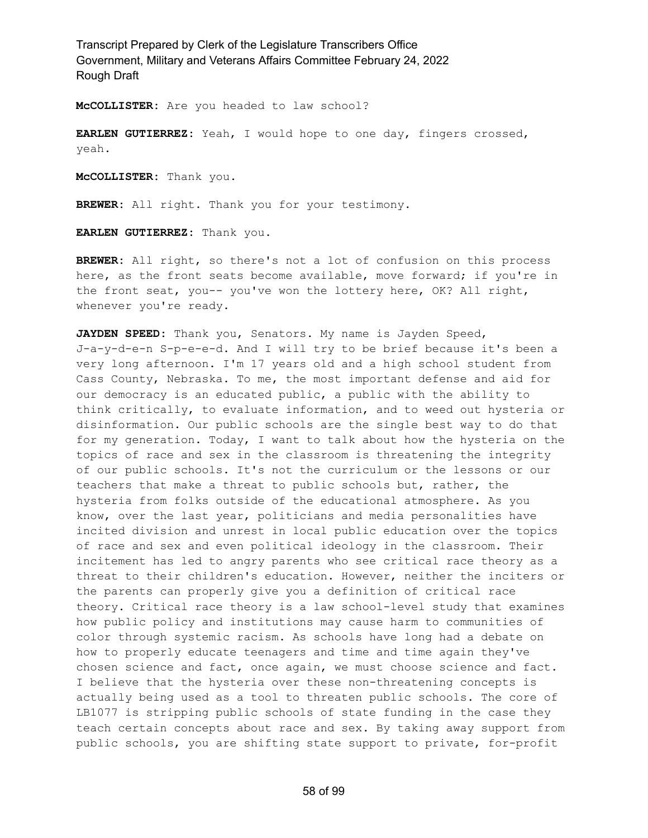**McCOLLISTER:** Are you headed to law school?

**EARLEN GUTIERREZ:** Yeah, I would hope to one day, fingers crossed, yeah.

**McCOLLISTER:** Thank you.

**BREWER:** All right. Thank you for your testimony.

**EARLEN GUTIERREZ:** Thank you.

**BREWER:** All right, so there's not a lot of confusion on this process here, as the front seats become available, move forward; if you're in the front seat, you-- you've won the lottery here, OK? All right, whenever you're ready.

**JAYDEN SPEED:** Thank you, Senators. My name is Jayden Speed, J-a-y-d-e-n S-p-e-e-d. And I will try to be brief because it's been a very long afternoon. I'm 17 years old and a high school student from Cass County, Nebraska. To me, the most important defense and aid for our democracy is an educated public, a public with the ability to think critically, to evaluate information, and to weed out hysteria or disinformation. Our public schools are the single best way to do that for my generation. Today, I want to talk about how the hysteria on the topics of race and sex in the classroom is threatening the integrity of our public schools. It's not the curriculum or the lessons or our teachers that make a threat to public schools but, rather, the hysteria from folks outside of the educational atmosphere. As you know, over the last year, politicians and media personalities have incited division and unrest in local public education over the topics of race and sex and even political ideology in the classroom. Their incitement has led to angry parents who see critical race theory as a threat to their children's education. However, neither the inciters or the parents can properly give you a definition of critical race theory. Critical race theory is a law school-level study that examines how public policy and institutions may cause harm to communities of color through systemic racism. As schools have long had a debate on how to properly educate teenagers and time and time again they've chosen science and fact, once again, we must choose science and fact. I believe that the hysteria over these non-threatening concepts is actually being used as a tool to threaten public schools. The core of LB1077 is stripping public schools of state funding in the case they teach certain concepts about race and sex. By taking away support from public schools, you are shifting state support to private, for-profit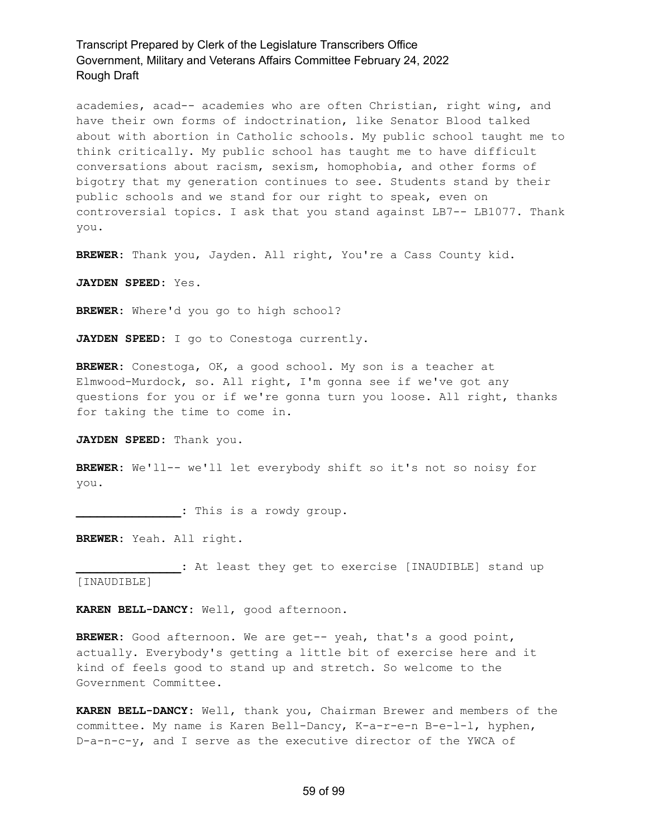academies, acad-- academies who are often Christian, right wing, and have their own forms of indoctrination, like Senator Blood talked about with abortion in Catholic schools. My public school taught me to think critically. My public school has taught me to have difficult conversations about racism, sexism, homophobia, and other forms of bigotry that my generation continues to see. Students stand by their public schools and we stand for our right to speak, even on controversial topics. I ask that you stand against LB7-- LB1077. Thank you.

**BREWER:** Thank you, Jayden. All right, You're a Cass County kid.

**JAYDEN SPEED:** Yes.

**BREWER:** Where'd you go to high school?

**JAYDEN SPEED:** I go to Conestoga currently.

**BREWER:** Conestoga, OK, a good school. My son is a teacher at Elmwood-Murdock, so. All right, I'm gonna see if we've got any questions for you or if we're gonna turn you loose. All right, thanks for taking the time to come in.

**JAYDEN SPEED:** Thank you.

**BREWER:** We'll-- we'll let everybody shift so it's not so noisy for you.

**\_\_\_\_\_\_\_\_\_\_\_\_\_\_\_:** This is a rowdy group.

**BREWER:** Yeah. All right.

**\_\_\_\_\_\_\_\_\_\_\_\_\_\_\_:** At least they get to exercise [INAUDIBLE] stand up [INAUDIBLE]

**KAREN BELL-DANCY:** Well, good afternoon.

**BREWER:** Good afternoon. We are get-- yeah, that's a good point, actually. Everybody's getting a little bit of exercise here and it kind of feels good to stand up and stretch. So welcome to the Government Committee.

**KAREN BELL-DANCY:** Well, thank you, Chairman Brewer and members of the committee. My name is Karen Bell-Dancy, K-a-r-e-n B-e-l-l, hyphen, D-a-n-c-y, and I serve as the executive director of the YWCA of

### 59 of 99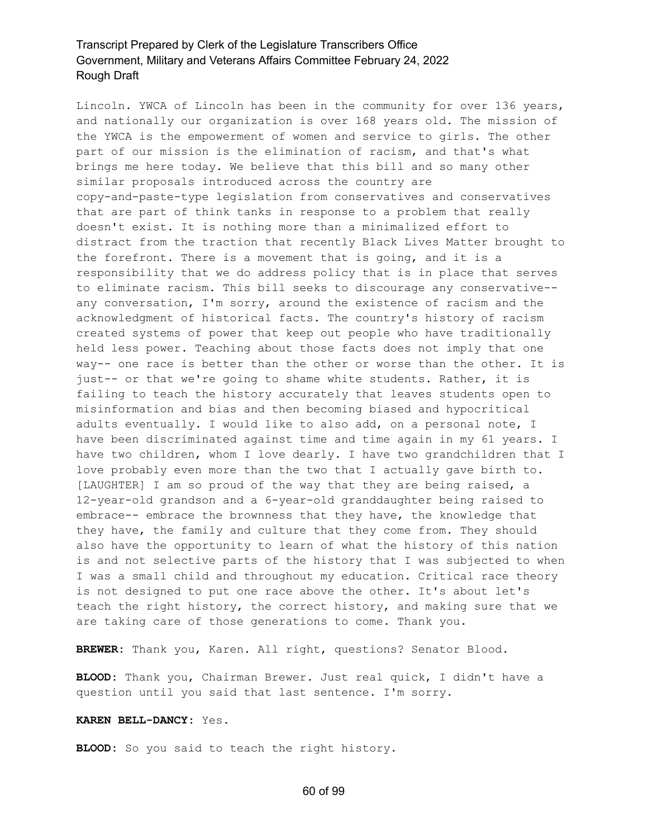Lincoln. YWCA of Lincoln has been in the community for over 136 years, and nationally our organization is over 168 years old. The mission of the YWCA is the empowerment of women and service to girls. The other part of our mission is the elimination of racism, and that's what brings me here today. We believe that this bill and so many other similar proposals introduced across the country are copy-and-paste-type legislation from conservatives and conservatives that are part of think tanks in response to a problem that really doesn't exist. It is nothing more than a minimalized effort to distract from the traction that recently Black Lives Matter brought to the forefront. There is a movement that is going, and it is a responsibility that we do address policy that is in place that serves to eliminate racism. This bill seeks to discourage any conservative- any conversation, I'm sorry, around the existence of racism and the acknowledgment of historical facts. The country's history of racism created systems of power that keep out people who have traditionally held less power. Teaching about those facts does not imply that one way-- one race is better than the other or worse than the other. It is just-- or that we're going to shame white students. Rather, it is failing to teach the history accurately that leaves students open to misinformation and bias and then becoming biased and hypocritical adults eventually. I would like to also add, on a personal note, I have been discriminated against time and time again in my 61 years. I have two children, whom I love dearly. I have two grandchildren that I love probably even more than the two that I actually gave birth to. [LAUGHTER] I am so proud of the way that they are being raised, a 12-year-old grandson and a 6-year-old granddaughter being raised to embrace-- embrace the brownness that they have, the knowledge that they have, the family and culture that they come from. They should also have the opportunity to learn of what the history of this nation is and not selective parts of the history that I was subjected to when I was a small child and throughout my education. Critical race theory is not designed to put one race above the other. It's about let's teach the right history, the correct history, and making sure that we are taking care of those generations to come. Thank you.

**BREWER:** Thank you, Karen. All right, questions? Senator Blood.

**BLOOD:** Thank you, Chairman Brewer. Just real quick, I didn't have a question until you said that last sentence. I'm sorry.

#### **KAREN BELL-DANCY:** Yes.

**BLOOD:** So you said to teach the right history.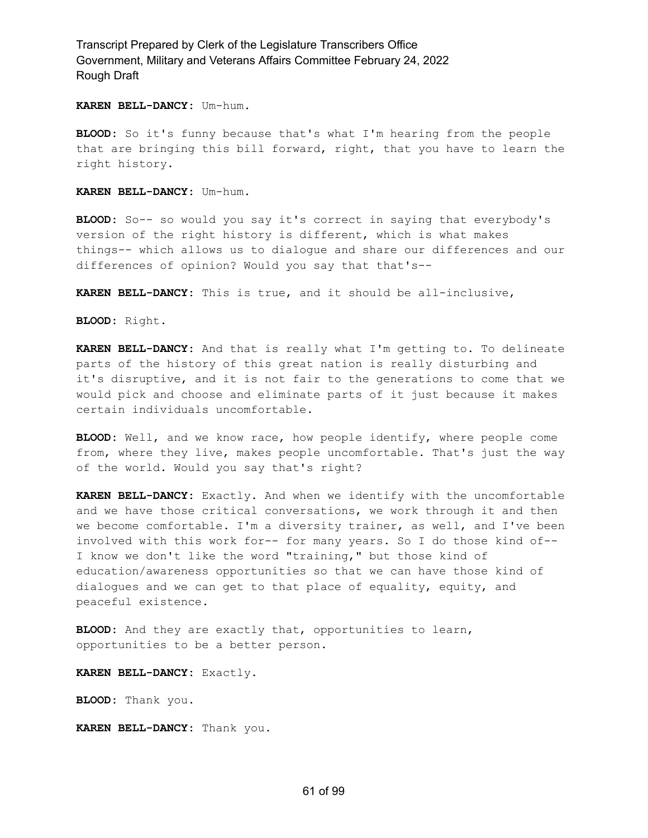#### **KAREN BELL-DANCY:** Um-hum.

**BLOOD:** So it's funny because that's what I'm hearing from the people that are bringing this bill forward, right, that you have to learn the right history.

**KAREN BELL-DANCY:** Um-hum.

**BLOOD:** So-- so would you say it's correct in saying that everybody's version of the right history is different, which is what makes things-- which allows us to dialogue and share our differences and our differences of opinion? Would you say that that's--

**KAREN BELL-DANCY:** This is true, and it should be all-inclusive,

**BLOOD:** Right.

**KAREN BELL-DANCY:** And that is really what I'm getting to. To delineate parts of the history of this great nation is really disturbing and it's disruptive, and it is not fair to the generations to come that we would pick and choose and eliminate parts of it just because it makes certain individuals uncomfortable.

**BLOOD:** Well, and we know race, how people identify, where people come from, where they live, makes people uncomfortable. That's just the way of the world. Would you say that's right?

**KAREN BELL-DANCY:** Exactly. And when we identify with the uncomfortable and we have those critical conversations, we work through it and then we become comfortable. I'm a diversity trainer, as well, and I've been involved with this work for-- for many years. So I do those kind of-- I know we don't like the word "training," but those kind of education/awareness opportunities so that we can have those kind of dialogues and we can get to that place of equality, equity, and peaceful existence.

**BLOOD:** And they are exactly that, opportunities to learn, opportunities to be a better person.

**KAREN BELL-DANCY:** Exactly.

**BLOOD:** Thank you.

**KAREN BELL-DANCY:** Thank you.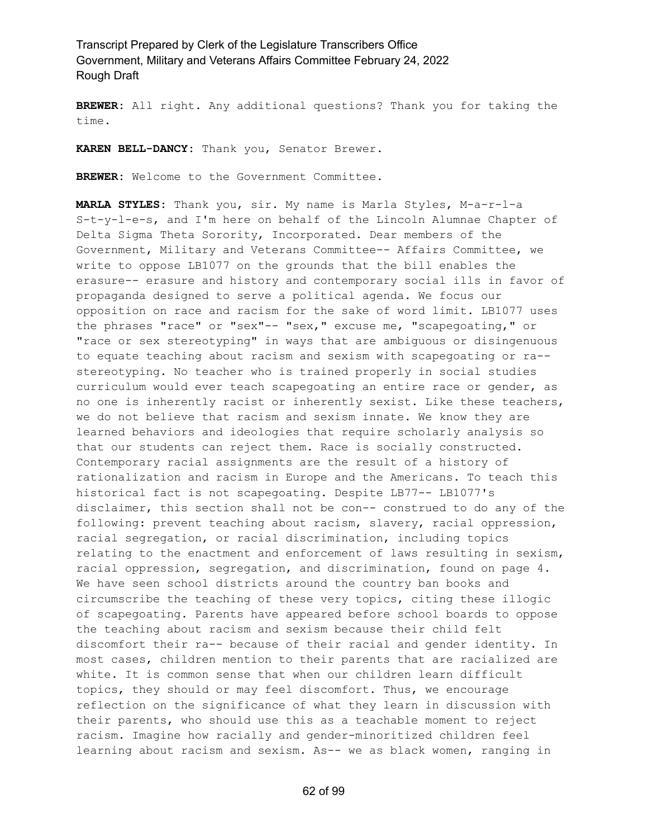**BREWER:** All right. Any additional questions? Thank you for taking the time.

**KAREN BELL-DANCY:** Thank you, Senator Brewer.

**BREWER:** Welcome to the Government Committee.

**MARLA STYLES:** Thank you, sir. My name is Marla Styles, M-a-r-l-a S-t-y-l-e-s, and I'm here on behalf of the Lincoln Alumnae Chapter of Delta Sigma Theta Sorority, Incorporated. Dear members of the Government, Military and Veterans Committee-- Affairs Committee, we write to oppose LB1077 on the grounds that the bill enables the erasure-- erasure and history and contemporary social ills in favor of propaganda designed to serve a political agenda. We focus our opposition on race and racism for the sake of word limit. LB1077 uses the phrases "race" or "sex"-- "sex," excuse me, "scapegoating," or "race or sex stereotyping" in ways that are ambiguous or disingenuous to equate teaching about racism and sexism with scapegoating or ra- stereotyping. No teacher who is trained properly in social studies curriculum would ever teach scapegoating an entire race or gender, as no one is inherently racist or inherently sexist. Like these teachers, we do not believe that racism and sexism innate. We know they are learned behaviors and ideologies that require scholarly analysis so that our students can reject them. Race is socially constructed. Contemporary racial assignments are the result of a history of rationalization and racism in Europe and the Americans. To teach this historical fact is not scapegoating. Despite LB77-- LB1077's disclaimer, this section shall not be con-- construed to do any of the following: prevent teaching about racism, slavery, racial oppression, racial segregation, or racial discrimination, including topics relating to the enactment and enforcement of laws resulting in sexism, racial oppression, segregation, and discrimination, found on page 4. We have seen school districts around the country ban books and circumscribe the teaching of these very topics, citing these illogic of scapegoating. Parents have appeared before school boards to oppose the teaching about racism and sexism because their child felt discomfort their ra-- because of their racial and gender identity. In most cases, children mention to their parents that are racialized are white. It is common sense that when our children learn difficult topics, they should or may feel discomfort. Thus, we encourage reflection on the significance of what they learn in discussion with their parents, who should use this as a teachable moment to reject racism. Imagine how racially and gender-minoritized children feel learning about racism and sexism. As-- we as black women, ranging in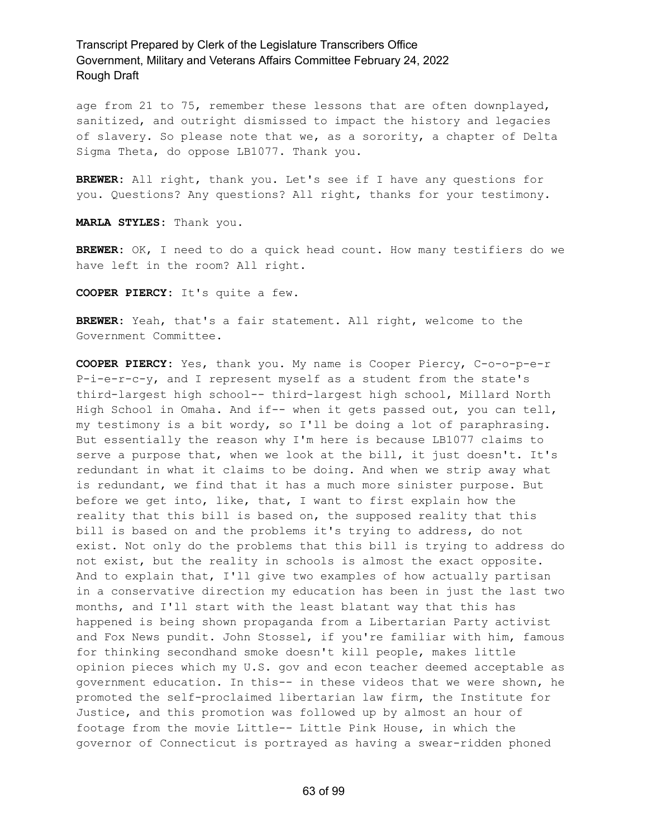age from 21 to 75, remember these lessons that are often downplayed, sanitized, and outright dismissed to impact the history and legacies of slavery. So please note that we, as a sorority, a chapter of Delta Sigma Theta, do oppose LB1077. Thank you.

**BREWER:** All right, thank you. Let's see if I have any questions for you. Questions? Any questions? All right, thanks for your testimony.

**MARLA STYLES:** Thank you.

**BREWER:** OK, I need to do a quick head count. How many testifiers do we have left in the room? All right.

**COOPER PIERCY:** It's quite a few.

**BREWER:** Yeah, that's a fair statement. All right, welcome to the Government Committee.

**COOPER PIERCY:** Yes, thank you. My name is Cooper Piercy, C-o-o-p-e-r P-i-e-r-c-y, and I represent myself as a student from the state's third-largest high school-- third-largest high school, Millard North High School in Omaha. And if-- when it gets passed out, you can tell, my testimony is a bit wordy, so I'll be doing a lot of paraphrasing. But essentially the reason why I'm here is because LB1077 claims to serve a purpose that, when we look at the bill, it just doesn't. It's redundant in what it claims to be doing. And when we strip away what is redundant, we find that it has a much more sinister purpose. But before we get into, like, that, I want to first explain how the reality that this bill is based on, the supposed reality that this bill is based on and the problems it's trying to address, do not exist. Not only do the problems that this bill is trying to address do not exist, but the reality in schools is almost the exact opposite. And to explain that, I'll give two examples of how actually partisan in a conservative direction my education has been in just the last two months, and I'll start with the least blatant way that this has happened is being shown propaganda from a Libertarian Party activist and Fox News pundit. John Stossel, if you're familiar with him, famous for thinking secondhand smoke doesn't kill people, makes little opinion pieces which my U.S. gov and econ teacher deemed acceptable as government education. In this-- in these videos that we were shown, he promoted the self-proclaimed libertarian law firm, the Institute for Justice, and this promotion was followed up by almost an hour of footage from the movie Little-- Little Pink House, in which the governor of Connecticut is portrayed as having a swear-ridden phoned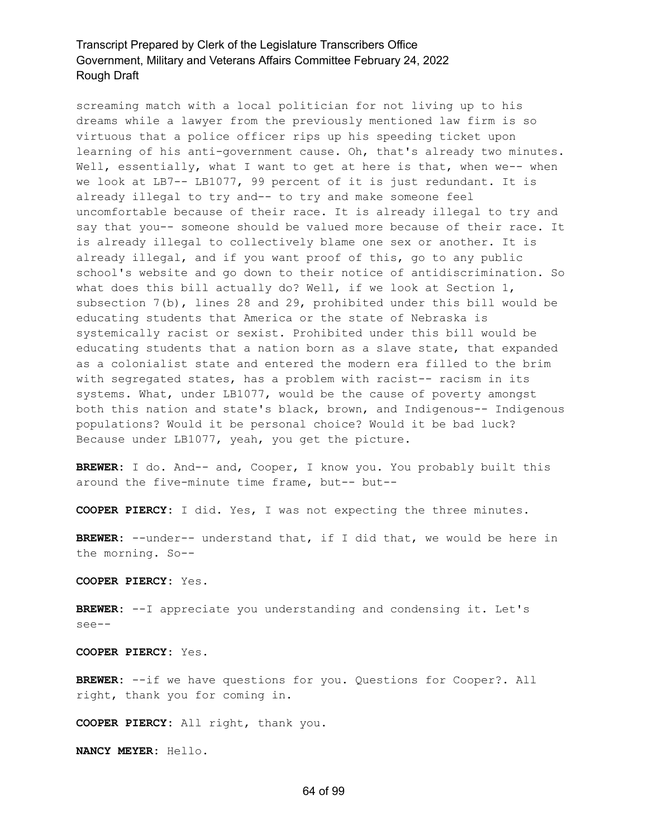screaming match with a local politician for not living up to his dreams while a lawyer from the previously mentioned law firm is so virtuous that a police officer rips up his speeding ticket upon learning of his anti-government cause. Oh, that's already two minutes. Well, essentially, what I want to get at here is that, when we-- when we look at LB7-- LB1077, 99 percent of it is just redundant. It is already illegal to try and-- to try and make someone feel uncomfortable because of their race. It is already illegal to try and say that you-- someone should be valued more because of their race. It is already illegal to collectively blame one sex or another. It is already illegal, and if you want proof of this, go to any public school's website and go down to their notice of antidiscrimination. So what does this bill actually do? Well, if we look at Section 1, subsection 7(b), lines 28 and 29, prohibited under this bill would be educating students that America or the state of Nebraska is systemically racist or sexist. Prohibited under this bill would be educating students that a nation born as a slave state, that expanded as a colonialist state and entered the modern era filled to the brim with segregated states, has a problem with racist-- racism in its systems. What, under LB1077, would be the cause of poverty amongst both this nation and state's black, brown, and Indigenous-- Indigenous populations? Would it be personal choice? Would it be bad luck? Because under LB1077, yeah, you get the picture.

**BREWER:** I do. And-- and, Cooper, I know you. You probably built this around the five-minute time frame, but-- but--

**COOPER PIERCY:** I did. Yes, I was not expecting the three minutes.

**BREWER:** --under-- understand that, if I did that, we would be here in the morning. So--

**COOPER PIERCY:** Yes.

**BREWER:** --I appreciate you understanding and condensing it. Let's see--

**COOPER PIERCY:** Yes.

**BREWER:** --if we have questions for you. Questions for Cooper?. All right, thank you for coming in.

**COOPER PIERCY:** All right, thank you.

**NANCY MEYER:** Hello.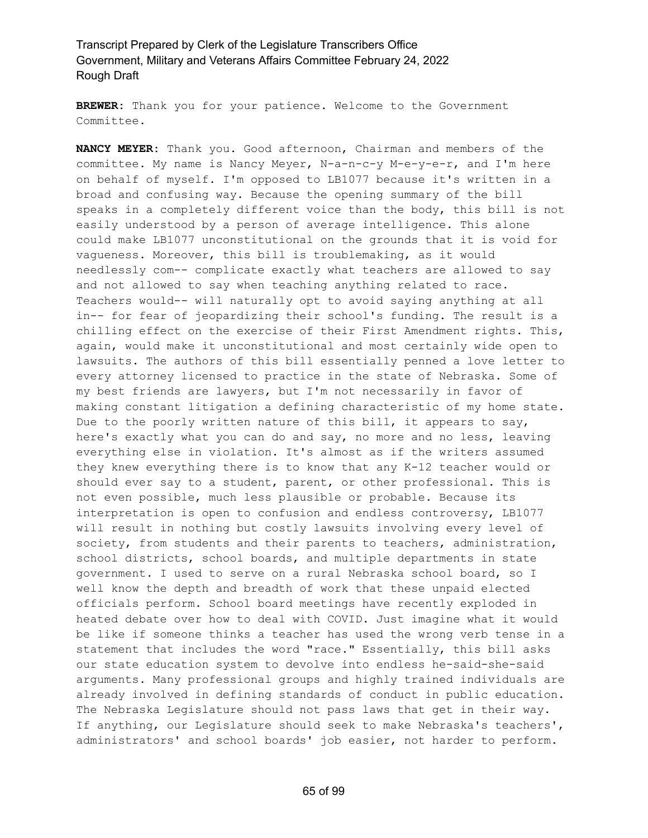**BREWER:** Thank you for your patience. Welcome to the Government Committee.

**NANCY MEYER:** Thank you. Good afternoon, Chairman and members of the committee. My name is Nancy Meyer, N-a-n-c-y M-e-y-e-r, and I'm here on behalf of myself. I'm opposed to LB1077 because it's written in a broad and confusing way. Because the opening summary of the bill speaks in a completely different voice than the body, this bill is not easily understood by a person of average intelligence. This alone could make LB1077 unconstitutional on the grounds that it is void for vagueness. Moreover, this bill is troublemaking, as it would needlessly com-- complicate exactly what teachers are allowed to say and not allowed to say when teaching anything related to race. Teachers would-- will naturally opt to avoid saying anything at all in-- for fear of jeopardizing their school's funding. The result is a chilling effect on the exercise of their First Amendment rights. This, again, would make it unconstitutional and most certainly wide open to lawsuits. The authors of this bill essentially penned a love letter to every attorney licensed to practice in the state of Nebraska. Some of my best friends are lawyers, but I'm not necessarily in favor of making constant litigation a defining characteristic of my home state. Due to the poorly written nature of this bill, it appears to say, here's exactly what you can do and say, no more and no less, leaving everything else in violation. It's almost as if the writers assumed they knew everything there is to know that any K-12 teacher would or should ever say to a student, parent, or other professional. This is not even possible, much less plausible or probable. Because its interpretation is open to confusion and endless controversy, LB1077 will result in nothing but costly lawsuits involving every level of society, from students and their parents to teachers, administration, school districts, school boards, and multiple departments in state government. I used to serve on a rural Nebraska school board, so I well know the depth and breadth of work that these unpaid elected officials perform. School board meetings have recently exploded in heated debate over how to deal with COVID. Just imagine what it would be like if someone thinks a teacher has used the wrong verb tense in a statement that includes the word "race." Essentially, this bill asks our state education system to devolve into endless he-said-she-said arguments. Many professional groups and highly trained individuals are already involved in defining standards of conduct in public education. The Nebraska Legislature should not pass laws that get in their way. If anything, our Legislature should seek to make Nebraska's teachers', administrators' and school boards' job easier, not harder to perform.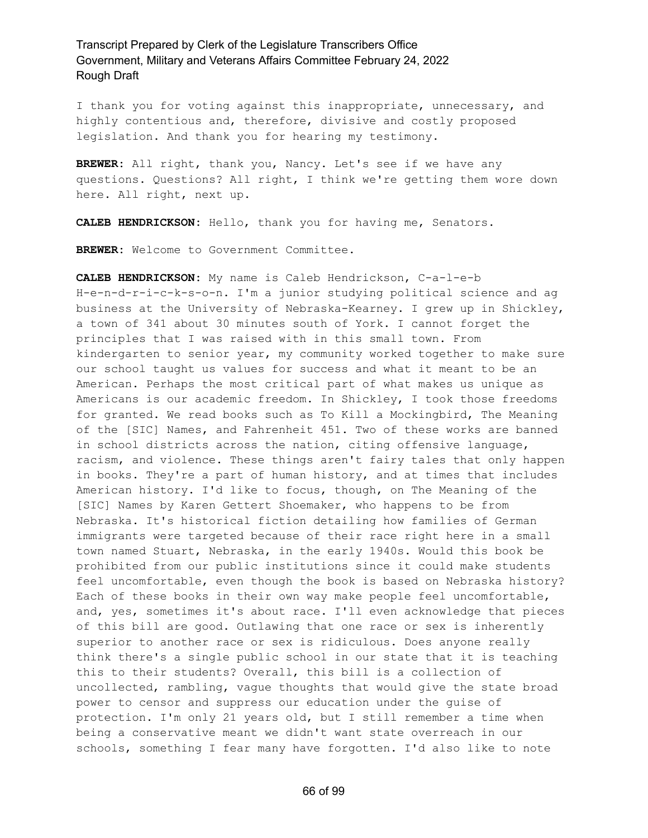I thank you for voting against this inappropriate, unnecessary, and highly contentious and, therefore, divisive and costly proposed legislation. And thank you for hearing my testimony.

**BREWER:** All right, thank you, Nancy. Let's see if we have any questions. Questions? All right, I think we're getting them wore down here. All right, next up.

**CALEB HENDRICKSON:** Hello, thank you for having me, Senators.

**BREWER:** Welcome to Government Committee.

**CALEB HENDRICKSON:** My name is Caleb Hendrickson, C-a-l-e-b H-e-n-d-r-i-c-k-s-o-n. I'm a junior studying political science and ag business at the University of Nebraska-Kearney. I grew up in Shickley, a town of 341 about 30 minutes south of York. I cannot forget the principles that I was raised with in this small town. From kindergarten to senior year, my community worked together to make sure our school taught us values for success and what it meant to be an American. Perhaps the most critical part of what makes us unique as Americans is our academic freedom. In Shickley, I took those freedoms for granted. We read books such as To Kill a Mockingbird, The Meaning of the [SIC] Names, and Fahrenheit 451. Two of these works are banned in school districts across the nation, citing offensive language, racism, and violence. These things aren't fairy tales that only happen in books. They're a part of human history, and at times that includes American history. I'd like to focus, though, on The Meaning of the [SIC] Names by Karen Gettert Shoemaker, who happens to be from Nebraska. It's historical fiction detailing how families of German immigrants were targeted because of their race right here in a small town named Stuart, Nebraska, in the early 1940s. Would this book be prohibited from our public institutions since it could make students feel uncomfortable, even though the book is based on Nebraska history? Each of these books in their own way make people feel uncomfortable, and, yes, sometimes it's about race. I'll even acknowledge that pieces of this bill are good. Outlawing that one race or sex is inherently superior to another race or sex is ridiculous. Does anyone really think there's a single public school in our state that it is teaching this to their students? Overall, this bill is a collection of uncollected, rambling, vague thoughts that would give the state broad power to censor and suppress our education under the guise of protection. I'm only 21 years old, but I still remember a time when being a conservative meant we didn't want state overreach in our schools, something I fear many have forgotten. I'd also like to note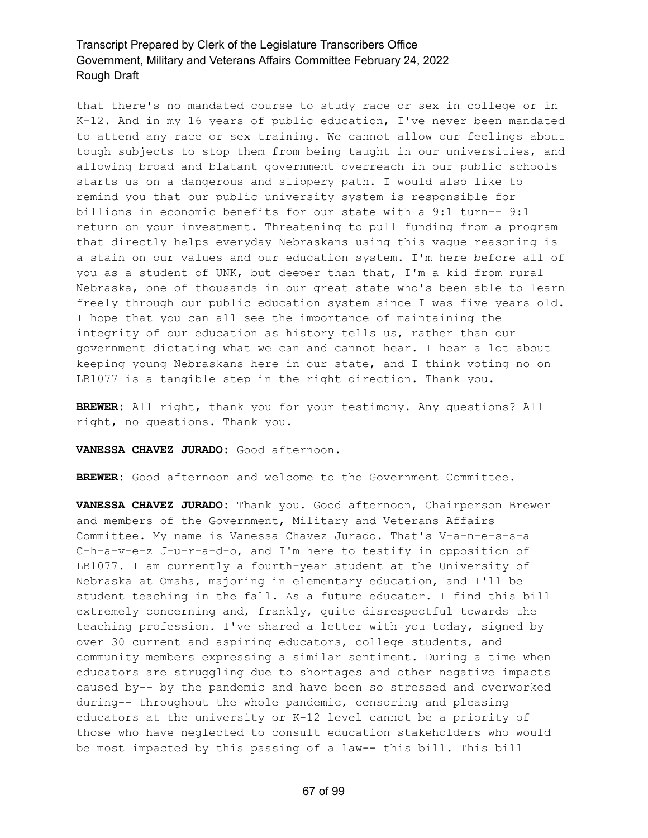that there's no mandated course to study race or sex in college or in K-12. And in my 16 years of public education, I've never been mandated to attend any race or sex training. We cannot allow our feelings about tough subjects to stop them from being taught in our universities, and allowing broad and blatant government overreach in our public schools starts us on a dangerous and slippery path. I would also like to remind you that our public university system is responsible for billions in economic benefits for our state with a 9:1 turn-- 9:1 return on your investment. Threatening to pull funding from a program that directly helps everyday Nebraskans using this vague reasoning is a stain on our values and our education system. I'm here before all of you as a student of UNK, but deeper than that, I'm a kid from rural Nebraska, one of thousands in our great state who's been able to learn freely through our public education system since I was five years old. I hope that you can all see the importance of maintaining the integrity of our education as history tells us, rather than our government dictating what we can and cannot hear. I hear a lot about keeping young Nebraskans here in our state, and I think voting no on LB1077 is a tangible step in the right direction. Thank you.

**BREWER:** All right, thank you for your testimony. Any questions? All right, no questions. Thank you.

**VANESSA CHAVEZ JURADO:** Good afternoon.

**BREWER:** Good afternoon and welcome to the Government Committee.

**VANESSA CHAVEZ JURADO:** Thank you. Good afternoon, Chairperson Brewer and members of the Government, Military and Veterans Affairs Committee. My name is Vanessa Chavez Jurado. That's V-a-n-e-s-s-a C-h-a-v-e-z J-u-r-a-d-o, and I'm here to testify in opposition of LB1077. I am currently a fourth-year student at the University of Nebraska at Omaha, majoring in elementary education, and I'll be student teaching in the fall. As a future educator. I find this bill extremely concerning and, frankly, quite disrespectful towards the teaching profession. I've shared a letter with you today, signed by over 30 current and aspiring educators, college students, and community members expressing a similar sentiment. During a time when educators are struggling due to shortages and other negative impacts caused by-- by the pandemic and have been so stressed and overworked during-- throughout the whole pandemic, censoring and pleasing educators at the university or K-12 level cannot be a priority of those who have neglected to consult education stakeholders who would be most impacted by this passing of a law-- this bill. This bill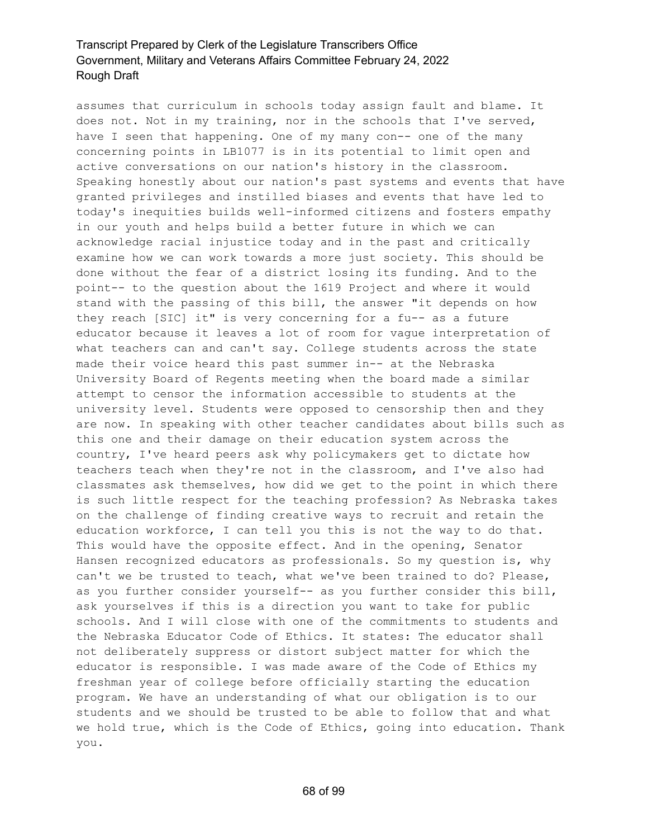assumes that curriculum in schools today assign fault and blame. It does not. Not in my training, nor in the schools that I've served, have I seen that happening. One of my many con-- one of the many concerning points in LB1077 is in its potential to limit open and active conversations on our nation's history in the classroom. Speaking honestly about our nation's past systems and events that have granted privileges and instilled biases and events that have led to today's inequities builds well-informed citizens and fosters empathy in our youth and helps build a better future in which we can acknowledge racial injustice today and in the past and critically examine how we can work towards a more just society. This should be done without the fear of a district losing its funding. And to the point-- to the question about the 1619 Project and where it would stand with the passing of this bill, the answer "it depends on how they reach [SIC] it" is very concerning for a fu-- as a future educator because it leaves a lot of room for vague interpretation of what teachers can and can't say. College students across the state made their voice heard this past summer in-- at the Nebraska University Board of Regents meeting when the board made a similar attempt to censor the information accessible to students at the university level. Students were opposed to censorship then and they are now. In speaking with other teacher candidates about bills such as this one and their damage on their education system across the country, I've heard peers ask why policymakers get to dictate how teachers teach when they're not in the classroom, and I've also had classmates ask themselves, how did we get to the point in which there is such little respect for the teaching profession? As Nebraska takes on the challenge of finding creative ways to recruit and retain the education workforce, I can tell you this is not the way to do that. This would have the opposite effect. And in the opening, Senator Hansen recognized educators as professionals. So my question is, why can't we be trusted to teach, what we've been trained to do? Please, as you further consider yourself-- as you further consider this bill, ask yourselves if this is a direction you want to take for public schools. And I will close with one of the commitments to students and the Nebraska Educator Code of Ethics. It states: The educator shall not deliberately suppress or distort subject matter for which the educator is responsible. I was made aware of the Code of Ethics my freshman year of college before officially starting the education program. We have an understanding of what our obligation is to our students and we should be trusted to be able to follow that and what we hold true, which is the Code of Ethics, going into education. Thank you.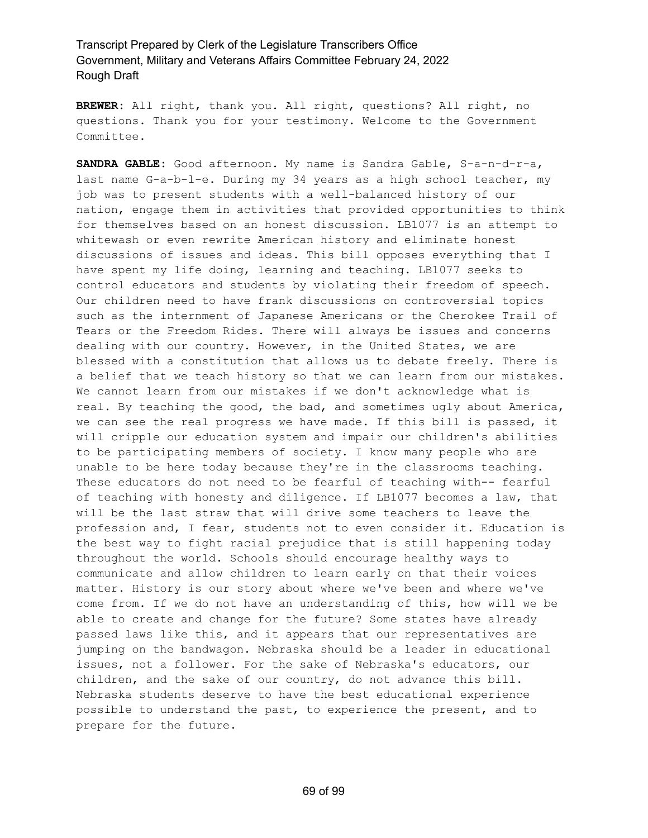**BREWER:** All right, thank you. All right, questions? All right, no questions. Thank you for your testimony. Welcome to the Government Committee.

**SANDRA GABLE:** Good afternoon. My name is Sandra Gable, S-a-n-d-r-a, last name G-a-b-l-e. During my 34 years as a high school teacher, my job was to present students with a well-balanced history of our nation, engage them in activities that provided opportunities to think for themselves based on an honest discussion. LB1077 is an attempt to whitewash or even rewrite American history and eliminate honest discussions of issues and ideas. This bill opposes everything that I have spent my life doing, learning and teaching. LB1077 seeks to control educators and students by violating their freedom of speech. Our children need to have frank discussions on controversial topics such as the internment of Japanese Americans or the Cherokee Trail of Tears or the Freedom Rides. There will always be issues and concerns dealing with our country. However, in the United States, we are blessed with a constitution that allows us to debate freely. There is a belief that we teach history so that we can learn from our mistakes. We cannot learn from our mistakes if we don't acknowledge what is real. By teaching the good, the bad, and sometimes ugly about America, we can see the real progress we have made. If this bill is passed, it will cripple our education system and impair our children's abilities to be participating members of society. I know many people who are unable to be here today because they're in the classrooms teaching. These educators do not need to be fearful of teaching with-- fearful of teaching with honesty and diligence. If LB1077 becomes a law, that will be the last straw that will drive some teachers to leave the profession and, I fear, students not to even consider it. Education is the best way to fight racial prejudice that is still happening today throughout the world. Schools should encourage healthy ways to communicate and allow children to learn early on that their voices matter. History is our story about where we've been and where we've come from. If we do not have an understanding of this, how will we be able to create and change for the future? Some states have already passed laws like this, and it appears that our representatives are jumping on the bandwagon. Nebraska should be a leader in educational issues, not a follower. For the sake of Nebraska's educators, our children, and the sake of our country, do not advance this bill. Nebraska students deserve to have the best educational experience possible to understand the past, to experience the present, and to prepare for the future.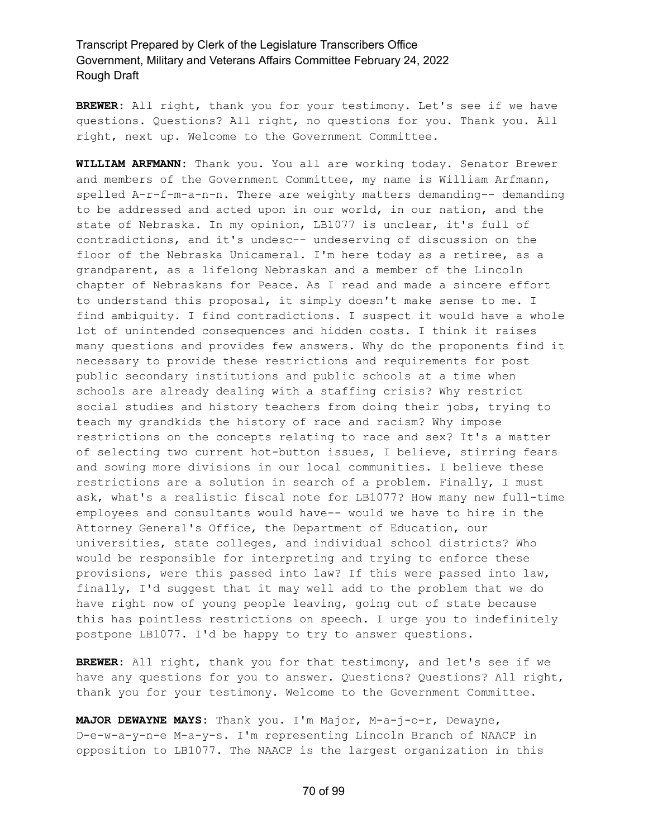**BREWER:** All right, thank you for your testimony. Let's see if we have questions. Questions? All right, no questions for you. Thank you. All right, next up. Welcome to the Government Committee.

**WILLIAM ARFMANN:** Thank you. You all are working today. Senator Brewer and members of the Government Committee, my name is William Arfmann, spelled A-r-f-m-a-n-n. There are weighty matters demanding-- demanding to be addressed and acted upon in our world, in our nation, and the state of Nebraska. In my opinion, LB1077 is unclear, it's full of contradictions, and it's undesc-- undeserving of discussion on the floor of the Nebraska Unicameral. I'm here today as a retiree, as a grandparent, as a lifelong Nebraskan and a member of the Lincoln chapter of Nebraskans for Peace. As I read and made a sincere effort to understand this proposal, it simply doesn't make sense to me. I find ambiguity. I find contradictions. I suspect it would have a whole lot of unintended consequences and hidden costs. I think it raises many questions and provides few answers. Why do the proponents find it necessary to provide these restrictions and requirements for post public secondary institutions and public schools at a time when schools are already dealing with a staffing crisis? Why restrict social studies and history teachers from doing their jobs, trying to teach my grandkids the history of race and racism? Why impose restrictions on the concepts relating to race and sex? It's a matter of selecting two current hot-button issues, I believe, stirring fears and sowing more divisions in our local communities. I believe these restrictions are a solution in search of a problem. Finally, I must ask, what's a realistic fiscal note for LB1077? How many new full-time employees and consultants would have-- would we have to hire in the Attorney General's Office, the Department of Education, our universities, state colleges, and individual school districts? Who would be responsible for interpreting and trying to enforce these provisions, were this passed into law? If this were passed into law, finally, I'd suggest that it may well add to the problem that we do have right now of young people leaving, going out of state because this has pointless restrictions on speech. I urge you to indefinitely postpone LB1077. I'd be happy to try to answer questions.

**BREWER:** All right, thank you for that testimony, and let's see if we have any questions for you to answer. Questions? Questions? All right, thank you for your testimony. Welcome to the Government Committee.

**MAJOR DEWAYNE MAYS:** Thank you. I'm Major, M-a-j-o-r, Dewayne, D-e-w-a-y-n-e M-a-y-s. I'm representing Lincoln Branch of NAACP in opposition to LB1077. The NAACP is the largest organization in this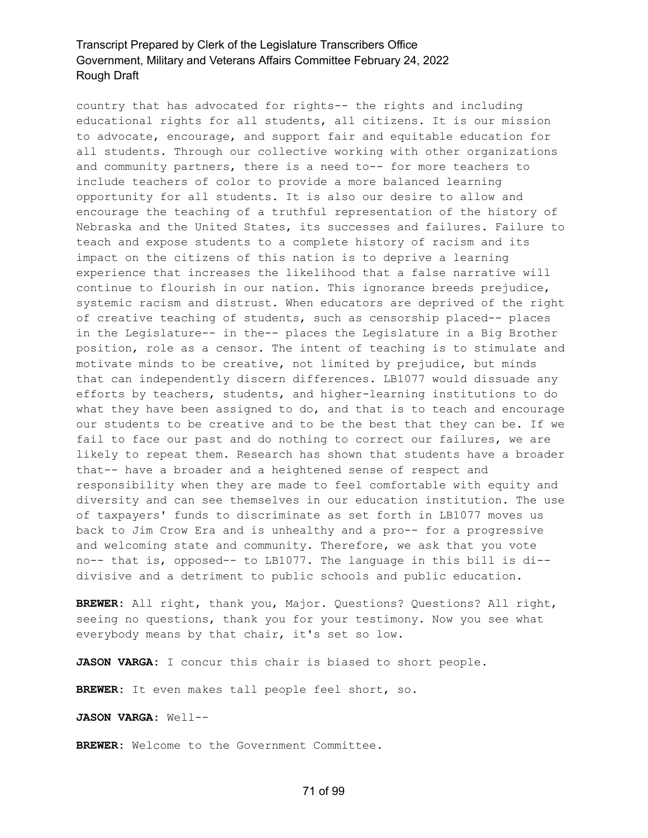country that has advocated for rights-- the rights and including educational rights for all students, all citizens. It is our mission to advocate, encourage, and support fair and equitable education for all students. Through our collective working with other organizations and community partners, there is a need to-- for more teachers to include teachers of color to provide a more balanced learning opportunity for all students. It is also our desire to allow and encourage the teaching of a truthful representation of the history of Nebraska and the United States, its successes and failures. Failure to teach and expose students to a complete history of racism and its impact on the citizens of this nation is to deprive a learning experience that increases the likelihood that a false narrative will continue to flourish in our nation. This ignorance breeds prejudice, systemic racism and distrust. When educators are deprived of the right of creative teaching of students, such as censorship placed-- places in the Legislature-- in the-- places the Legislature in a Big Brother position, role as a censor. The intent of teaching is to stimulate and motivate minds to be creative, not limited by prejudice, but minds that can independently discern differences. LB1077 would dissuade any efforts by teachers, students, and higher-learning institutions to do what they have been assigned to do, and that is to teach and encourage our students to be creative and to be the best that they can be. If we fail to face our past and do nothing to correct our failures, we are likely to repeat them. Research has shown that students have a broader that-- have a broader and a heightened sense of respect and responsibility when they are made to feel comfortable with equity and diversity and can see themselves in our education institution. The use of taxpayers' funds to discriminate as set forth in LB1077 moves us back to Jim Crow Era and is unhealthy and a pro-- for a progressive and welcoming state and community. Therefore, we ask that you vote no-- that is, opposed-- to LB1077. The language in this bill is di- divisive and a detriment to public schools and public education.

**BREWER:** All right, thank you, Major. Questions? Questions? All right, seeing no questions, thank you for your testimony. Now you see what everybody means by that chair, it's set so low.

**JASON VARGA:** I concur this chair is biased to short people.

**BREWER:** It even makes tall people feel short, so.

**JASON VARGA:** Well--

**BREWER:** Welcome to the Government Committee.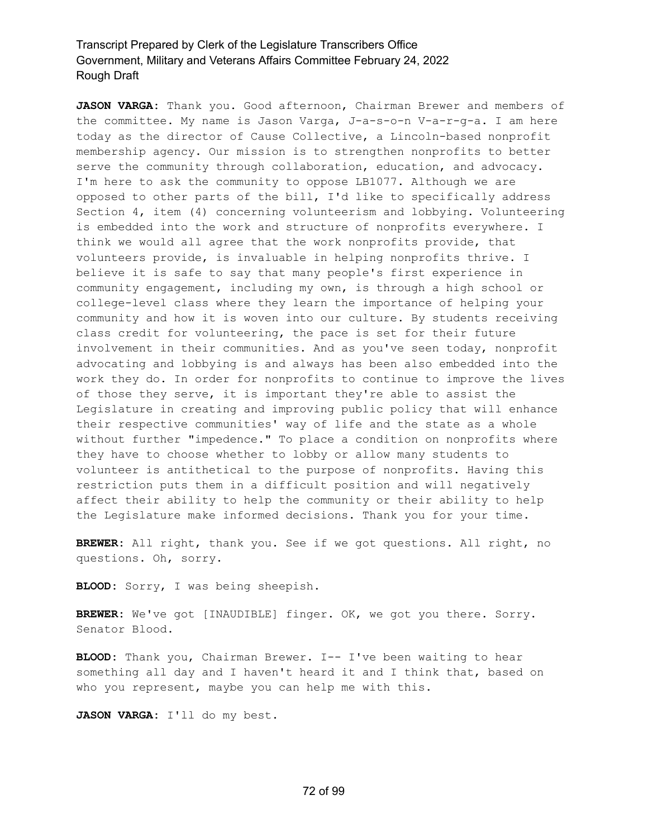**JASON VARGA:** Thank you. Good afternoon, Chairman Brewer and members of the committee. My name is Jason Varga, J-a-s-o-n V-a-r-g-a. I am here today as the director of Cause Collective, a Lincoln-based nonprofit membership agency. Our mission is to strengthen nonprofits to better serve the community through collaboration, education, and advocacy. I'm here to ask the community to oppose LB1077. Although we are opposed to other parts of the bill, I'd like to specifically address Section 4, item (4) concerning volunteerism and lobbying. Volunteering is embedded into the work and structure of nonprofits everywhere. I think we would all agree that the work nonprofits provide, that volunteers provide, is invaluable in helping nonprofits thrive. I believe it is safe to say that many people's first experience in community engagement, including my own, is through a high school or college-level class where they learn the importance of helping your community and how it is woven into our culture. By students receiving class credit for volunteering, the pace is set for their future involvement in their communities. And as you've seen today, nonprofit advocating and lobbying is and always has been also embedded into the work they do. In order for nonprofits to continue to improve the lives of those they serve, it is important they're able to assist the Legislature in creating and improving public policy that will enhance their respective communities' way of life and the state as a whole without further "impedence." To place a condition on nonprofits where they have to choose whether to lobby or allow many students to volunteer is antithetical to the purpose of nonprofits. Having this restriction puts them in a difficult position and will negatively affect their ability to help the community or their ability to help the Legislature make informed decisions. Thank you for your time.

**BREWER:** All right, thank you. See if we got questions. All right, no questions. Oh, sorry.

**BLOOD:** Sorry, I was being sheepish.

**BREWER:** We've got [INAUDIBLE] finger. OK, we got you there. Sorry. Senator Blood.

**BLOOD:** Thank you, Chairman Brewer. I-- I've been waiting to hear something all day and I haven't heard it and I think that, based on who you represent, maybe you can help me with this.

**JASON VARGA:** I'll do my best.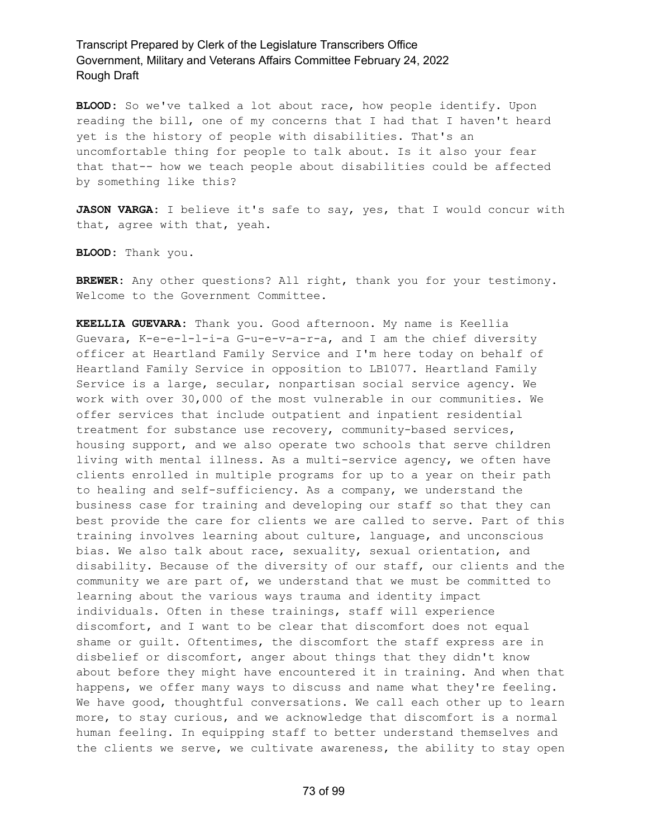**BLOOD:** So we've talked a lot about race, how people identify. Upon reading the bill, one of my concerns that I had that I haven't heard yet is the history of people with disabilities. That's an uncomfortable thing for people to talk about. Is it also your fear that that-- how we teach people about disabilities could be affected by something like this?

**JASON VARGA:** I believe it's safe to say, yes, that I would concur with that, agree with that, yeah.

**BLOOD:** Thank you.

**BREWER:** Any other questions? All right, thank you for your testimony. Welcome to the Government Committee.

**KEELLIA GUEVARA:** Thank you. Good afternoon. My name is Keellia Guevara, K-e-e-l-l-i-a G-u-e-v-a-r-a, and I am the chief diversity officer at Heartland Family Service and I'm here today on behalf of Heartland Family Service in opposition to LB1077. Heartland Family Service is a large, secular, nonpartisan social service agency. We work with over 30,000 of the most vulnerable in our communities. We offer services that include outpatient and inpatient residential treatment for substance use recovery, community-based services, housing support, and we also operate two schools that serve children living with mental illness. As a multi-service agency, we often have clients enrolled in multiple programs for up to a year on their path to healing and self-sufficiency. As a company, we understand the business case for training and developing our staff so that they can best provide the care for clients we are called to serve. Part of this training involves learning about culture, language, and unconscious bias. We also talk about race, sexuality, sexual orientation, and disability. Because of the diversity of our staff, our clients and the community we are part of, we understand that we must be committed to learning about the various ways trauma and identity impact individuals. Often in these trainings, staff will experience discomfort, and I want to be clear that discomfort does not equal shame or guilt. Oftentimes, the discomfort the staff express are in disbelief or discomfort, anger about things that they didn't know about before they might have encountered it in training. And when that happens, we offer many ways to discuss and name what they're feeling. We have good, thoughtful conversations. We call each other up to learn more, to stay curious, and we acknowledge that discomfort is a normal human feeling. In equipping staff to better understand themselves and the clients we serve, we cultivate awareness, the ability to stay open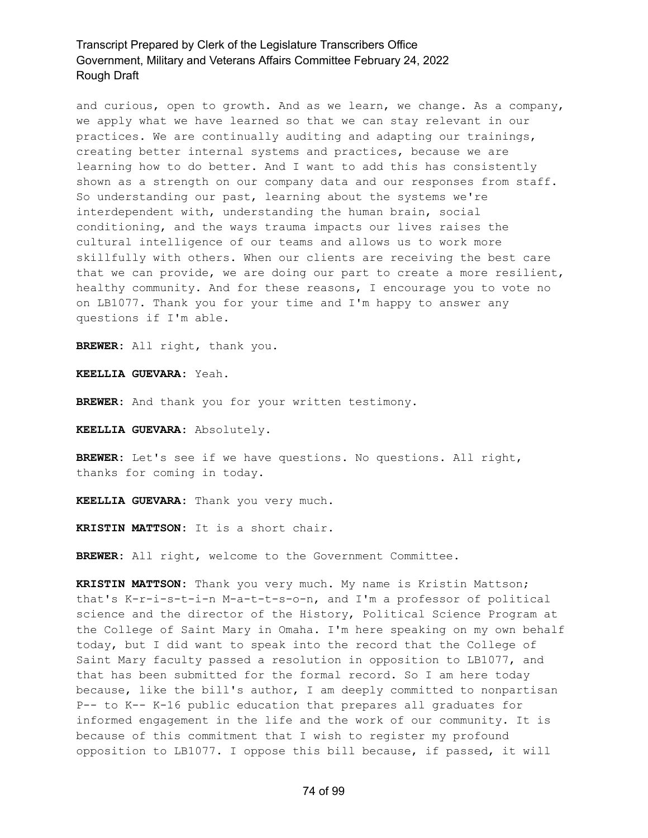and curious, open to growth. And as we learn, we change. As a company, we apply what we have learned so that we can stay relevant in our practices. We are continually auditing and adapting our trainings, creating better internal systems and practices, because we are learning how to do better. And I want to add this has consistently shown as a strength on our company data and our responses from staff. So understanding our past, learning about the systems we're interdependent with, understanding the human brain, social conditioning, and the ways trauma impacts our lives raises the cultural intelligence of our teams and allows us to work more skillfully with others. When our clients are receiving the best care that we can provide, we are doing our part to create a more resilient, healthy community. And for these reasons, I encourage you to vote no on LB1077. Thank you for your time and I'm happy to answer any questions if I'm able.

**BREWER:** All right, thank you.

**KEELLIA GUEVARA:** Yeah.

**BREWER:** And thank you for your written testimony.

**KEELLIA GUEVARA:** Absolutely.

**BREWER:** Let's see if we have questions. No questions. All right, thanks for coming in today.

**KEELLIA GUEVARA:** Thank you very much.

**KRISTIN MATTSON:** It is a short chair.

**BREWER:** All right, welcome to the Government Committee.

**KRISTIN MATTSON:** Thank you very much. My name is Kristin Mattson; that's K-r-i-s-t-i-n M-a-t-t-s-o-n, and I'm a professor of political science and the director of the History, Political Science Program at the College of Saint Mary in Omaha. I'm here speaking on my own behalf today, but I did want to speak into the record that the College of Saint Mary faculty passed a resolution in opposition to LB1077, and that has been submitted for the formal record. So I am here today because, like the bill's author, I am deeply committed to nonpartisan P-- to K-- K-16 public education that prepares all graduates for informed engagement in the life and the work of our community. It is because of this commitment that I wish to register my profound opposition to LB1077. I oppose this bill because, if passed, it will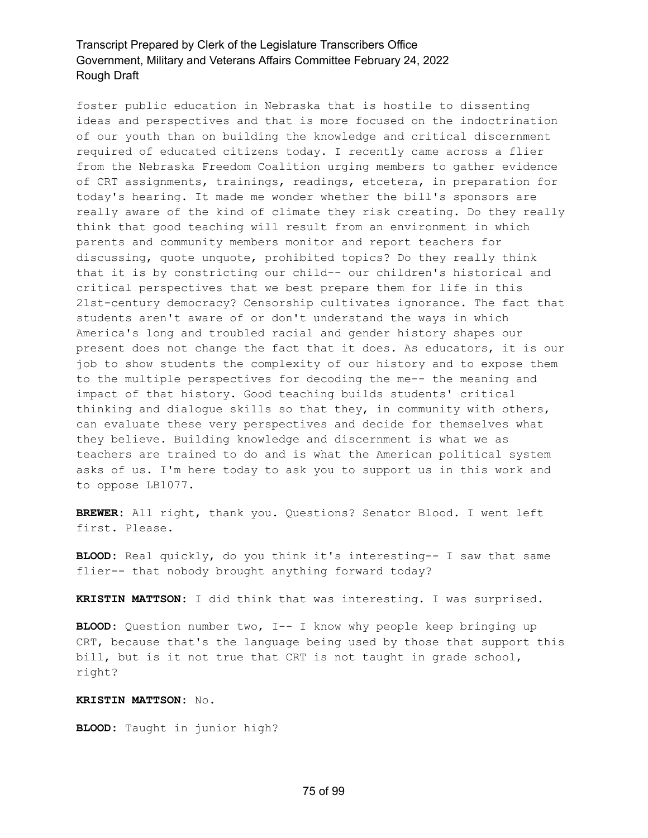foster public education in Nebraska that is hostile to dissenting ideas and perspectives and that is more focused on the indoctrination of our youth than on building the knowledge and critical discernment required of educated citizens today. I recently came across a flier from the Nebraska Freedom Coalition urging members to gather evidence of CRT assignments, trainings, readings, etcetera, in preparation for today's hearing. It made me wonder whether the bill's sponsors are really aware of the kind of climate they risk creating. Do they really think that good teaching will result from an environment in which parents and community members monitor and report teachers for discussing, quote unquote, prohibited topics? Do they really think that it is by constricting our child-- our children's historical and critical perspectives that we best prepare them for life in this 21st-century democracy? Censorship cultivates ignorance. The fact that students aren't aware of or don't understand the ways in which America's long and troubled racial and gender history shapes our present does not change the fact that it does. As educators, it is our job to show students the complexity of our history and to expose them to the multiple perspectives for decoding the me-- the meaning and impact of that history. Good teaching builds students' critical thinking and dialogue skills so that they, in community with others, can evaluate these very perspectives and decide for themselves what they believe. Building knowledge and discernment is what we as teachers are trained to do and is what the American political system asks of us. I'm here today to ask you to support us in this work and to oppose LB1077.

**BREWER:** All right, thank you. Questions? Senator Blood. I went left first. Please.

**BLOOD:** Real quickly, do you think it's interesting-- I saw that same flier-- that nobody brought anything forward today?

**KRISTIN MATTSON:** I did think that was interesting. I was surprised.

**BLOOD:** Question number two, I-- I know why people keep bringing up CRT, because that's the language being used by those that support this bill, but is it not true that CRT is not taught in grade school, right?

#### **KRISTIN MATTSON:** No.

**BLOOD:** Taught in junior high?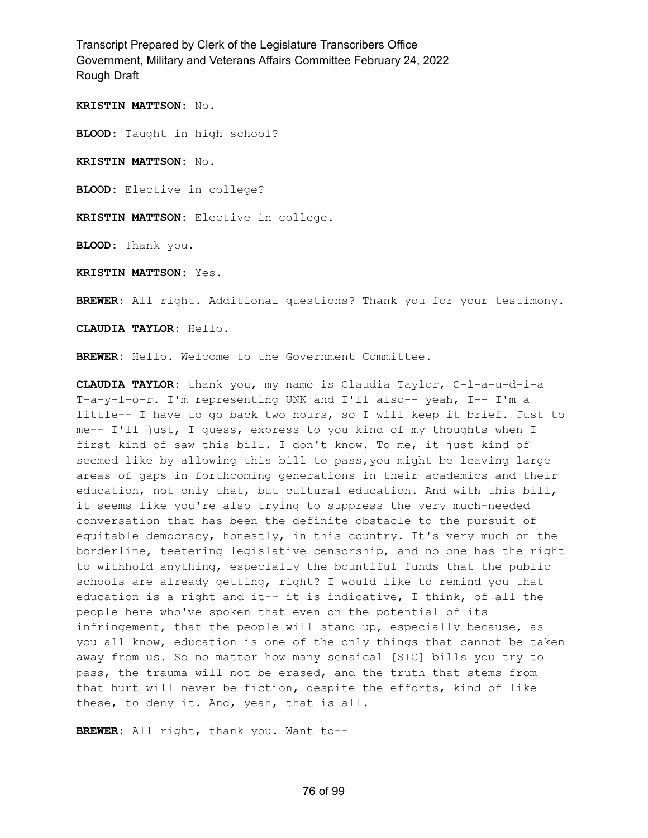**KRISTIN MATTSON:** No.

**BLOOD:** Taught in high school?

**KRISTIN MATTSON:** No.

**BLOOD:** Elective in college?

**KRISTIN MATTSON:** Elective in college.

**BLOOD:** Thank you.

**KRISTIN MATTSON:** Yes.

**BREWER:** All right. Additional questions? Thank you for your testimony.

**CLAUDIA TAYLOR:** Hello.

**BREWER:** Hello. Welcome to the Government Committee.

**CLAUDIA TAYLOR:** thank you, my name is Claudia Taylor, C-l-a-u-d-i-a T-a-y-l-o-r. I'm representing UNK and I'll also-- yeah, I-- I'm a little-- I have to go back two hours, so I will keep it brief. Just to me-- I'll just, I guess, express to you kind of my thoughts when I first kind of saw this bill. I don't know. To me, it just kind of seemed like by allowing this bill to pass,you might be leaving large areas of gaps in forthcoming generations in their academics and their education, not only that, but cultural education. And with this bill, it seems like you're also trying to suppress the very much-needed conversation that has been the definite obstacle to the pursuit of equitable democracy, honestly, in this country. It's very much on the borderline, teetering legislative censorship, and no one has the right to withhold anything, especially the bountiful funds that the public schools are already getting, right? I would like to remind you that education is a right and it-- it is indicative, I think, of all the people here who've spoken that even on the potential of its infringement, that the people will stand up, especially because, as you all know, education is one of the only things that cannot be taken away from us. So no matter how many sensical [SIC] bills you try to pass, the trauma will not be erased, and the truth that stems from that hurt will never be fiction, despite the efforts, kind of like these, to deny it. And, yeah, that is all.

**BREWER:** All right, thank you. Want to--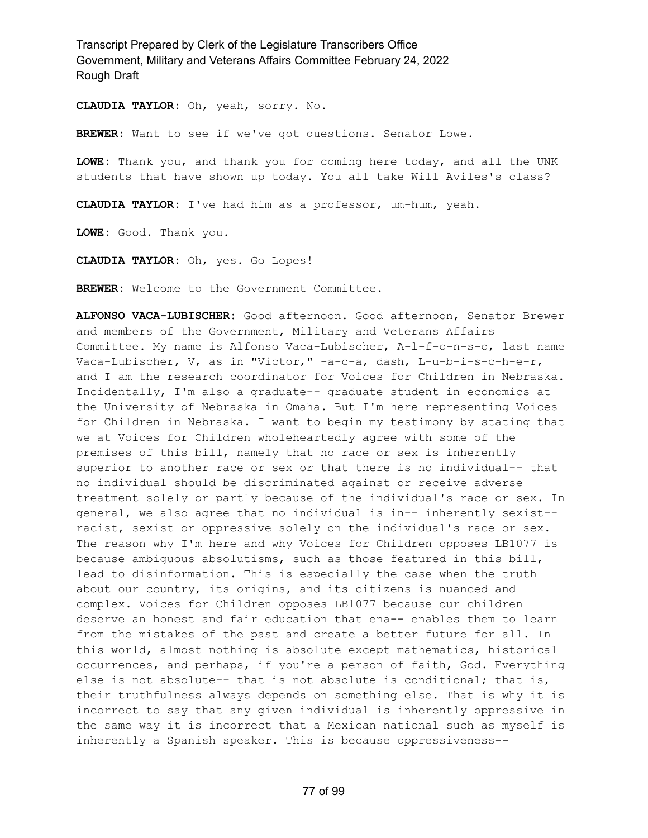**CLAUDIA TAYLOR:** Oh, yeah, sorry. No.

**BREWER:** Want to see if we've got questions. Senator Lowe.

**LOWE:** Thank you, and thank you for coming here today, and all the UNK students that have shown up today. You all take Will Aviles's class?

**CLAUDIA TAYLOR:** I've had him as a professor, um-hum, yeah.

**LOWE:** Good. Thank you.

**CLAUDIA TAYLOR:** Oh, yes. Go Lopes!

**BREWER:** Welcome to the Government Committee.

**ALFONSO VACA-LUBISCHER:** Good afternoon. Good afternoon, Senator Brewer and members of the Government, Military and Veterans Affairs Committee. My name is Alfonso Vaca-Lubischer, A-l-f-o-n-s-o, last name Vaca-Lubischer, V, as in "Victor," -a-c-a, dash, L-u-b-i-s-c-h-e-r, and I am the research coordinator for Voices for Children in Nebraska. Incidentally, I'm also a graduate-- graduate student in economics at the University of Nebraska in Omaha. But I'm here representing Voices for Children in Nebraska. I want to begin my testimony by stating that we at Voices for Children wholeheartedly agree with some of the premises of this bill, namely that no race or sex is inherently superior to another race or sex or that there is no individual-- that no individual should be discriminated against or receive adverse treatment solely or partly because of the individual's race or sex. In general, we also agree that no individual is in-- inherently sexist- racist, sexist or oppressive solely on the individual's race or sex. The reason why I'm here and why Voices for Children opposes LB1077 is because ambiguous absolutisms, such as those featured in this bill, lead to disinformation. This is especially the case when the truth about our country, its origins, and its citizens is nuanced and complex. Voices for Children opposes LB1077 because our children deserve an honest and fair education that ena-- enables them to learn from the mistakes of the past and create a better future for all. In this world, almost nothing is absolute except mathematics, historical occurrences, and perhaps, if you're a person of faith, God. Everything else is not absolute-- that is not absolute is conditional; that is, their truthfulness always depends on something else. That is why it is incorrect to say that any given individual is inherently oppressive in the same way it is incorrect that a Mexican national such as myself is inherently a Spanish speaker. This is because oppressiveness--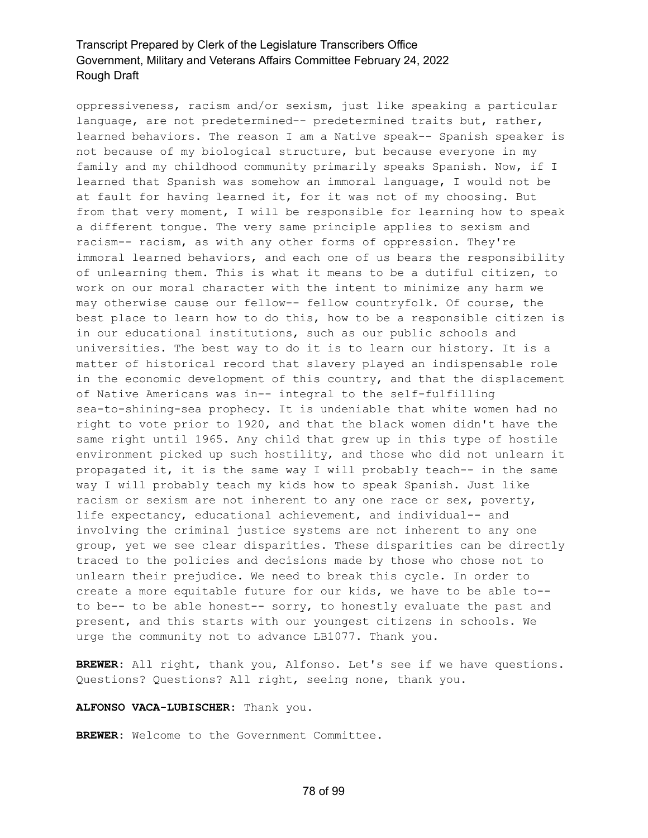oppressiveness, racism and/or sexism, just like speaking a particular language, are not predetermined-- predetermined traits but, rather, learned behaviors. The reason I am a Native speak-- Spanish speaker is not because of my biological structure, but because everyone in my family and my childhood community primarily speaks Spanish. Now, if I learned that Spanish was somehow an immoral language, I would not be at fault for having learned it, for it was not of my choosing. But from that very moment, I will be responsible for learning how to speak a different tongue. The very same principle applies to sexism and racism-- racism, as with any other forms of oppression. They're immoral learned behaviors, and each one of us bears the responsibility of unlearning them. This is what it means to be a dutiful citizen, to work on our moral character with the intent to minimize any harm we may otherwise cause our fellow-- fellow countryfolk. Of course, the best place to learn how to do this, how to be a responsible citizen is in our educational institutions, such as our public schools and universities. The best way to do it is to learn our history. It is a matter of historical record that slavery played an indispensable role in the economic development of this country, and that the displacement of Native Americans was in-- integral to the self-fulfilling sea-to-shining-sea prophecy. It is undeniable that white women had no right to vote prior to 1920, and that the black women didn't have the same right until 1965. Any child that grew up in this type of hostile environment picked up such hostility, and those who did not unlearn it propagated it, it is the same way I will probably teach-- in the same way I will probably teach my kids how to speak Spanish. Just like racism or sexism are not inherent to any one race or sex, poverty, life expectancy, educational achievement, and individual-- and involving the criminal justice systems are not inherent to any one group, yet we see clear disparities. These disparities can be directly traced to the policies and decisions made by those who chose not to unlearn their prejudice. We need to break this cycle. In order to create a more equitable future for our kids, we have to be able to- to be-- to be able honest-- sorry, to honestly evaluate the past and present, and this starts with our youngest citizens in schools. We urge the community not to advance LB1077. Thank you.

**BREWER:** All right, thank you, Alfonso. Let's see if we have questions. Questions? Questions? All right, seeing none, thank you.

**ALFONSO VACA-LUBISCHER:** Thank you.

**BREWER:** Welcome to the Government Committee.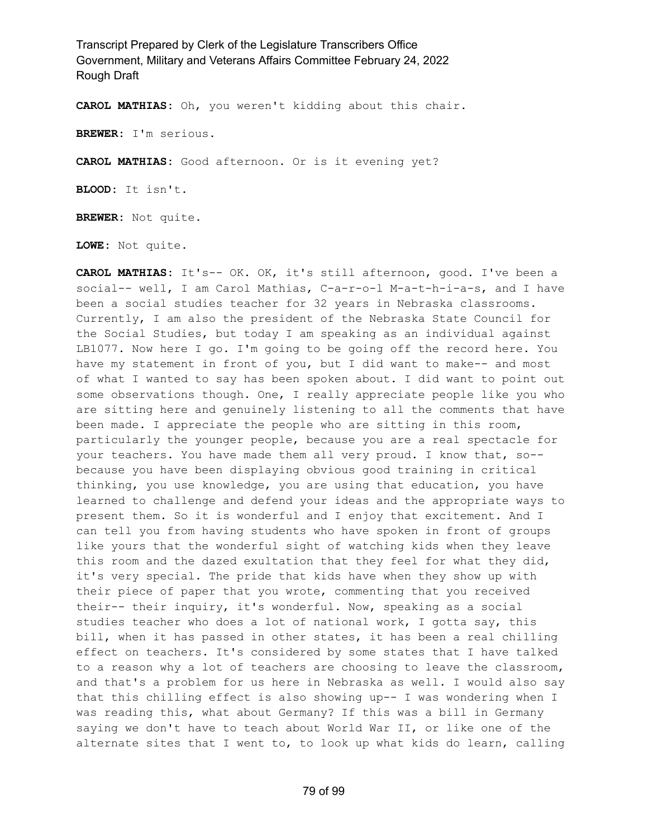**CAROL MATHIAS:** Oh, you weren't kidding about this chair.

**BREWER:** I'm serious.

**CAROL MATHIAS:** Good afternoon. Or is it evening yet?

**BLOOD:** It isn't.

**BREWER:** Not quite.

**LOWE:** Not quite.

**CAROL MATHIAS:** It's-- OK. OK, it's still afternoon, good. I've been a social-- well, I am Carol Mathias, C-a-r-o-l M-a-t-h-i-a-s, and I have been a social studies teacher for 32 years in Nebraska classrooms. Currently, I am also the president of the Nebraska State Council for the Social Studies, but today I am speaking as an individual against LB1077. Now here I go. I'm going to be going off the record here. You have my statement in front of you, but I did want to make-- and most of what I wanted to say has been spoken about. I did want to point out some observations though. One, I really appreciate people like you who are sitting here and genuinely listening to all the comments that have been made. I appreciate the people who are sitting in this room, particularly the younger people, because you are a real spectacle for your teachers. You have made them all very proud. I know that, so- because you have been displaying obvious good training in critical thinking, you use knowledge, you are using that education, you have learned to challenge and defend your ideas and the appropriate ways to present them. So it is wonderful and I enjoy that excitement. And I can tell you from having students who have spoken in front of groups like yours that the wonderful sight of watching kids when they leave this room and the dazed exultation that they feel for what they did, it's very special. The pride that kids have when they show up with their piece of paper that you wrote, commenting that you received their-- their inquiry, it's wonderful. Now, speaking as a social studies teacher who does a lot of national work, I gotta say, this bill, when it has passed in other states, it has been a real chilling effect on teachers. It's considered by some states that I have talked to a reason why a lot of teachers are choosing to leave the classroom, and that's a problem for us here in Nebraska as well. I would also say that this chilling effect is also showing up-- I was wondering when I was reading this, what about Germany? If this was a bill in Germany saying we don't have to teach about World War II, or like one of the alternate sites that I went to, to look up what kids do learn, calling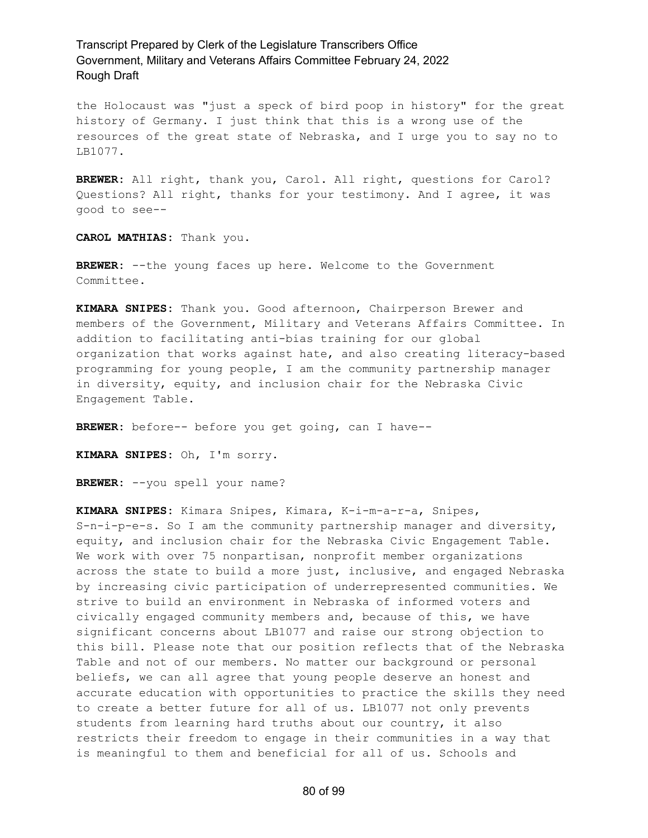the Holocaust was "just a speck of bird poop in history" for the great history of Germany. I just think that this is a wrong use of the resources of the great state of Nebraska, and I urge you to say no to LB1077.

**BREWER:** All right, thank you, Carol. All right, questions for Carol? Questions? All right, thanks for your testimony. And I agree, it was good to see--

**CAROL MATHIAS:** Thank you.

**BREWER:** --the young faces up here. Welcome to the Government Committee.

**KIMARA SNIPES:** Thank you. Good afternoon, Chairperson Brewer and members of the Government, Military and Veterans Affairs Committee. In addition to facilitating anti-bias training for our global organization that works against hate, and also creating literacy-based programming for young people, I am the community partnership manager in diversity, equity, and inclusion chair for the Nebraska Civic Engagement Table.

**BREWER:** before-- before you get going, can I have--

**KIMARA SNIPES:** Oh, I'm sorry.

**BREWER:** --you spell your name?

**KIMARA SNIPES:** Kimara Snipes, Kimara, K-i-m-a-r-a, Snipes, S-n-i-p-e-s. So I am the community partnership manager and diversity, equity, and inclusion chair for the Nebraska Civic Engagement Table. We work with over 75 nonpartisan, nonprofit member organizations across the state to build a more just, inclusive, and engaged Nebraska by increasing civic participation of underrepresented communities. We strive to build an environment in Nebraska of informed voters and civically engaged community members and, because of this, we have significant concerns about LB1077 and raise our strong objection to this bill. Please note that our position reflects that of the Nebraska Table and not of our members. No matter our background or personal beliefs, we can all agree that young people deserve an honest and accurate education with opportunities to practice the skills they need to create a better future for all of us. LB1077 not only prevents students from learning hard truths about our country, it also restricts their freedom to engage in their communities in a way that is meaningful to them and beneficial for all of us. Schools and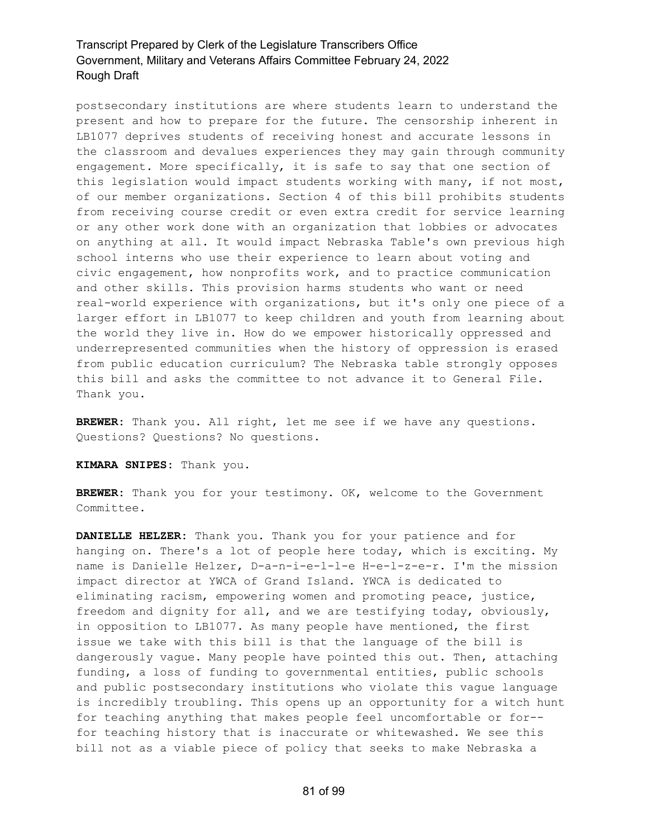postsecondary institutions are where students learn to understand the present and how to prepare for the future. The censorship inherent in LB1077 deprives students of receiving honest and accurate lessons in the classroom and devalues experiences they may gain through community engagement. More specifically, it is safe to say that one section of this legislation would impact students working with many, if not most, of our member organizations. Section 4 of this bill prohibits students from receiving course credit or even extra credit for service learning or any other work done with an organization that lobbies or advocates on anything at all. It would impact Nebraska Table's own previous high school interns who use their experience to learn about voting and civic engagement, how nonprofits work, and to practice communication and other skills. This provision harms students who want or need real-world experience with organizations, but it's only one piece of a larger effort in LB1077 to keep children and youth from learning about the world they live in. How do we empower historically oppressed and underrepresented communities when the history of oppression is erased from public education curriculum? The Nebraska table strongly opposes this bill and asks the committee to not advance it to General File. Thank you.

**BREWER:** Thank you. All right, let me see if we have any questions. Questions? Questions? No questions.

**KIMARA SNIPES:** Thank you.

**BREWER:** Thank you for your testimony. OK, welcome to the Government Committee.

**DANIELLE HELZER:** Thank you. Thank you for your patience and for hanging on. There's a lot of people here today, which is exciting. My name is Danielle Helzer, D-a-n-i-e-l-l-e H-e-l-z-e-r. I'm the mission impact director at YWCA of Grand Island. YWCA is dedicated to eliminating racism, empowering women and promoting peace, justice, freedom and dignity for all, and we are testifying today, obviously, in opposition to LB1077. As many people have mentioned, the first issue we take with this bill is that the language of the bill is dangerously vague. Many people have pointed this out. Then, attaching funding, a loss of funding to governmental entities, public schools and public postsecondary institutions who violate this vague language is incredibly troubling. This opens up an opportunity for a witch hunt for teaching anything that makes people feel uncomfortable or for- for teaching history that is inaccurate or whitewashed. We see this bill not as a viable piece of policy that seeks to make Nebraska a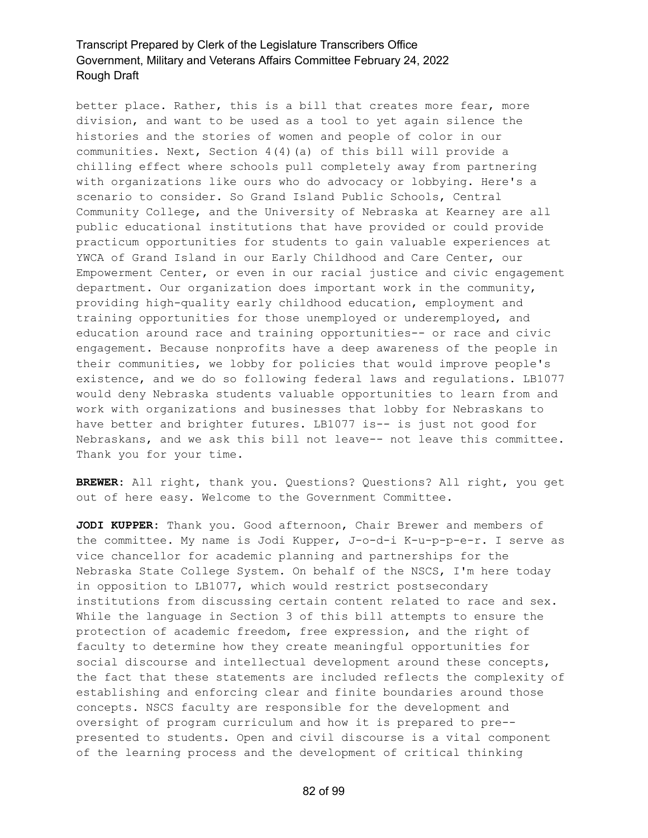better place. Rather, this is a bill that creates more fear, more division, and want to be used as a tool to yet again silence the histories and the stories of women and people of color in our communities. Next, Section 4(4)(a) of this bill will provide a chilling effect where schools pull completely away from partnering with organizations like ours who do advocacy or lobbying. Here's a scenario to consider. So Grand Island Public Schools, Central Community College, and the University of Nebraska at Kearney are all public educational institutions that have provided or could provide practicum opportunities for students to gain valuable experiences at YWCA of Grand Island in our Early Childhood and Care Center, our Empowerment Center, or even in our racial justice and civic engagement department. Our organization does important work in the community, providing high-quality early childhood education, employment and training opportunities for those unemployed or underemployed, and education around race and training opportunities-- or race and civic engagement. Because nonprofits have a deep awareness of the people in their communities, we lobby for policies that would improve people's existence, and we do so following federal laws and regulations. LB1077 would deny Nebraska students valuable opportunities to learn from and work with organizations and businesses that lobby for Nebraskans to have better and brighter futures. LB1077 is-- is just not good for Nebraskans, and we ask this bill not leave-- not leave this committee. Thank you for your time.

**BREWER:** All right, thank you. Questions? Questions? All right, you get out of here easy. Welcome to the Government Committee.

**JODI KUPPER:** Thank you. Good afternoon, Chair Brewer and members of the committee. My name is Jodi Kupper, J-o-d-i K-u-p-p-e-r. I serve as vice chancellor for academic planning and partnerships for the Nebraska State College System. On behalf of the NSCS, I'm here today in opposition to LB1077, which would restrict postsecondary institutions from discussing certain content related to race and sex. While the language in Section 3 of this bill attempts to ensure the protection of academic freedom, free expression, and the right of faculty to determine how they create meaningful opportunities for social discourse and intellectual development around these concepts, the fact that these statements are included reflects the complexity of establishing and enforcing clear and finite boundaries around those concepts. NSCS faculty are responsible for the development and oversight of program curriculum and how it is prepared to pre- presented to students. Open and civil discourse is a vital component of the learning process and the development of critical thinking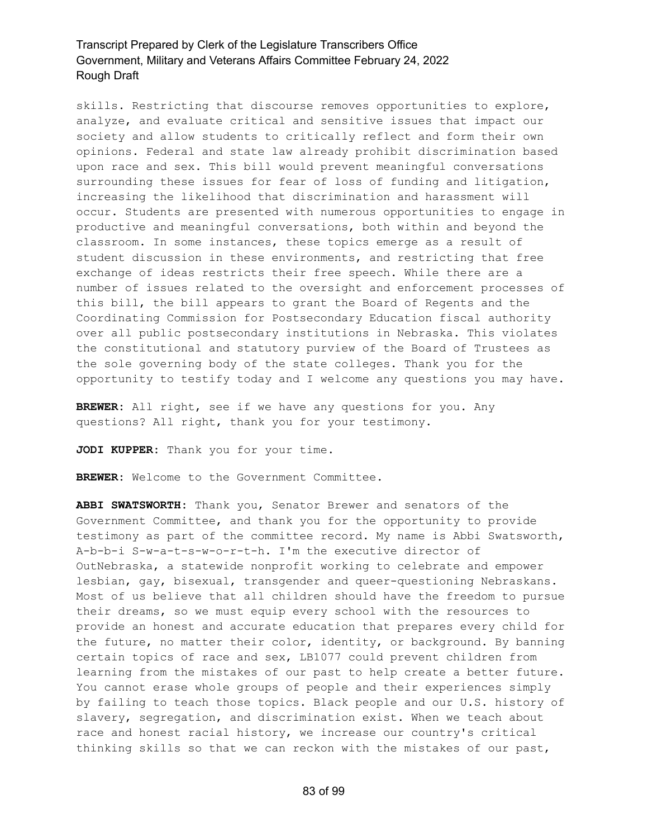skills. Restricting that discourse removes opportunities to explore, analyze, and evaluate critical and sensitive issues that impact our society and allow students to critically reflect and form their own opinions. Federal and state law already prohibit discrimination based upon race and sex. This bill would prevent meaningful conversations surrounding these issues for fear of loss of funding and litigation, increasing the likelihood that discrimination and harassment will occur. Students are presented with numerous opportunities to engage in productive and meaningful conversations, both within and beyond the classroom. In some instances, these topics emerge as a result of student discussion in these environments, and restricting that free exchange of ideas restricts their free speech. While there are a number of issues related to the oversight and enforcement processes of this bill, the bill appears to grant the Board of Regents and the Coordinating Commission for Postsecondary Education fiscal authority over all public postsecondary institutions in Nebraska. This violates the constitutional and statutory purview of the Board of Trustees as the sole governing body of the state colleges. Thank you for the opportunity to testify today and I welcome any questions you may have.

**BREWER:** All right, see if we have any questions for you. Any questions? All right, thank you for your testimony.

**JODI KUPPER:** Thank you for your time.

**BREWER:** Welcome to the Government Committee.

**ABBI SWATSWORTH:** Thank you, Senator Brewer and senators of the Government Committee, and thank you for the opportunity to provide testimony as part of the committee record. My name is Abbi Swatsworth, A-b-b-i S-w-a-t-s-w-o-r-t-h. I'm the executive director of OutNebraska, a statewide nonprofit working to celebrate and empower lesbian, gay, bisexual, transgender and queer-questioning Nebraskans. Most of us believe that all children should have the freedom to pursue their dreams, so we must equip every school with the resources to provide an honest and accurate education that prepares every child for the future, no matter their color, identity, or background. By banning certain topics of race and sex, LB1077 could prevent children from learning from the mistakes of our past to help create a better future. You cannot erase whole groups of people and their experiences simply by failing to teach those topics. Black people and our U.S. history of slavery, segregation, and discrimination exist. When we teach about race and honest racial history, we increase our country's critical thinking skills so that we can reckon with the mistakes of our past,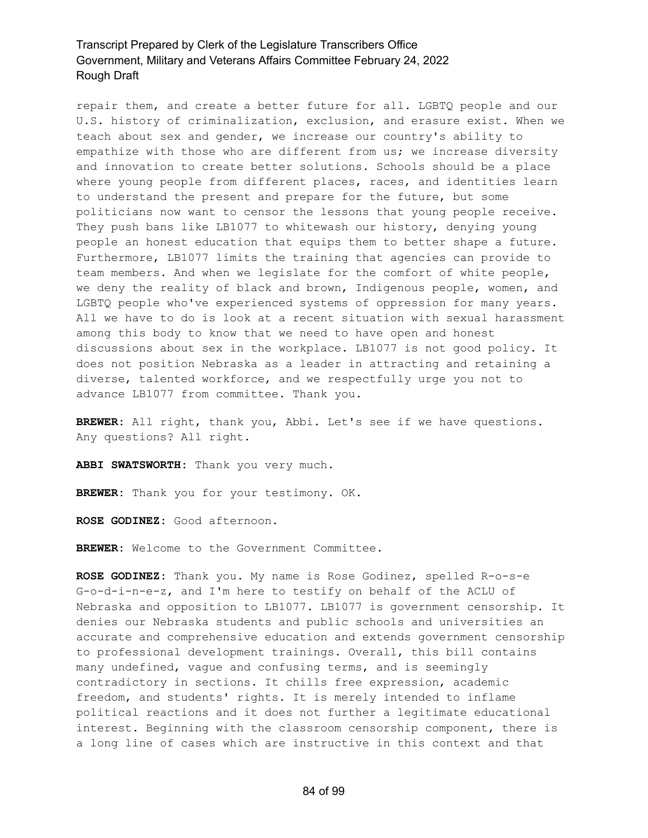repair them, and create a better future for all. LGBTQ people and our U.S. history of criminalization, exclusion, and erasure exist. When we teach about sex and gender, we increase our country's ability to empathize with those who are different from us; we increase diversity and innovation to create better solutions. Schools should be a place where young people from different places, races, and identities learn to understand the present and prepare for the future, but some politicians now want to censor the lessons that young people receive. They push bans like LB1077 to whitewash our history, denying young people an honest education that equips them to better shape a future. Furthermore, LB1077 limits the training that agencies can provide to team members. And when we legislate for the comfort of white people, we deny the reality of black and brown, Indigenous people, women, and LGBTQ people who've experienced systems of oppression for many years. All we have to do is look at a recent situation with sexual harassment among this body to know that we need to have open and honest discussions about sex in the workplace. LB1077 is not good policy. It does not position Nebraska as a leader in attracting and retaining a diverse, talented workforce, and we respectfully urge you not to advance LB1077 from committee. Thank you.

**BREWER:** All right, thank you, Abbi. Let's see if we have questions. Any questions? All right.

**ABBI SWATSWORTH:** Thank you very much.

**BREWER:** Thank you for your testimony. OK.

**ROSE GODINEZ:** Good afternoon.

**BREWER:** Welcome to the Government Committee.

**ROSE GODINEZ:** Thank you. My name is Rose Godinez, spelled R-o-s-e G-o-d-i-n-e-z, and I'm here to testify on behalf of the ACLU of Nebraska and opposition to LB1077. LB1077 is government censorship. It denies our Nebraska students and public schools and universities an accurate and comprehensive education and extends government censorship to professional development trainings. Overall, this bill contains many undefined, vague and confusing terms, and is seemingly contradictory in sections. It chills free expression, academic freedom, and students' rights. It is merely intended to inflame political reactions and it does not further a legitimate educational interest. Beginning with the classroom censorship component, there is a long line of cases which are instructive in this context and that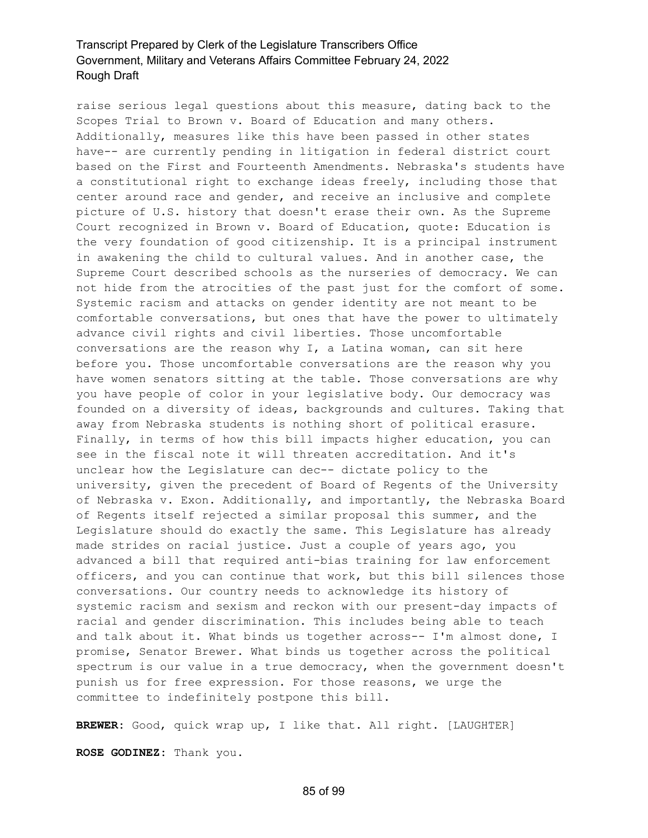raise serious legal questions about this measure, dating back to the Scopes Trial to Brown v. Board of Education and many others. Additionally, measures like this have been passed in other states have-- are currently pending in litigation in federal district court based on the First and Fourteenth Amendments. Nebraska's students have a constitutional right to exchange ideas freely, including those that center around race and gender, and receive an inclusive and complete picture of U.S. history that doesn't erase their own. As the Supreme Court recognized in Brown v. Board of Education, quote: Education is the very foundation of good citizenship. It is a principal instrument in awakening the child to cultural values. And in another case, the Supreme Court described schools as the nurseries of democracy. We can not hide from the atrocities of the past just for the comfort of some. Systemic racism and attacks on gender identity are not meant to be comfortable conversations, but ones that have the power to ultimately advance civil rights and civil liberties. Those uncomfortable conversations are the reason why I, a Latina woman, can sit here before you. Those uncomfortable conversations are the reason why you have women senators sitting at the table. Those conversations are why you have people of color in your legislative body. Our democracy was founded on a diversity of ideas, backgrounds and cultures. Taking that away from Nebraska students is nothing short of political erasure. Finally, in terms of how this bill impacts higher education, you can see in the fiscal note it will threaten accreditation. And it's unclear how the Legislature can dec-- dictate policy to the university, given the precedent of Board of Regents of the University of Nebraska v. Exon. Additionally, and importantly, the Nebraska Board of Regents itself rejected a similar proposal this summer, and the Legislature should do exactly the same. This Legislature has already made strides on racial justice. Just a couple of years ago, you advanced a bill that required anti-bias training for law enforcement officers, and you can continue that work, but this bill silences those conversations. Our country needs to acknowledge its history of systemic racism and sexism and reckon with our present-day impacts of racial and gender discrimination. This includes being able to teach and talk about it. What binds us together across-- I'm almost done, I promise, Senator Brewer. What binds us together across the political spectrum is our value in a true democracy, when the government doesn't punish us for free expression. For those reasons, we urge the committee to indefinitely postpone this bill.

**BREWER:** Good, quick wrap up, I like that. All right. [LAUGHTER]

**ROSE GODINEZ:** Thank you.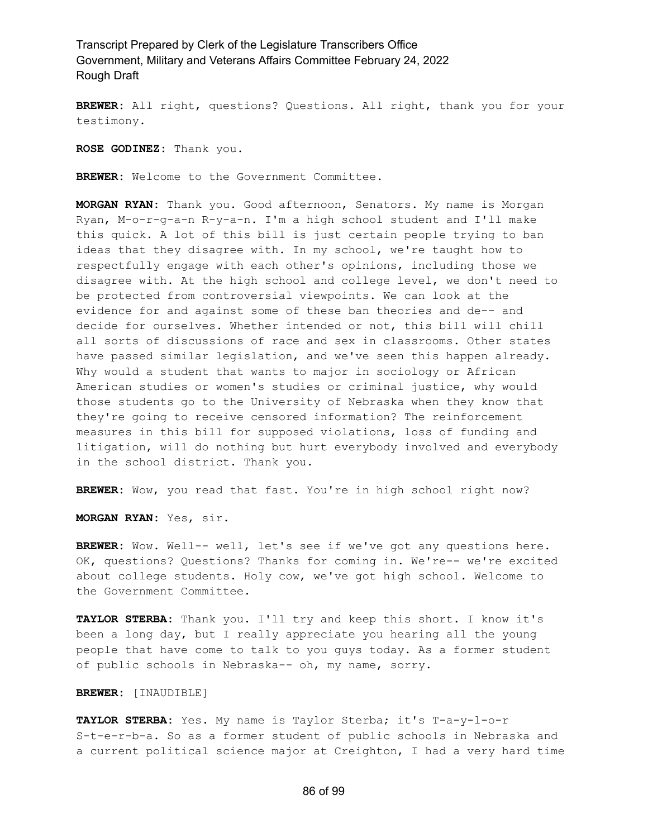**BREWER:** All right, questions? Questions. All right, thank you for your testimony.

**ROSE GODINEZ:** Thank you.

**BREWER:** Welcome to the Government Committee.

**MORGAN RYAN:** Thank you. Good afternoon, Senators. My name is Morgan Ryan, M-o-r-g-a-n R-y-a-n. I'm a high school student and I'll make this quick. A lot of this bill is just certain people trying to ban ideas that they disagree with. In my school, we're taught how to respectfully engage with each other's opinions, including those we disagree with. At the high school and college level, we don't need to be protected from controversial viewpoints. We can look at the evidence for and against some of these ban theories and de-- and decide for ourselves. Whether intended or not, this bill will chill all sorts of discussions of race and sex in classrooms. Other states have passed similar legislation, and we've seen this happen already. Why would a student that wants to major in sociology or African American studies or women's studies or criminal justice, why would those students go to the University of Nebraska when they know that they're going to receive censored information? The reinforcement measures in this bill for supposed violations, loss of funding and litigation, will do nothing but hurt everybody involved and everybody in the school district. Thank you.

**BREWER:** Wow, you read that fast. You're in high school right now?

**MORGAN RYAN:** Yes, sir.

**BREWER:** Wow. Well-- well, let's see if we've got any questions here. OK, questions? Questions? Thanks for coming in. We're-- we're excited about college students. Holy cow, we've got high school. Welcome to the Government Committee.

**TAYLOR STERBA:** Thank you. I'll try and keep this short. I know it's been a long day, but I really appreciate you hearing all the young people that have come to talk to you guys today. As a former student of public schools in Nebraska-- oh, my name, sorry.

**BREWER:** [INAUDIBLE]

**TAYLOR STERBA:** Yes. My name is Taylor Sterba; it's T-a-y-l-o-r S-t-e-r-b-a. So as a former student of public schools in Nebraska and a current political science major at Creighton, I had a very hard time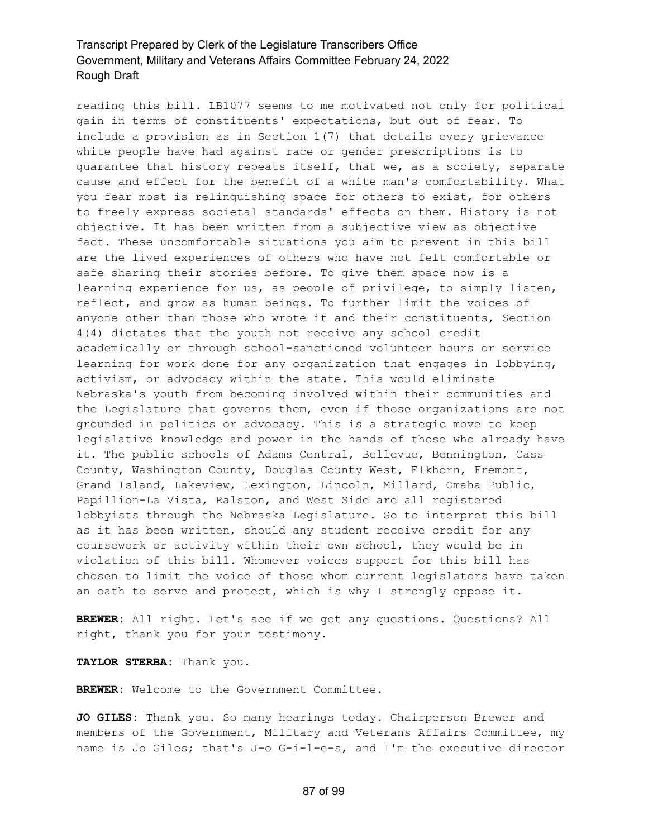reading this bill. LB1077 seems to me motivated not only for political gain in terms of constituents' expectations, but out of fear. To include a provision as in Section 1(7) that details every grievance white people have had against race or gender prescriptions is to guarantee that history repeats itself, that we, as a society, separate cause and effect for the benefit of a white man's comfortability. What you fear most is relinquishing space for others to exist, for others to freely express societal standards' effects on them. History is not objective. It has been written from a subjective view as objective fact. These uncomfortable situations you aim to prevent in this bill are the lived experiences of others who have not felt comfortable or safe sharing their stories before. To give them space now is a learning experience for us, as people of privilege, to simply listen, reflect, and grow as human beings. To further limit the voices of anyone other than those who wrote it and their constituents, Section 4(4) dictates that the youth not receive any school credit academically or through school-sanctioned volunteer hours or service learning for work done for any organization that engages in lobbying, activism, or advocacy within the state. This would eliminate Nebraska's youth from becoming involved within their communities and the Legislature that governs them, even if those organizations are not grounded in politics or advocacy. This is a strategic move to keep legislative knowledge and power in the hands of those who already have it. The public schools of Adams Central, Bellevue, Bennington, Cass County, Washington County, Douglas County West, Elkhorn, Fremont, Grand Island, Lakeview, Lexington, Lincoln, Millard, Omaha Public, Papillion-La Vista, Ralston, and West Side are all registered lobbyists through the Nebraska Legislature. So to interpret this bill as it has been written, should any student receive credit for any coursework or activity within their own school, they would be in violation of this bill. Whomever voices support for this bill has chosen to limit the voice of those whom current legislators have taken an oath to serve and protect, which is why I strongly oppose it.

**BREWER:** All right. Let's see if we got any questions. Questions? All right, thank you for your testimony.

**TAYLOR STERBA:** Thank you.

**BREWER:** Welcome to the Government Committee.

**JO GILES:** Thank you. So many hearings today. Chairperson Brewer and members of the Government, Military and Veterans Affairs Committee, my name is Jo Giles; that's J-o G-i-l-e-s, and I'm the executive director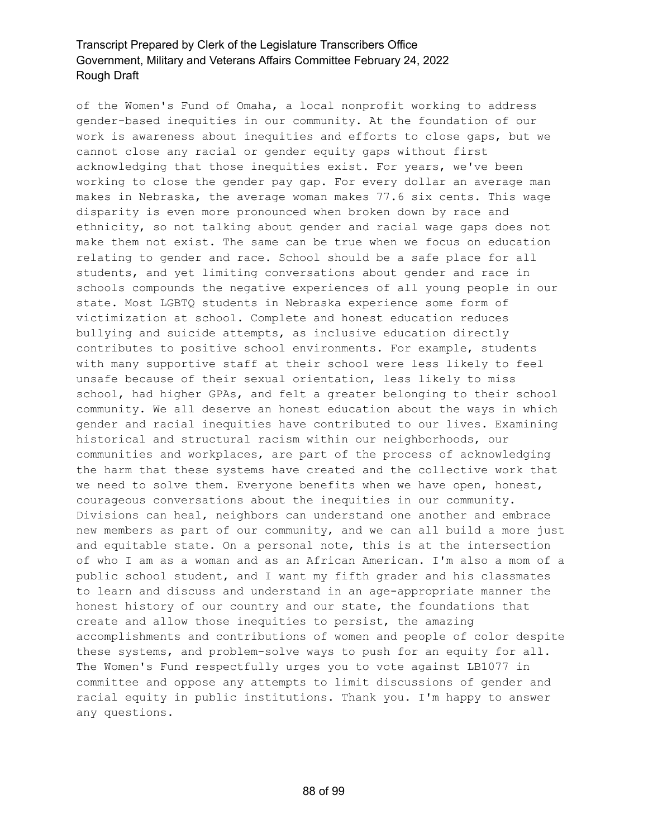of the Women's Fund of Omaha, a local nonprofit working to address gender-based inequities in our community. At the foundation of our work is awareness about inequities and efforts to close gaps, but we cannot close any racial or gender equity gaps without first acknowledging that those inequities exist. For years, we've been working to close the gender pay gap. For every dollar an average man makes in Nebraska, the average woman makes 77.6 six cents. This wage disparity is even more pronounced when broken down by race and ethnicity, so not talking about gender and racial wage gaps does not make them not exist. The same can be true when we focus on education relating to gender and race. School should be a safe place for all students, and yet limiting conversations about gender and race in schools compounds the negative experiences of all young people in our state. Most LGBTQ students in Nebraska experience some form of victimization at school. Complete and honest education reduces bullying and suicide attempts, as inclusive education directly contributes to positive school environments. For example, students with many supportive staff at their school were less likely to feel unsafe because of their sexual orientation, less likely to miss school, had higher GPAs, and felt a greater belonging to their school community. We all deserve an honest education about the ways in which gender and racial inequities have contributed to our lives. Examining historical and structural racism within our neighborhoods, our communities and workplaces, are part of the process of acknowledging the harm that these systems have created and the collective work that we need to solve them. Everyone benefits when we have open, honest, courageous conversations about the inequities in our community. Divisions can heal, neighbors can understand one another and embrace new members as part of our community, and we can all build a more just and equitable state. On a personal note, this is at the intersection of who I am as a woman and as an African American. I'm also a mom of a public school student, and I want my fifth grader and his classmates to learn and discuss and understand in an age-appropriate manner the honest history of our country and our state, the foundations that create and allow those inequities to persist, the amazing accomplishments and contributions of women and people of color despite these systems, and problem-solve ways to push for an equity for all. The Women's Fund respectfully urges you to vote against LB1077 in committee and oppose any attempts to limit discussions of gender and racial equity in public institutions. Thank you. I'm happy to answer any questions.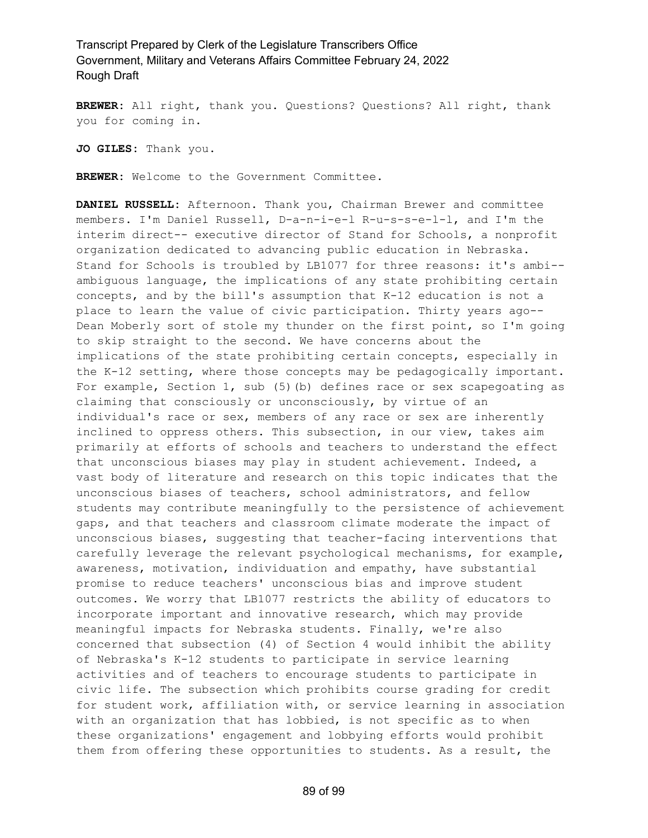**BREWER:** All right, thank you. Questions? Questions? All right, thank you for coming in.

**JO GILES:** Thank you.

**BREWER:** Welcome to the Government Committee.

**DANIEL RUSSELL:** Afternoon. Thank you, Chairman Brewer and committee members. I'm Daniel Russell, D-a-n-i-e-l R-u-s-s-e-l-l, and I'm the interim direct-- executive director of Stand for Schools, a nonprofit organization dedicated to advancing public education in Nebraska. Stand for Schools is troubled by LB1077 for three reasons: it's ambi- ambiguous language, the implications of any state prohibiting certain concepts, and by the bill's assumption that K-12 education is not a place to learn the value of civic participation. Thirty years ago-- Dean Moberly sort of stole my thunder on the first point, so I'm going to skip straight to the second. We have concerns about the implications of the state prohibiting certain concepts, especially in the K-12 setting, where those concepts may be pedagogically important. For example, Section 1, sub (5)(b) defines race or sex scapegoating as claiming that consciously or unconsciously, by virtue of an individual's race or sex, members of any race or sex are inherently inclined to oppress others. This subsection, in our view, takes aim primarily at efforts of schools and teachers to understand the effect that unconscious biases may play in student achievement. Indeed, a vast body of literature and research on this topic indicates that the unconscious biases of teachers, school administrators, and fellow students may contribute meaningfully to the persistence of achievement gaps, and that teachers and classroom climate moderate the impact of unconscious biases, suggesting that teacher-facing interventions that carefully leverage the relevant psychological mechanisms, for example, awareness, motivation, individuation and empathy, have substantial promise to reduce teachers' unconscious bias and improve student outcomes. We worry that LB1077 restricts the ability of educators to incorporate important and innovative research, which may provide meaningful impacts for Nebraska students. Finally, we're also concerned that subsection (4) of Section 4 would inhibit the ability of Nebraska's K-12 students to participate in service learning activities and of teachers to encourage students to participate in civic life. The subsection which prohibits course grading for credit for student work, affiliation with, or service learning in association with an organization that has lobbied, is not specific as to when these organizations' engagement and lobbying efforts would prohibit them from offering these opportunities to students. As a result, the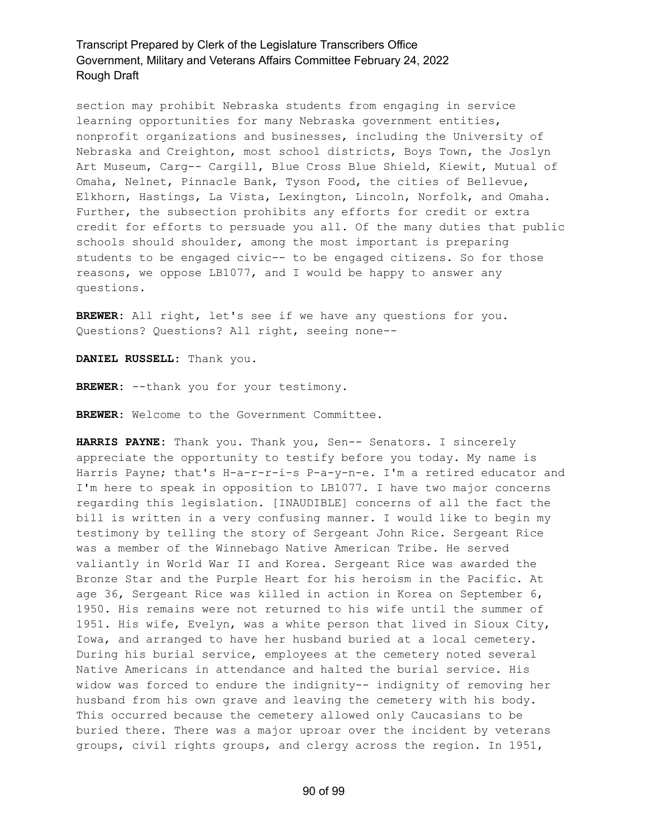section may prohibit Nebraska students from engaging in service learning opportunities for many Nebraska government entities, nonprofit organizations and businesses, including the University of Nebraska and Creighton, most school districts, Boys Town, the Joslyn Art Museum, Carg-- Cargill, Blue Cross Blue Shield, Kiewit, Mutual of Omaha, Nelnet, Pinnacle Bank, Tyson Food, the cities of Bellevue, Elkhorn, Hastings, La Vista, Lexington, Lincoln, Norfolk, and Omaha. Further, the subsection prohibits any efforts for credit or extra credit for efforts to persuade you all. Of the many duties that public schools should shoulder, among the most important is preparing students to be engaged civic-- to be engaged citizens. So for those reasons, we oppose LB1077, and I would be happy to answer any questions.

**BREWER:** All right, let's see if we have any questions for you. Questions? Questions? All right, seeing none--

**DANIEL RUSSELL:** Thank you.

**BREWER:** --thank you for your testimony.

**BREWER:** Welcome to the Government Committee.

**HARRIS PAYNE:** Thank you. Thank you, Sen-- Senators. I sincerely appreciate the opportunity to testify before you today. My name is Harris Payne; that's H-a-r-r-i-s P-a-y-n-e. I'm a retired educator and I'm here to speak in opposition to LB1077. I have two major concerns regarding this legislation. [INAUDIBLE] concerns of all the fact the bill is written in a very confusing manner. I would like to begin my testimony by telling the story of Sergeant John Rice. Sergeant Rice was a member of the Winnebago Native American Tribe. He served valiantly in World War II and Korea. Sergeant Rice was awarded the Bronze Star and the Purple Heart for his heroism in the Pacific. At age 36, Sergeant Rice was killed in action in Korea on September 6, 1950. His remains were not returned to his wife until the summer of 1951. His wife, Evelyn, was a white person that lived in Sioux City, Iowa, and arranged to have her husband buried at a local cemetery. During his burial service, employees at the cemetery noted several Native Americans in attendance and halted the burial service. His widow was forced to endure the indignity-- indignity of removing her husband from his own grave and leaving the cemetery with his body. This occurred because the cemetery allowed only Caucasians to be buried there. There was a major uproar over the incident by veterans groups, civil rights groups, and clergy across the region. In 1951,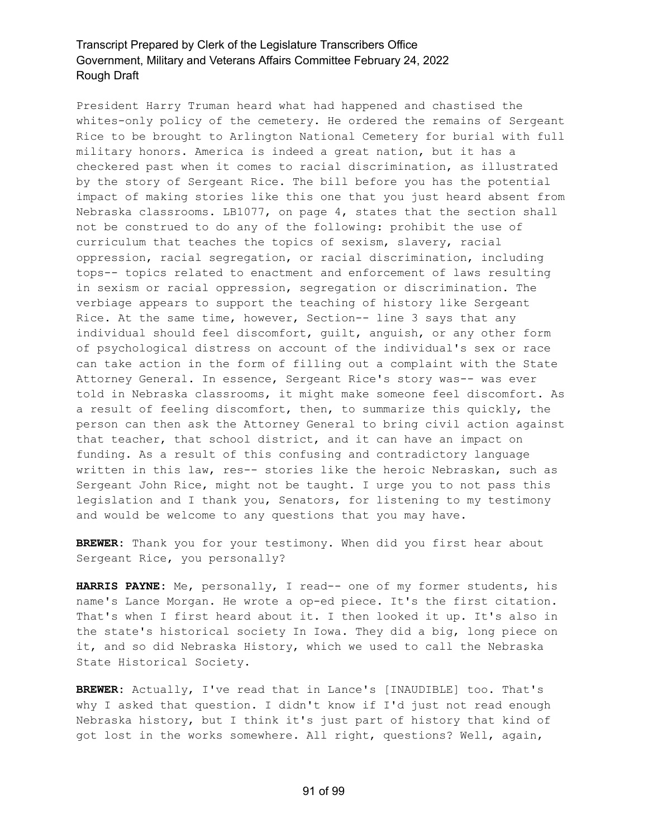President Harry Truman heard what had happened and chastised the whites-only policy of the cemetery. He ordered the remains of Sergeant Rice to be brought to Arlington National Cemetery for burial with full military honors. America is indeed a great nation, but it has a checkered past when it comes to racial discrimination, as illustrated by the story of Sergeant Rice. The bill before you has the potential impact of making stories like this one that you just heard absent from Nebraska classrooms. LB1077, on page 4, states that the section shall not be construed to do any of the following: prohibit the use of curriculum that teaches the topics of sexism, slavery, racial oppression, racial segregation, or racial discrimination, including tops-- topics related to enactment and enforcement of laws resulting in sexism or racial oppression, segregation or discrimination. The verbiage appears to support the teaching of history like Sergeant Rice. At the same time, however, Section-- line 3 says that any individual should feel discomfort, guilt, anguish, or any other form of psychological distress on account of the individual's sex or race can take action in the form of filling out a complaint with the State Attorney General. In essence, Sergeant Rice's story was-- was ever told in Nebraska classrooms, it might make someone feel discomfort. As a result of feeling discomfort, then, to summarize this quickly, the person can then ask the Attorney General to bring civil action against that teacher, that school district, and it can have an impact on funding. As a result of this confusing and contradictory language written in this law, res-- stories like the heroic Nebraskan, such as Sergeant John Rice, might not be taught. I urge you to not pass this legislation and I thank you, Senators, for listening to my testimony and would be welcome to any questions that you may have.

**BREWER:** Thank you for your testimony. When did you first hear about Sergeant Rice, you personally?

**HARRIS PAYNE:** Me, personally, I read-- one of my former students, his name's Lance Morgan. He wrote a op-ed piece. It's the first citation. That's when I first heard about it. I then looked it up. It's also in the state's historical society In Iowa. They did a big, long piece on it, and so did Nebraska History, which we used to call the Nebraska State Historical Society.

**BREWER:** Actually, I've read that in Lance's [INAUDIBLE] too. That's why I asked that question. I didn't know if I'd just not read enough Nebraska history, but I think it's just part of history that kind of got lost in the works somewhere. All right, questions? Well, again,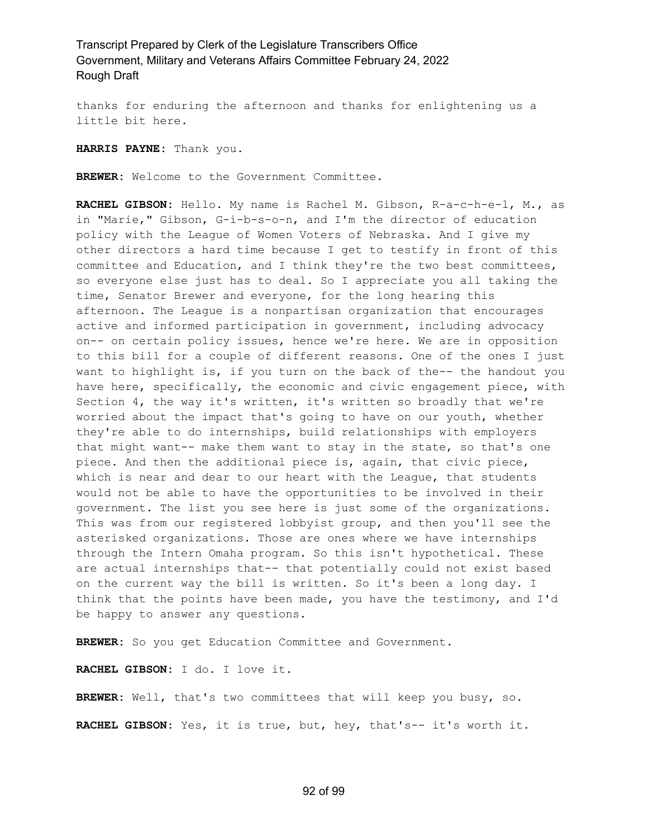thanks for enduring the afternoon and thanks for enlightening us a little bit here.

**HARRIS PAYNE:** Thank you.

**BREWER:** Welcome to the Government Committee.

**RACHEL GIBSON:** Hello. My name is Rachel M. Gibson, R-a-c-h-e-l, M., as in "Marie," Gibson, G-i-b-s-o-n, and I'm the director of education policy with the League of Women Voters of Nebraska. And I give my other directors a hard time because I get to testify in front of this committee and Education, and I think they're the two best committees, so everyone else just has to deal. So I appreciate you all taking the time, Senator Brewer and everyone, for the long hearing this afternoon. The League is a nonpartisan organization that encourages active and informed participation in government, including advocacy on-- on certain policy issues, hence we're here. We are in opposition to this bill for a couple of different reasons. One of the ones I just want to highlight is, if you turn on the back of the-- the handout you have here, specifically, the economic and civic engagement piece, with Section 4, the way it's written, it's written so broadly that we're worried about the impact that's going to have on our youth, whether they're able to do internships, build relationships with employers that might want-- make them want to stay in the state, so that's one piece. And then the additional piece is, again, that civic piece, which is near and dear to our heart with the League, that students would not be able to have the opportunities to be involved in their government. The list you see here is just some of the organizations. This was from our registered lobbyist group, and then you'll see the asterisked organizations. Those are ones where we have internships through the Intern Omaha program. So this isn't hypothetical. These are actual internships that-- that potentially could not exist based on the current way the bill is written. So it's been a long day. I think that the points have been made, you have the testimony, and I'd be happy to answer any questions.

**BREWER:** So you get Education Committee and Government.

**RACHEL GIBSON:** I do. I love it.

**BREWER:** Well, that's two committees that will keep you busy, so. **RACHEL GIBSON:** Yes, it is true, but, hey, that's-- it's worth it.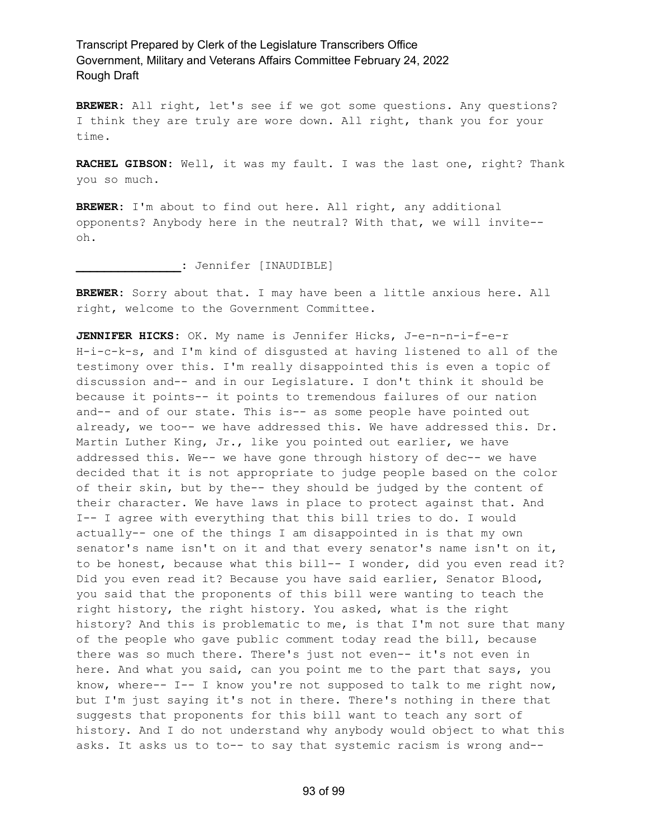**BREWER:** All right, let's see if we got some questions. Any questions? I think they are truly are wore down. All right, thank you for your time.

**RACHEL GIBSON:** Well, it was my fault. I was the last one, right? Thank you so much.

**BREWER:** I'm about to find out here. All right, any additional opponents? Anybody here in the neutral? With that, we will invite- oh.

**\_\_\_\_\_\_\_\_\_\_\_\_\_\_\_:** Jennifer [INAUDIBLE]

**BREWER:** Sorry about that. I may have been a little anxious here. All right, welcome to the Government Committee.

**JENNIFER HICKS:** OK. My name is Jennifer Hicks, J-e-n-n-i-f-e-r H-i-c-k-s, and I'm kind of disgusted at having listened to all of the testimony over this. I'm really disappointed this is even a topic of discussion and-- and in our Legislature. I don't think it should be because it points-- it points to tremendous failures of our nation and-- and of our state. This is-- as some people have pointed out already, we too-- we have addressed this. We have addressed this. Dr. Martin Luther King, Jr., like you pointed out earlier, we have addressed this. We-- we have gone through history of dec-- we have decided that it is not appropriate to judge people based on the color of their skin, but by the-- they should be judged by the content of their character. We have laws in place to protect against that. And I-- I agree with everything that this bill tries to do. I would actually-- one of the things I am disappointed in is that my own senator's name isn't on it and that every senator's name isn't on it, to be honest, because what this bill-- I wonder, did you even read it? Did you even read it? Because you have said earlier, Senator Blood, you said that the proponents of this bill were wanting to teach the right history, the right history. You asked, what is the right history? And this is problematic to me, is that I'm not sure that many of the people who gave public comment today read the bill, because there was so much there. There's just not even-- it's not even in here. And what you said, can you point me to the part that says, you know, where-- I-- I know you're not supposed to talk to me right now, but I'm just saying it's not in there. There's nothing in there that suggests that proponents for this bill want to teach any sort of history. And I do not understand why anybody would object to what this asks. It asks us to to-- to say that systemic racism is wrong and--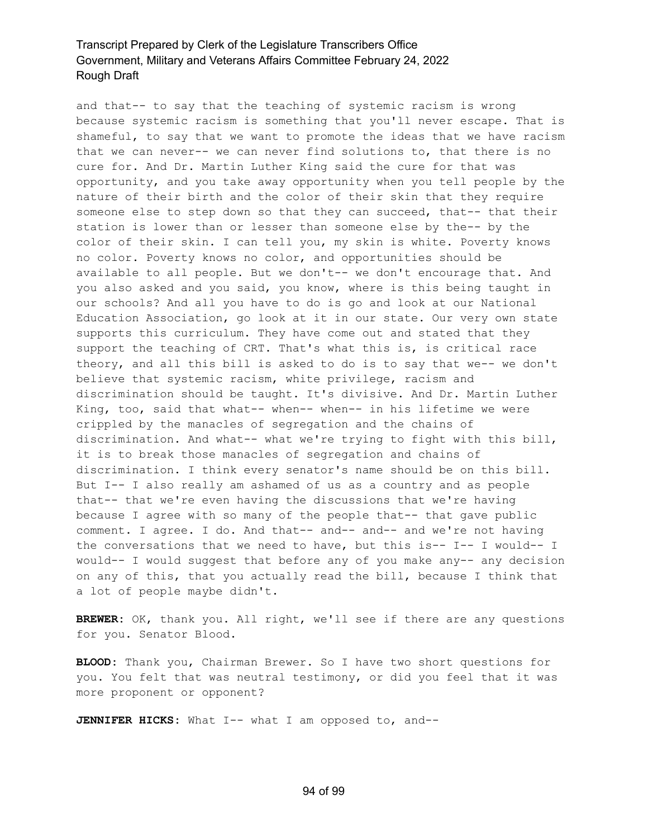and that-- to say that the teaching of systemic racism is wrong because systemic racism is something that you'll never escape. That is shameful, to say that we want to promote the ideas that we have racism that we can never-- we can never find solutions to, that there is no cure for. And Dr. Martin Luther King said the cure for that was opportunity, and you take away opportunity when you tell people by the nature of their birth and the color of their skin that they require someone else to step down so that they can succeed, that-- that their station is lower than or lesser than someone else by the-- by the color of their skin. I can tell you, my skin is white. Poverty knows no color. Poverty knows no color, and opportunities should be available to all people. But we don't-- we don't encourage that. And you also asked and you said, you know, where is this being taught in our schools? And all you have to do is go and look at our National Education Association, go look at it in our state. Our very own state supports this curriculum. They have come out and stated that they support the teaching of CRT. That's what this is, is critical race theory, and all this bill is asked to do is to say that we-- we don't believe that systemic racism, white privilege, racism and discrimination should be taught. It's divisive. And Dr. Martin Luther King, too, said that what-- when-- when-- in his lifetime we were crippled by the manacles of segregation and the chains of discrimination. And what-- what we're trying to fight with this bill, it is to break those manacles of segregation and chains of discrimination. I think every senator's name should be on this bill. But I-- I also really am ashamed of us as a country and as people that-- that we're even having the discussions that we're having because I agree with so many of the people that-- that gave public comment. I agree. I do. And that-- and-- and-- and we're not having the conversations that we need to have, but this is--  $I-- I$  would-- I would-- I would suggest that before any of you make any-- any decision on any of this, that you actually read the bill, because I think that a lot of people maybe didn't.

**BREWER:** OK, thank you. All right, we'll see if there are any questions for you. Senator Blood.

**BLOOD:** Thank you, Chairman Brewer. So I have two short questions for you. You felt that was neutral testimony, or did you feel that it was more proponent or opponent?

**JENNIFER HICKS:** What I-- what I am opposed to, and--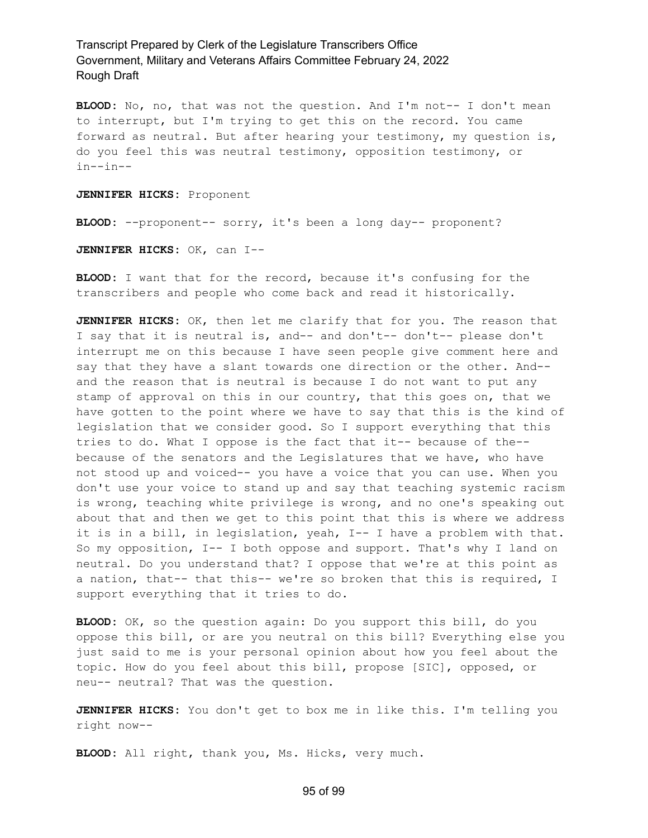**BLOOD:** No, no, that was not the question. And I'm not-- I don't mean to interrupt, but I'm trying to get this on the record. You came forward as neutral. But after hearing your testimony, my question is, do you feel this was neutral testimony, opposition testimony, or in--in--

**JENNIFER HICKS:** Proponent

**BLOOD:** --proponent-- sorry, it's been a long day-- proponent?

**JENNIFER HICKS:** OK, can I--

**BLOOD:** I want that for the record, because it's confusing for the transcribers and people who come back and read it historically.

**JENNIFER HICKS:** OK, then let me clarify that for you. The reason that I say that it is neutral is, and-- and don't-- don't-- please don't interrupt me on this because I have seen people give comment here and say that they have a slant towards one direction or the other. And- and the reason that is neutral is because I do not want to put any stamp of approval on this in our country, that this goes on, that we have gotten to the point where we have to say that this is the kind of legislation that we consider good. So I support everything that this tries to do. What I oppose is the fact that it-- because of the- because of the senators and the Legislatures that we have, who have not stood up and voiced-- you have a voice that you can use. When you don't use your voice to stand up and say that teaching systemic racism is wrong, teaching white privilege is wrong, and no one's speaking out about that and then we get to this point that this is where we address it is in a bill, in legislation, yeah, I-- I have a problem with that. So my opposition, I-- I both oppose and support. That's why I land on neutral. Do you understand that? I oppose that we're at this point as a nation, that-- that this-- we're so broken that this is required, I support everything that it tries to do.

**BLOOD:** OK, so the question again: Do you support this bill, do you oppose this bill, or are you neutral on this bill? Everything else you just said to me is your personal opinion about how you feel about the topic. How do you feel about this bill, propose [SIC], opposed, or neu-- neutral? That was the question.

**JENNIFER HICKS:** You don't get to box me in like this. I'm telling you right now--

**BLOOD:** All right, thank you, Ms. Hicks, very much.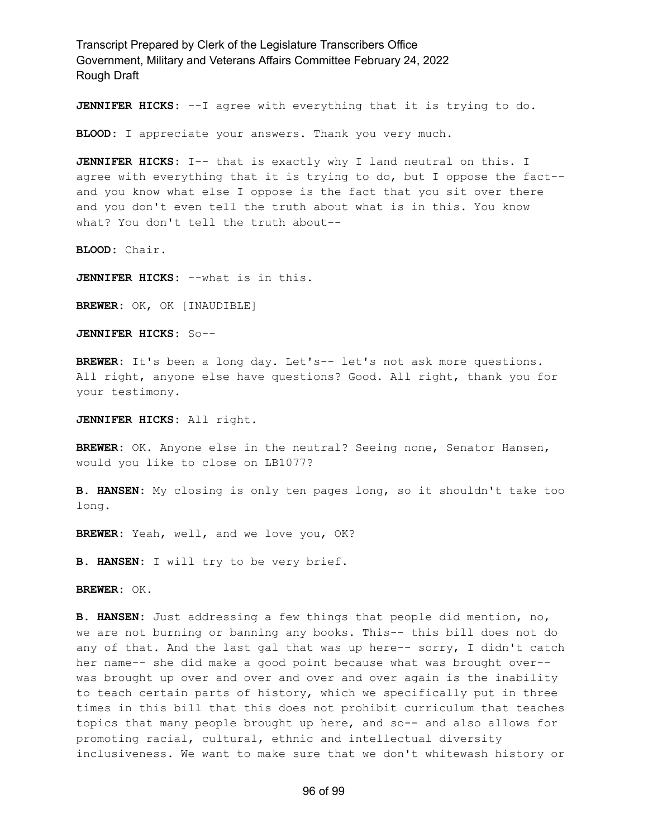**JENNIFER HICKS:** --I agree with everything that it is trying to do.

**BLOOD:** I appreciate your answers. Thank you very much.

**JENNIFER HICKS:** I-- that is exactly why I land neutral on this. I agree with everything that it is trying to do, but I oppose the fact- and you know what else I oppose is the fact that you sit over there and you don't even tell the truth about what is in this. You know what? You don't tell the truth about--

**BLOOD:** Chair.

**JENNIFER HICKS:** --what is in this.

**BREWER:** OK, OK [INAUDIBLE]

**JENNIFER HICKS:** So--

**BREWER:** It's been a long day. Let's-- let's not ask more questions. All right, anyone else have questions? Good. All right, thank you for your testimony.

**JENNIFER HICKS:** All right.

**BREWER:** OK. Anyone else in the neutral? Seeing none, Senator Hansen, would you like to close on LB1077?

**B. HANSEN:** My closing is only ten pages long, so it shouldn't take too long.

**BREWER:** Yeah, well, and we love you, OK?

**B. HANSEN:** I will try to be very brief.

**BREWER:** OK.

**B. HANSEN:** Just addressing a few things that people did mention, no, we are not burning or banning any books. This-- this bill does not do any of that. And the last gal that was up here-- sorry, I didn't catch her name-- she did make a good point because what was brought over- was brought up over and over and over and over again is the inability to teach certain parts of history, which we specifically put in three times in this bill that this does not prohibit curriculum that teaches topics that many people brought up here, and so-- and also allows for promoting racial, cultural, ethnic and intellectual diversity inclusiveness. We want to make sure that we don't whitewash history or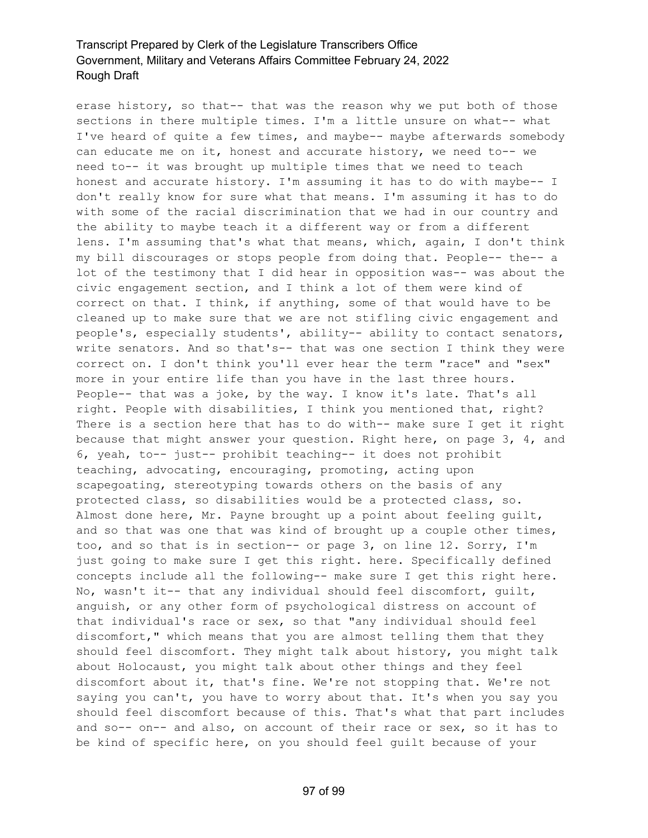erase history, so that-- that was the reason why we put both of those sections in there multiple times. I'm a little unsure on what-- what I've heard of quite a few times, and maybe-- maybe afterwards somebody can educate me on it, honest and accurate history, we need to-- we need to-- it was brought up multiple times that we need to teach honest and accurate history. I'm assuming it has to do with maybe-- I don't really know for sure what that means. I'm assuming it has to do with some of the racial discrimination that we had in our country and the ability to maybe teach it a different way or from a different lens. I'm assuming that's what that means, which, again, I don't think my bill discourages or stops people from doing that. People-- the-- a lot of the testimony that I did hear in opposition was-- was about the civic engagement section, and I think a lot of them were kind of correct on that. I think, if anything, some of that would have to be cleaned up to make sure that we are not stifling civic engagement and people's, especially students', ability-- ability to contact senators, write senators. And so that's-- that was one section I think they were correct on. I don't think you'll ever hear the term "race" and "sex" more in your entire life than you have in the last three hours. People-- that was a joke, by the way. I know it's late. That's all right. People with disabilities, I think you mentioned that, right? There is a section here that has to do with-- make sure I get it right because that might answer your question. Right here, on page 3, 4, and 6, yeah, to-- just-- prohibit teaching-- it does not prohibit teaching, advocating, encouraging, promoting, acting upon scapegoating, stereotyping towards others on the basis of any protected class, so disabilities would be a protected class, so. Almost done here, Mr. Payne brought up a point about feeling guilt, and so that was one that was kind of brought up a couple other times, too, and so that is in section-- or page 3, on line 12. Sorry, I'm just going to make sure I get this right. here. Specifically defined concepts include all the following-- make sure I get this right here. No, wasn't it-- that any individual should feel discomfort, guilt, anguish, or any other form of psychological distress on account of that individual's race or sex, so that "any individual should feel discomfort," which means that you are almost telling them that they should feel discomfort. They might talk about history, you might talk about Holocaust, you might talk about other things and they feel discomfort about it, that's fine. We're not stopping that. We're not saying you can't, you have to worry about that. It's when you say you should feel discomfort because of this. That's what that part includes and so-- on-- and also, on account of their race or sex, so it has to be kind of specific here, on you should feel guilt because of your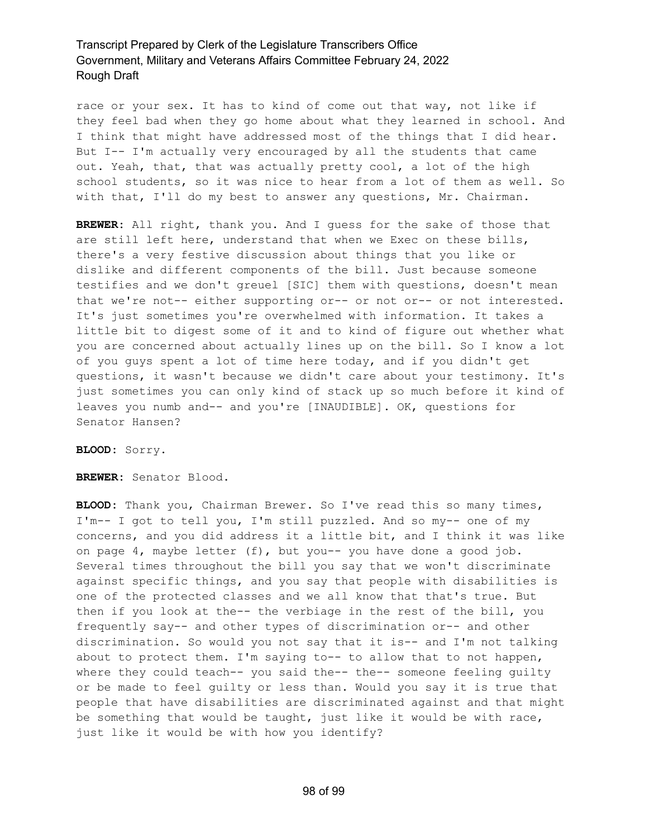race or your sex. It has to kind of come out that way, not like if they feel bad when they go home about what they learned in school. And I think that might have addressed most of the things that I did hear. But I-- I'm actually very encouraged by all the students that came out. Yeah, that, that was actually pretty cool, a lot of the high school students, so it was nice to hear from a lot of them as well. So with that, I'll do my best to answer any questions, Mr. Chairman.

**BREWER:** All right, thank you. And I guess for the sake of those that are still left here, understand that when we Exec on these bills, there's a very festive discussion about things that you like or dislike and different components of the bill. Just because someone testifies and we don't greuel [SIC] them with questions, doesn't mean that we're not-- either supporting or-- or not or-- or not interested. It's just sometimes you're overwhelmed with information. It takes a little bit to digest some of it and to kind of figure out whether what you are concerned about actually lines up on the bill. So I know a lot of you guys spent a lot of time here today, and if you didn't get questions, it wasn't because we didn't care about your testimony. It's just sometimes you can only kind of stack up so much before it kind of leaves you numb and-- and you're [INAUDIBLE]. OK, questions for Senator Hansen?

**BLOOD:** Sorry.

**BREWER:** Senator Blood.

**BLOOD:** Thank you, Chairman Brewer. So I've read this so many times, I'm-- I got to tell you, I'm still puzzled. And so my-- one of my concerns, and you did address it a little bit, and I think it was like on page 4, maybe letter (f), but you-- you have done a good job. Several times throughout the bill you say that we won't discriminate against specific things, and you say that people with disabilities is one of the protected classes and we all know that that's true. But then if you look at the-- the verbiage in the rest of the bill, you frequently say-- and other types of discrimination or-- and other discrimination. So would you not say that it is-- and I'm not talking about to protect them. I'm saying to-- to allow that to not happen, where they could teach-- you said the-- the-- someone feeling quilty or be made to feel guilty or less than. Would you say it is true that people that have disabilities are discriminated against and that might be something that would be taught, just like it would be with race, just like it would be with how you identify?